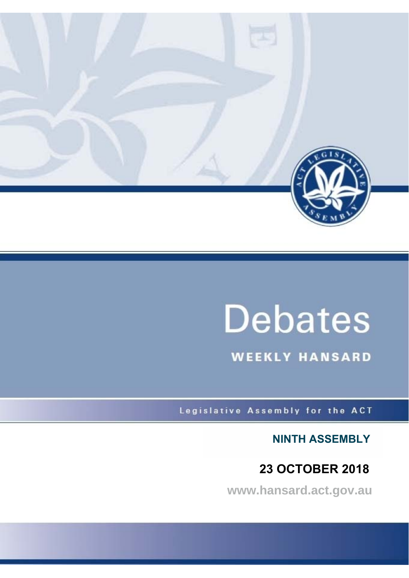

# **Debates**

**WEEKLY HANSARD** 

Legislative Assembly for the ACT

**NINTH ASSEMBLY**

## **23 OCTOBER 2018**

**www.hansard.act.gov.au**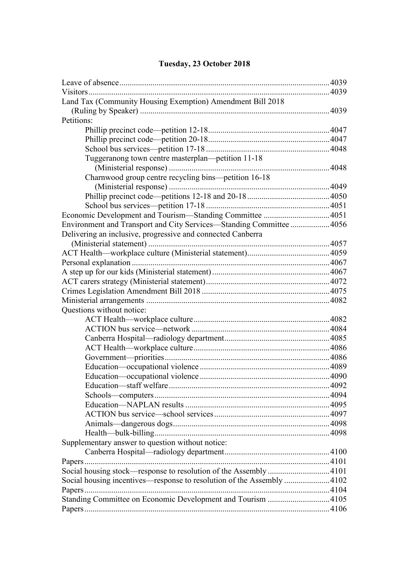## **[Tuesday, 23 October 2018](#page-3-0)**

|                                                                        | 4039  |
|------------------------------------------------------------------------|-------|
|                                                                        |       |
| Land Tax (Community Housing Exemption) Amendment Bill 2018             |       |
|                                                                        | .4039 |
| Petitions:                                                             |       |
|                                                                        |       |
|                                                                        |       |
|                                                                        |       |
| Tuggeranong town centre masterplan-petition 11-18                      |       |
|                                                                        | .4048 |
| Charnwood group centre recycling bins—petition 16-18                   |       |
|                                                                        |       |
|                                                                        |       |
|                                                                        |       |
|                                                                        |       |
| Environment and Transport and City Services-Standing Committee  4056   |       |
| Delivering an inclusive, progressive and connected Canberra            |       |
|                                                                        |       |
|                                                                        |       |
|                                                                        |       |
|                                                                        |       |
|                                                                        |       |
|                                                                        |       |
|                                                                        |       |
| Questions without notice:                                              |       |
|                                                                        |       |
|                                                                        |       |
|                                                                        |       |
|                                                                        |       |
|                                                                        |       |
|                                                                        |       |
|                                                                        |       |
|                                                                        |       |
|                                                                        |       |
|                                                                        |       |
|                                                                        |       |
|                                                                        |       |
|                                                                        |       |
| Supplementary answer to question without notice:                       |       |
|                                                                        |       |
|                                                                        |       |
| Social housing stock—response to resolution of the Assembly 4101       |       |
| Social housing incentives—response to resolution of the Assembly  4102 |       |
|                                                                        |       |
| Standing Committee on Economic Development and Tourism 4105            |       |
|                                                                        |       |
|                                                                        |       |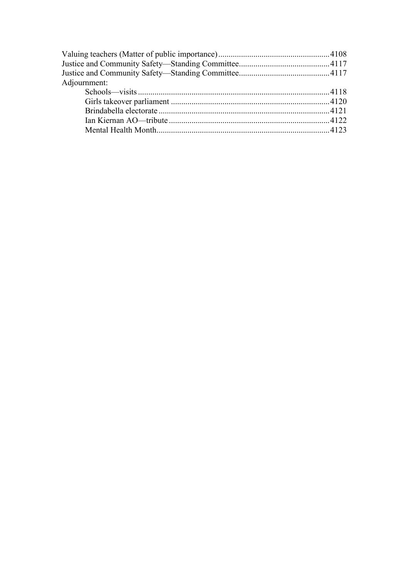| Adjournment: |  |
|--------------|--|
|              |  |
|              |  |
|              |  |
|              |  |
|              |  |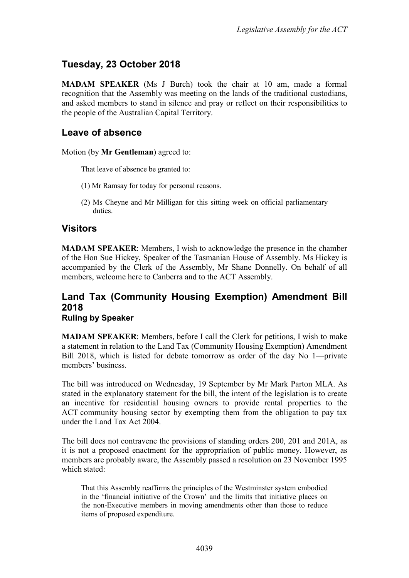## <span id="page-3-0"></span>**Tuesday, 23 October 2018**

**MADAM SPEAKER** (Ms J Burch) took the chair at 10 am, made a formal recognition that the Assembly was meeting on the lands of the traditional custodians, and asked members to stand in silence and pray or reflect on their responsibilities to the people of the Australian Capital Territory.

## <span id="page-3-1"></span>**Leave of absence**

Motion (by **Mr Gentleman**) agreed to:

That leave of absence be granted to:

- (1) Mr Ramsay for today for personal reasons.
- (2) Ms Cheyne and Mr Milligan for this sitting week on official parliamentary duties.

## <span id="page-3-2"></span>**Visitors**

**MADAM SPEAKER**: Members, I wish to acknowledge the presence in the chamber of the Hon Sue Hickey, Speaker of the Tasmanian House of Assembly. Ms Hickey is accompanied by the Clerk of the Assembly, Mr Shane Donnelly. On behalf of all members, welcome here to Canberra and to the ACT Assembly.

## <span id="page-3-3"></span>**Land Tax (Community Housing Exemption) Amendment Bill 2018**

#### <span id="page-3-4"></span>**Ruling by Speaker**

**MADAM SPEAKER**: Members, before I call the Clerk for petitions, I wish to make a statement in relation to the Land Tax (Community Housing Exemption) Amendment Bill 2018, which is listed for debate tomorrow as order of the day No 1—private members' business.

The bill was introduced on Wednesday, 19 September by Mr Mark Parton MLA. As stated in the explanatory statement for the bill, the intent of the legislation is to create an incentive for residential housing owners to provide rental properties to the ACT community housing sector by exempting them from the obligation to pay tax under the Land Tax Act 2004.

The bill does not contravene the provisions of standing orders 200, 201 and 201A, as it is not a proposed enactment for the appropriation of public money. However, as members are probably aware, the Assembly passed a resolution on 23 November 1995 which stated:

That this Assembly reaffirms the principles of the Westminster system embodied in the 'financial initiative of the Crown' and the limits that initiative places on the non-Executive members in moving amendments other than those to reduce items of proposed expenditure.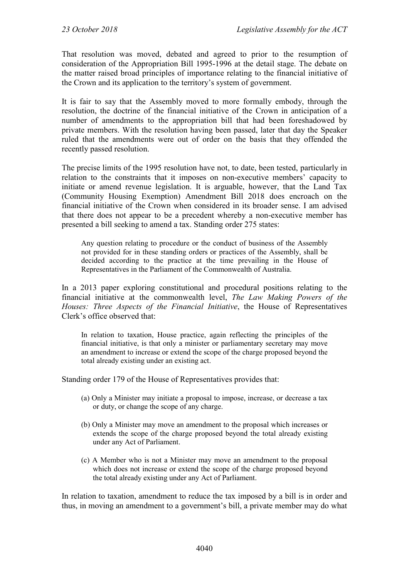That resolution was moved, debated and agreed to prior to the resumption of consideration of the Appropriation Bill 1995-1996 at the detail stage. The debate on the matter raised broad principles of importance relating to the financial initiative of the Crown and its application to the territory's system of government.

It is fair to say that the Assembly moved to more formally embody, through the resolution, the doctrine of the financial initiative of the Crown in anticipation of a number of amendments to the appropriation bill that had been foreshadowed by private members. With the resolution having been passed, later that day the Speaker ruled that the amendments were out of order on the basis that they offended the recently passed resolution.

The precise limits of the 1995 resolution have not, to date, been tested, particularly in relation to the constraints that it imposes on non-executive members' capacity to initiate or amend revenue legislation. It is arguable, however, that the Land Tax (Community Housing Exemption) Amendment Bill 2018 does encroach on the financial initiative of the Crown when considered in its broader sense. I am advised that there does not appear to be a precedent whereby a non-executive member has presented a bill seeking to amend a tax. Standing order 275 states:

Any question relating to procedure or the conduct of business of the Assembly not provided for in these standing orders or practices of the Assembly, shall be decided according to the practice at the time prevailing in the House of Representatives in the Parliament of the Commonwealth of Australia.

In a 2013 paper exploring constitutional and procedural positions relating to the financial initiative at the commonwealth level, *The Law Making Powers of the Houses: Three Aspects of the Financial Initiative*, the House of Representatives Clerk's office observed that:

In relation to taxation, House practice, again reflecting the principles of the financial initiative, is that only a minister or parliamentary secretary may move an amendment to increase or extend the scope of the charge proposed beyond the total already existing under an existing act.

Standing order 179 of the House of Representatives provides that:

- (a) Only a Minister may initiate a proposal to impose, increase, or decrease a tax or duty, or change the scope of any charge.
- (b) Only a Minister may move an amendment to the proposal which increases or extends the scope of the charge proposed beyond the total already existing under any Act of Parliament.
- (c) A Member who is not a Minister may move an amendment to the proposal which does not increase or extend the scope of the charge proposed beyond the total already existing under any Act of Parliament.

In relation to taxation, amendment to reduce the tax imposed by a bill is in order and thus, in moving an amendment to a government's bill, a private member may do what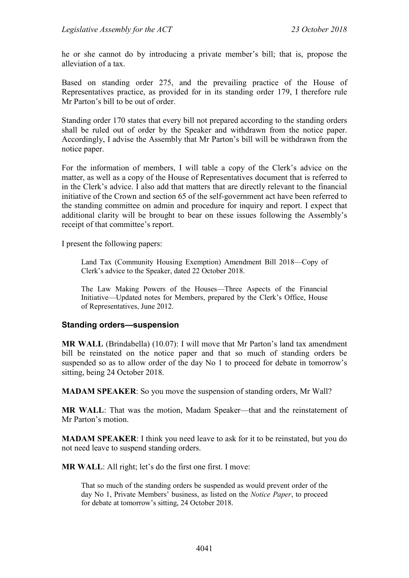he or she cannot do by introducing a private member's bill; that is, propose the alleviation of a tax.

Based on standing order 275, and the prevailing practice of the House of Representatives practice, as provided for in its standing order 179, I therefore rule Mr Parton's bill to be out of order.

Standing order 170 states that every bill not prepared according to the standing orders shall be ruled out of order by the Speaker and withdrawn from the notice paper. Accordingly, I advise the Assembly that Mr Parton's bill will be withdrawn from the notice paper.

For the information of members, I will table a copy of the Clerk's advice on the matter, as well as a copy of the House of Representatives document that is referred to in the Clerk's advice. I also add that matters that are directly relevant to the financial initiative of the Crown and section 65 of the self-government act have been referred to the standing committee on admin and procedure for inquiry and report. I expect that additional clarity will be brought to bear on these issues following the Assembly's receipt of that committee's report.

I present the following papers:

Land Tax (Community Housing Exemption) Amendment Bill 2018—Copy of Clerk's advice to the Speaker, dated 22 October 2018.

The Law Making Powers of the Houses—Three Aspects of the Financial Initiative—Updated notes for Members, prepared by the Clerk's Office, House of Representatives, June 2012.

#### **Standing orders—suspension**

**MR WALL** (Brindabella) (10.07): I will move that Mr Parton's land tax amendment bill be reinstated on the notice paper and that so much of standing orders be suspended so as to allow order of the day No 1 to proceed for debate in tomorrow's sitting, being 24 October 2018.

**MADAM SPEAKER**: So you move the suspension of standing orders, Mr Wall?

**MR WALL**: That was the motion, Madam Speaker—that and the reinstatement of Mr Parton's motion.

**MADAM SPEAKER**: I think you need leave to ask for it to be reinstated, but you do not need leave to suspend standing orders.

**MR WALL**: All right; let's do the first one first. I move:

That so much of the standing orders be suspended as would prevent order of the day No 1, Private Members' business, as listed on the *Notice Paper*, to proceed for debate at tomorrow's sitting, 24 October 2018.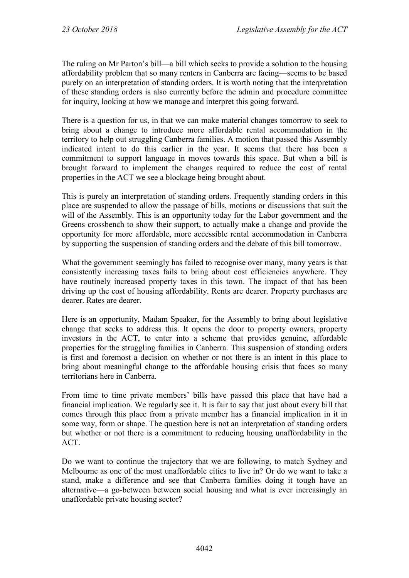The ruling on Mr Parton's bill—a bill which seeks to provide a solution to the housing affordability problem that so many renters in Canberra are facing—seems to be based purely on an interpretation of standing orders. It is worth noting that the interpretation of these standing orders is also currently before the admin and procedure committee for inquiry, looking at how we manage and interpret this going forward.

There is a question for us, in that we can make material changes tomorrow to seek to bring about a change to introduce more affordable rental accommodation in the territory to help out struggling Canberra families. A motion that passed this Assembly indicated intent to do this earlier in the year. It seems that there has been a commitment to support language in moves towards this space. But when a bill is brought forward to implement the changes required to reduce the cost of rental properties in the ACT we see a blockage being brought about.

This is purely an interpretation of standing orders. Frequently standing orders in this place are suspended to allow the passage of bills, motions or discussions that suit the will of the Assembly. This is an opportunity today for the Labor government and the Greens crossbench to show their support, to actually make a change and provide the opportunity for more affordable, more accessible rental accommodation in Canberra by supporting the suspension of standing orders and the debate of this bill tomorrow.

What the government seemingly has failed to recognise over many, many years is that consistently increasing taxes fails to bring about cost efficiencies anywhere. They have routinely increased property taxes in this town. The impact of that has been driving up the cost of housing affordability. Rents are dearer. Property purchases are dearer. Rates are dearer.

Here is an opportunity, Madam Speaker, for the Assembly to bring about legislative change that seeks to address this. It opens the door to property owners, property investors in the ACT, to enter into a scheme that provides genuine, affordable properties for the struggling families in Canberra. This suspension of standing orders is first and foremost a decision on whether or not there is an intent in this place to bring about meaningful change to the affordable housing crisis that faces so many territorians here in Canberra.

From time to time private members' bills have passed this place that have had a financial implication. We regularly see it. It is fair to say that just about every bill that comes through this place from a private member has a financial implication in it in some way, form or shape. The question here is not an interpretation of standing orders but whether or not there is a commitment to reducing housing unaffordability in the ACT.

Do we want to continue the trajectory that we are following, to match Sydney and Melbourne as one of the most unaffordable cities to live in? Or do we want to take a stand, make a difference and see that Canberra families doing it tough have an alternative—a go-between between social housing and what is ever increasingly an unaffordable private housing sector?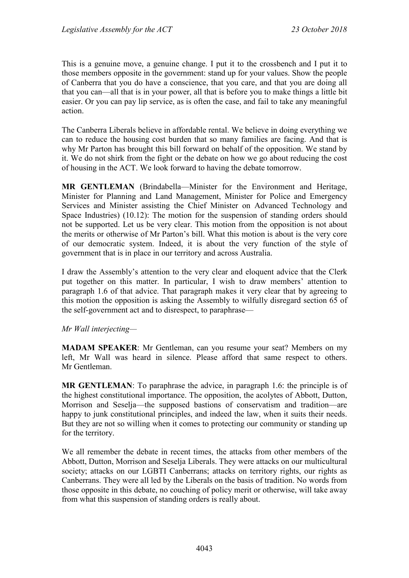This is a genuine move, a genuine change. I put it to the crossbench and I put it to those members opposite in the government: stand up for your values. Show the people of Canberra that you do have a conscience, that you care, and that you are doing all that you can—all that is in your power, all that is before you to make things a little bit easier. Or you can pay lip service, as is often the case, and fail to take any meaningful action.

The Canberra Liberals believe in affordable rental. We believe in doing everything we can to reduce the housing cost burden that so many families are facing. And that is why Mr Parton has brought this bill forward on behalf of the opposition. We stand by it. We do not shirk from the fight or the debate on how we go about reducing the cost of housing in the ACT. We look forward to having the debate tomorrow.

**MR GENTLEMAN** (Brindabella—Minister for the Environment and Heritage, Minister for Planning and Land Management, Minister for Police and Emergency Services and Minister assisting the Chief Minister on Advanced Technology and Space Industries) (10.12): The motion for the suspension of standing orders should not be supported. Let us be very clear. This motion from the opposition is not about the merits or otherwise of Mr Parton's bill. What this motion is about is the very core of our democratic system. Indeed, it is about the very function of the style of government that is in place in our territory and across Australia.

I draw the Assembly's attention to the very clear and eloquent advice that the Clerk put together on this matter. In particular, I wish to draw members' attention to paragraph 1.6 of that advice. That paragraph makes it very clear that by agreeing to this motion the opposition is asking the Assembly to wilfully disregard section 65 of the self-government act and to disrespect, to paraphrase—

*Mr Wall interjecting—*

**MADAM SPEAKER**: Mr Gentleman, can you resume your seat? Members on my left, Mr Wall was heard in silence. Please afford that same respect to others. Mr Gentleman.

**MR GENTLEMAN**: To paraphrase the advice, in paragraph 1.6: the principle is of the highest constitutional importance. The opposition, the acolytes of Abbott, Dutton, Morrison and Seselja—the supposed bastions of conservatism and tradition—are happy to junk constitutional principles, and indeed the law, when it suits their needs. But they are not so willing when it comes to protecting our community or standing up for the territory.

We all remember the debate in recent times, the attacks from other members of the Abbott, Dutton, Morrison and Seselja Liberals. They were attacks on our multicultural society; attacks on our LGBTI Canberrans; attacks on territory rights, our rights as Canberrans. They were all led by the Liberals on the basis of tradition. No words from those opposite in this debate, no couching of policy merit or otherwise, will take away from what this suspension of standing orders is really about.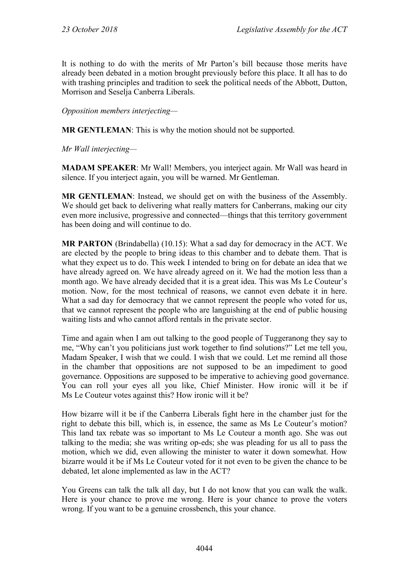It is nothing to do with the merits of Mr Parton's bill because those merits have already been debated in a motion brought previously before this place. It all has to do with trashing principles and tradition to seek the political needs of the Abbott, Dutton, Morrison and Seselja Canberra Liberals.

*Opposition members interjecting—*

**MR GENTLEMAN**: This is why the motion should not be supported.

*Mr Wall interjecting—*

**MADAM SPEAKER**: Mr Wall! Members, you interject again. Mr Wall was heard in silence. If you interject again, you will be warned. Mr Gentleman.

**MR GENTLEMAN**: Instead, we should get on with the business of the Assembly. We should get back to delivering what really matters for Canberrans, making our city even more inclusive, progressive and connected—things that this territory government has been doing and will continue to do.

**MR PARTON** (Brindabella) (10.15): What a sad day for democracy in the ACT. We are elected by the people to bring ideas to this chamber and to debate them. That is what they expect us to do. This week I intended to bring on for debate an idea that we have already agreed on. We have already agreed on it. We had the motion less than a month ago. We have already decided that it is a great idea. This was Ms Le Couteur's motion. Now, for the most technical of reasons, we cannot even debate it in here. What a sad day for democracy that we cannot represent the people who voted for us, that we cannot represent the people who are languishing at the end of public housing waiting lists and who cannot afford rentals in the private sector.

Time and again when I am out talking to the good people of Tuggeranong they say to me, "Why can't you politicians just work together to find solutions?" Let me tell you, Madam Speaker, I wish that we could. I wish that we could. Let me remind all those in the chamber that oppositions are not supposed to be an impediment to good governance. Oppositions are supposed to be imperative to achieving good governance. You can roll your eyes all you like, Chief Minister. How ironic will it be if Ms Le Couteur votes against this? How ironic will it be?

How bizarre will it be if the Canberra Liberals fight here in the chamber just for the right to debate this bill, which is, in essence, the same as Ms Le Couteur's motion? This land tax rebate was so important to Ms Le Couteur a month ago. She was out talking to the media; she was writing op-eds; she was pleading for us all to pass the motion, which we did, even allowing the minister to water it down somewhat. How bizarre would it be if Ms Le Couteur voted for it not even to be given the chance to be debated, let alone implemented as law in the ACT?

You Greens can talk the talk all day, but I do not know that you can walk the walk. Here is your chance to prove me wrong. Here is your chance to prove the voters wrong. If you want to be a genuine crossbench, this your chance.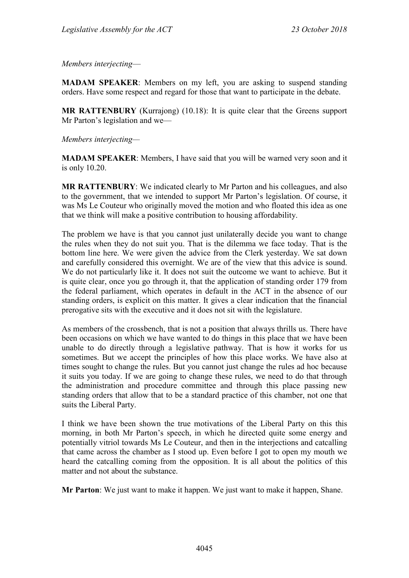*Members interjecting*—

**MADAM SPEAKER**: Members on my left, you are asking to suspend standing orders. Have some respect and regard for those that want to participate in the debate.

**MR RATTENBURY** (Kurrajong) (10.18): It is quite clear that the Greens support Mr Parton's legislation and we—

*Members interjecting—*

**MADAM SPEAKER**: Members, I have said that you will be warned very soon and it is only 10.20.

**MR RATTENBURY**: We indicated clearly to Mr Parton and his colleagues, and also to the government, that we intended to support Mr Parton's legislation. Of course, it was Ms Le Couteur who originally moved the motion and who floated this idea as one that we think will make a positive contribution to housing affordability.

The problem we have is that you cannot just unilaterally decide you want to change the rules when they do not suit you. That is the dilemma we face today. That is the bottom line here. We were given the advice from the Clerk yesterday. We sat down and carefully considered this overnight. We are of the view that this advice is sound. We do not particularly like it. It does not suit the outcome we want to achieve. But it is quite clear, once you go through it, that the application of standing order 179 from the federal parliament, which operates in default in the ACT in the absence of our standing orders, is explicit on this matter. It gives a clear indication that the financial prerogative sits with the executive and it does not sit with the legislature.

As members of the crossbench, that is not a position that always thrills us. There have been occasions on which we have wanted to do things in this place that we have been unable to do directly through a legislative pathway. That is how it works for us sometimes. But we accept the principles of how this place works. We have also at times sought to change the rules. But you cannot just change the rules ad hoc because it suits you today. If we are going to change these rules, we need to do that through the administration and procedure committee and through this place passing new standing orders that allow that to be a standard practice of this chamber, not one that suits the Liberal Party.

I think we have been shown the true motivations of the Liberal Party on this this morning, in both Mr Parton's speech, in which he directed quite some energy and potentially vitriol towards Ms Le Couteur, and then in the interjections and catcalling that came across the chamber as I stood up. Even before I got to open my mouth we heard the catcalling coming from the opposition. It is all about the politics of this matter and not about the substance.

**Mr Parton**: We just want to make it happen. We just want to make it happen, Shane.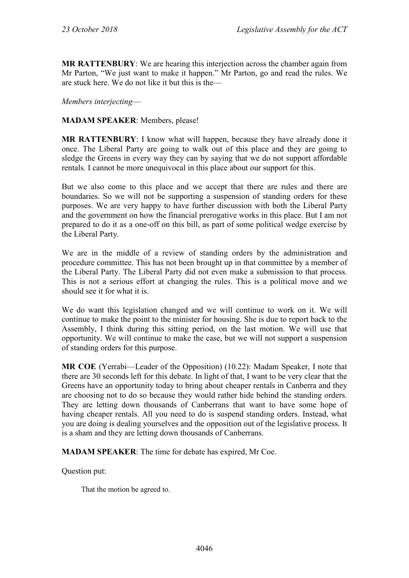**MR RATTENBURY**: We are hearing this interjection across the chamber again from Mr Parton, "We just want to make it happen." Mr Parton, go and read the rules. We are stuck here. We do not like it but this is the—

*Members interjecting*—

#### **MADAM SPEAKER**: Members, please!

**MR RATTENBURY**: I know what will happen, because they have already done it once. The Liberal Party are going to walk out of this place and they are going to sledge the Greens in every way they can by saying that we do not support affordable rentals. I cannot be more unequivocal in this place about our support for this.

But we also come to this place and we accept that there are rules and there are boundaries. So we will not be supporting a suspension of standing orders for these purposes. We are very happy to have further discussion with both the Liberal Party and the government on how the financial prerogative works in this place. But I am not prepared to do it as a one-off on this bill, as part of some political wedge exercise by the Liberal Party.

We are in the middle of a review of standing orders by the administration and procedure committee. This has not been brought up in that committee by a member of the Liberal Party. The Liberal Party did not even make a submission to that process. This is not a serious effort at changing the rules. This is a political move and we should see it for what it is.

We do want this legislation changed and we will continue to work on it. We will continue to make the point to the minister for housing. She is due to report back to the Assembly, I think during this sitting period, on the last motion. We will use that opportunity. We will continue to make the case, but we will not support a suspension of standing orders for this purpose.

**MR COE** (Yerrabi—Leader of the Opposition) (10.22): Madam Speaker, I note that there are 30 seconds left for this debate. In light of that, I want to be very clear that the Greens have an opportunity today to bring about cheaper rentals in Canberra and they are choosing not to do so because they would rather hide behind the standing orders. They are letting down thousands of Canberrans that want to have some hope of having cheaper rentals. All you need to do is suspend standing orders. Instead, what you are doing is dealing yourselves and the opposition out of the legislative process. It is a sham and they are letting down thousands of Canberrans.

**MADAM SPEAKER**: The time for debate has expired, Mr Coe.

Question put:

That the motion be agreed to.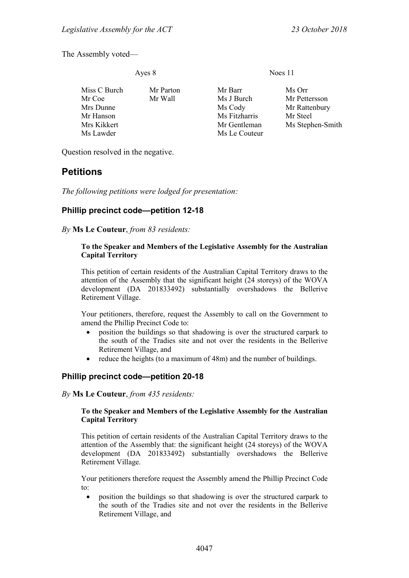The Assembly voted—

Ayes 8 Noes 11

| Miss C Burch | Mr Parton | Mr Barr       | Ms Orr           |
|--------------|-----------|---------------|------------------|
| Mr Coe       | Mr Wall   | Ms J Burch    | Mr Pettersson    |
| Mrs Dunne    |           | Ms Cody       | Mr Rattenbury    |
| Mr Hanson    |           | Ms Fitzharris | Mr Steel         |
| Mrs Kikkert  |           | Mr Gentleman  | Ms Stephen-Smith |
| Ms Lawder    |           | Ms Le Couteur |                  |
|              |           |               |                  |

Question resolved in the negative.

#### <span id="page-11-0"></span>**Petitions**

*The following petitions were lodged for presentation:*

#### <span id="page-11-1"></span>**Phillip precinct code—petition 12-18**

*By* **Ms Le Couteur**, *from 83 residents:*

#### **To the Speaker and Members of the Legislative Assembly for the Australian Capital Territory**

This petition of certain residents of the Australian Capital Territory draws to the attention of the Assembly that the significant height (24 storeys) of the WOVA development (DA 201833492) substantially overshadows the Bellerive Retirement Village.

Your petitioners, therefore, request the Assembly to call on the Government to amend the Phillip Precinct Code to:

- position the buildings so that shadowing is over the structured carpark to the south of the Tradies site and not over the residents in the Bellerive Retirement Village, and
- reduce the heights (to a maximum of 48m) and the number of buildings.

#### <span id="page-11-2"></span>**Phillip precinct code—petition 20-18**

#### *By* **Ms Le Couteur**, *from 435 residents:*

#### **To the Speaker and Members of the Legislative Assembly for the Australian Capital Territory**

This petition of certain residents of the Australian Capital Territory draws to the attention of the Assembly that: the significant height (24 storeys) of the WOVA development (DA 201833492) substantially overshadows the Bellerive Retirement Village.

Your petitioners therefore request the Assembly amend the Phillip Precinct Code to:

• position the buildings so that shadowing is over the structured carpark to the south of the Tradies site and not over the residents in the Bellerive Retirement Village, and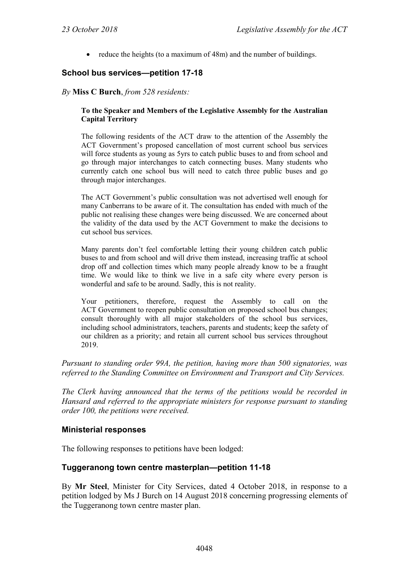• reduce the heights (to a maximum of 48m) and the number of buildings.

#### <span id="page-12-0"></span>**School bus services—petition 17-18**

*By* **Miss C Burch**, *from 528 residents:*

#### **To the Speaker and Members of the Legislative Assembly for the Australian Capital Territory**

The following residents of the ACT draw to the attention of the Assembly the ACT Government's proposed cancellation of most current school bus services will force students as young as 5yrs to catch public buses to and from school and go through major interchanges to catch connecting buses. Many students who currently catch one school bus will need to catch three public buses and go through major interchanges.

The ACT Government's public consultation was not advertised well enough for many Canberrans to be aware of it. The consultation has ended with much of the public not realising these changes were being discussed. We are concerned about the validity of the data used by the ACT Government to make the decisions to cut school bus services.

Many parents don't feel comfortable letting their young children catch public buses to and from school and will drive them instead, increasing traffic at school drop off and collection times which many people already know to be a fraught time. We would like to think we live in a safe city where every person is wonderful and safe to be around. Sadly, this is not reality.

Your petitioners, therefore, request the Assembly to call on the ACT Government to reopen public consultation on proposed school bus changes; consult thoroughly with all major stakeholders of the school bus services, including school administrators, teachers, parents and students; keep the safety of our children as a priority; and retain all current school bus services throughout 2019.

*Pursuant to standing order 99A, the petition, having more than 500 signatories, was referred to the Standing Committee on Environment and Transport and City Services.*

*The Clerk having announced that the terms of the petitions would be recorded in Hansard and referred to the appropriate ministers for response pursuant to standing order 100, the petitions were received.*

#### **Ministerial responses**

The following responses to petitions have been lodged:

#### <span id="page-12-1"></span>**Tuggeranong town centre masterplan—petition 11-18**

By **Mr Steel**, Minister for City Services, dated 4 October 2018, in response to a petition lodged by Ms J Burch on 14 August 2018 concerning progressing elements of the Tuggeranong town centre master plan.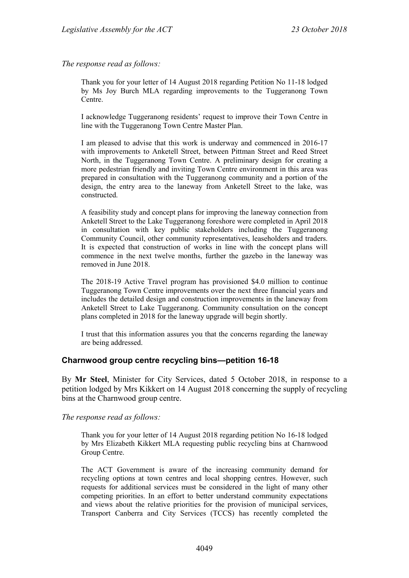*The response read as follows:*

Thank you for your letter of 14 August 2018 regarding Petition No 11-18 lodged by Ms Joy Burch MLA regarding improvements to the Tuggeranong Town Centre.

I acknowledge Tuggeranong residents' request to improve their Town Centre in line with the Tuggeranong Town Centre Master Plan.

I am pleased to advise that this work is underway and commenced in 2016-17 with improvements to Anketell Street, between Pittman Street and Reed Street North, in the Tuggeranong Town Centre. A preliminary design for creating a more pedestrian friendly and inviting Town Centre environment in this area was prepared in consultation with the Tuggeranong community and a portion of the design, the entry area to the laneway from Anketell Street to the lake, was constructed.

A feasibility study and concept plans for improving the laneway connection from Anketell Street to the Lake Tuggeranong foreshore were completed in April 2018 in consultation with key public stakeholders including the Tuggeranong Community Council, other community representatives, leaseholders and traders. It is expected that construction of works in line with the concept plans will commence in the next twelve months, further the gazebo in the laneway was removed in June 2018.

The 2018-19 Active Travel program has provisioned \$4.0 million to continue Tuggeranong Town Centre improvements over the next three financial years and includes the detailed design and construction improvements in the laneway from Anketell Street to Lake Tuggeranong. Community consultation on the concept plans completed in 2018 for the laneway upgrade will begin shortly.

I trust that this information assures you that the concerns regarding the laneway are being addressed.

#### <span id="page-13-0"></span>**Charnwood group centre recycling bins—petition 16-18**

By **Mr Steel**, Minister for City Services, dated 5 October 2018, in response to a petition lodged by Mrs Kikkert on 14 August 2018 concerning the supply of recycling bins at the Charnwood group centre.

*The response read as follows:*

Thank you for your letter of 14 August 2018 regarding petition No 16-18 lodged by Mrs Elizabeth Kikkert MLA requesting public recycling bins at Charnwood Group Centre.

The ACT Government is aware of the increasing community demand for recycling options at town centres and local shopping centres. However, such requests for additional services must be considered in the light of many other competing priorities. In an effort to better understand community expectations and views about the relative priorities for the provision of municipal services, Transport Canberra and City Services (TCCS) has recently completed the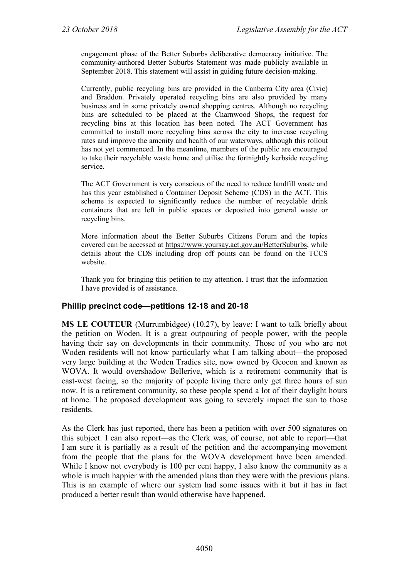engagement phase of the Better Suburbs deliberative democracy initiative. The community-authored Better Suburbs Statement was made publicly available in September 2018. This statement will assist in guiding future decision-making.

Currently, public recycling bins are provided in the Canberra City area (Civic) and Braddon. Privately operated recycling bins are also provided by many business and in some privately owned shopping centres. Although no recycling bins are scheduled to be placed at the Charnwood Shops, the request for recycling bins at this location has been noted. The ACT Government has committed to install more recycling bins across the city to increase recycling rates and improve the amenity and health of our waterways, although this rollout has not yet commenced. In the meantime, members of the public are encouraged to take their recyclable waste home and utilise the fortnightly kerbside recycling service.

The ACT Government is very conscious of the need to reduce landfill waste and has this year established a Container Deposit Scheme (CDS) in the ACT. This scheme is expected to significantly reduce the number of recyclable drink containers that are left in public spaces or deposited into general waste or recycling bins.

More information about the Better Suburbs Citizens Forum and the topics covered can be accessed at https://www.yoursay.act.gov.au/BetterSuburbs, while details about the CDS including drop off points can be found on the TCCS website.

Thank you for bringing this petition to my attention. I trust that the information I have provided is of assistance.

#### <span id="page-14-0"></span>**Phillip precinct code—petitions 12-18 and 20-18**

**MS LE COUTEUR** (Murrumbidgee) (10.27), by leave: I want to talk briefly about the petition on Woden. It is a great outpouring of people power, with the people having their say on developments in their community. Those of you who are not Woden residents will not know particularly what I am talking about—the proposed very large building at the Woden Tradies site, now owned by Geocon and known as WOVA. It would overshadow Bellerive, which is a retirement community that is east-west facing, so the majority of people living there only get three hours of sun now. It is a retirement community, so these people spend a lot of their daylight hours at home. The proposed development was going to severely impact the sun to those residents.

As the Clerk has just reported, there has been a petition with over 500 signatures on this subject. I can also report—as the Clerk was, of course, not able to report—that I am sure it is partially as a result of the petition and the accompanying movement from the people that the plans for the WOVA development have been amended. While I know not everybody is 100 per cent happy. I also know the community as a whole is much happier with the amended plans than they were with the previous plans. This is an example of where our system had some issues with it but it has in fact produced a better result than would otherwise have happened.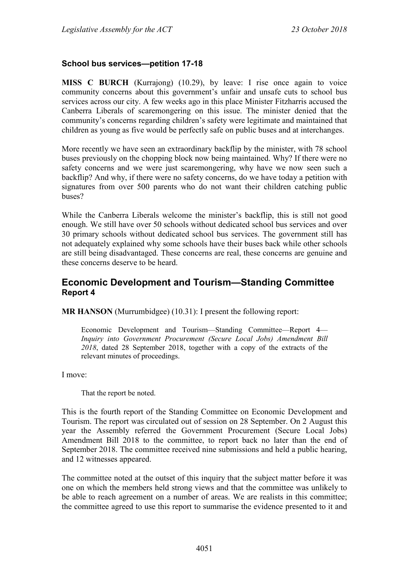#### <span id="page-15-0"></span>**School bus services—petition 17-18**

**MISS C BURCH** (Kurrajong) (10.29), by leave: I rise once again to voice community concerns about this government's unfair and unsafe cuts to school bus services across our city. A few weeks ago in this place Minister Fitzharris accused the Canberra Liberals of scaremongering on this issue. The minister denied that the community's concerns regarding children's safety were legitimate and maintained that children as young as five would be perfectly safe on public buses and at interchanges.

More recently we have seen an extraordinary backflip by the minister, with 78 school buses previously on the chopping block now being maintained. Why? If there were no safety concerns and we were just scaremongering, why have we now seen such a backflip? And why, if there were no safety concerns, do we have today a petition with signatures from over 500 parents who do not want their children catching public buses?

While the Canberra Liberals welcome the minister's backflip, this is still not good enough. We still have over 50 schools without dedicated school bus services and over 30 primary schools without dedicated school bus services. The government still has not adequately explained why some schools have their buses back while other schools are still being disadvantaged. These concerns are real, these concerns are genuine and these concerns deserve to be heard.

#### <span id="page-15-1"></span>**Economic Development and Tourism—Standing Committee Report 4**

**MR HANSON** (Murrumbidgee) (10.31): I present the following report:

Economic Development and Tourism—Standing Committee—Report 4— *Inquiry into Government Procurement (Secure Local Jobs) Amendment Bill 2018*, dated 28 September 2018, together with a copy of the extracts of the relevant minutes of proceedings.

I move:

That the report be noted.

This is the fourth report of the Standing Committee on Economic Development and Tourism. The report was circulated out of session on 28 September. On 2 August this year the Assembly referred the Government Procurement (Secure Local Jobs) Amendment Bill 2018 to the committee, to report back no later than the end of September 2018. The committee received nine submissions and held a public hearing, and 12 witnesses appeared.

The committee noted at the outset of this inquiry that the subject matter before it was one on which the members held strong views and that the committee was unlikely to be able to reach agreement on a number of areas. We are realists in this committee; the committee agreed to use this report to summarise the evidence presented to it and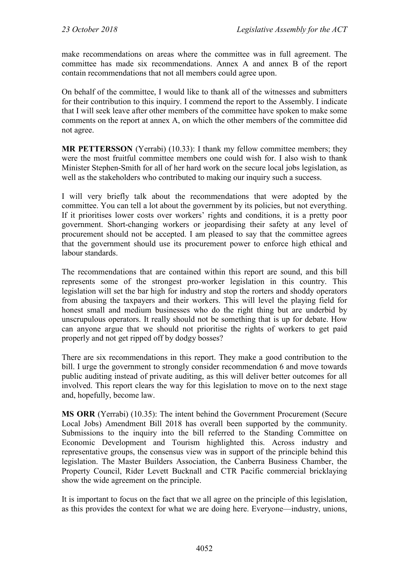make recommendations on areas where the committee was in full agreement. The committee has made six recommendations. Annex A and annex B of the report contain recommendations that not all members could agree upon.

On behalf of the committee, I would like to thank all of the witnesses and submitters for their contribution to this inquiry. I commend the report to the Assembly. I indicate that I will seek leave after other members of the committee have spoken to make some comments on the report at annex A, on which the other members of the committee did not agree.

**MR PETTERSSON** (Yerrabi) (10.33): I thank my fellow committee members; they were the most fruitful committee members one could wish for. I also wish to thank Minister Stephen-Smith for all of her hard work on the secure local jobs legislation, as well as the stakeholders who contributed to making our inquiry such a success.

I will very briefly talk about the recommendations that were adopted by the committee. You can tell a lot about the government by its policies, but not everything. If it prioritises lower costs over workers' rights and conditions, it is a pretty poor government. Short-changing workers or jeopardising their safety at any level of procurement should not be accepted. I am pleased to say that the committee agrees that the government should use its procurement power to enforce high ethical and labour standards.

The recommendations that are contained within this report are sound, and this bill represents some of the strongest pro-worker legislation in this country. This legislation will set the bar high for industry and stop the rorters and shoddy operators from abusing the taxpayers and their workers. This will level the playing field for honest small and medium businesses who do the right thing but are underbid by unscrupulous operators. It really should not be something that is up for debate. How can anyone argue that we should not prioritise the rights of workers to get paid properly and not get ripped off by dodgy bosses?

There are six recommendations in this report. They make a good contribution to the bill. I urge the government to strongly consider recommendation 6 and move towards public auditing instead of private auditing, as this will deliver better outcomes for all involved. This report clears the way for this legislation to move on to the next stage and, hopefully, become law.

**MS ORR** (Yerrabi) (10.35): The intent behind the Government Procurement (Secure Local Jobs) Amendment Bill 2018 has overall been supported by the community. Submissions to the inquiry into the bill referred to the Standing Committee on Economic Development and Tourism highlighted this. Across industry and representative groups, the consensus view was in support of the principle behind this legislation. The Master Builders Association, the Canberra Business Chamber, the Property Council, Rider Levett Bucknall and CTR Pacific commercial bricklaying show the wide agreement on the principle.

It is important to focus on the fact that we all agree on the principle of this legislation, as this provides the context for what we are doing here. Everyone—industry, unions,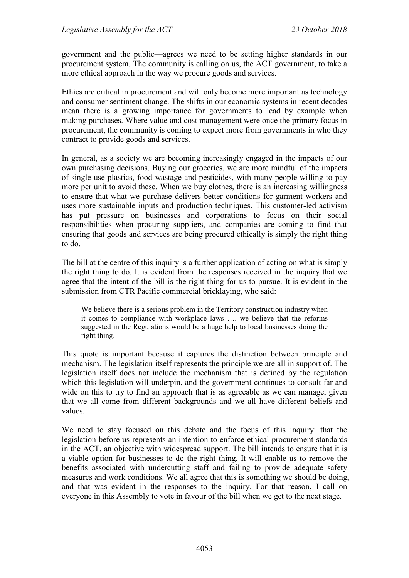government and the public—agrees we need to be setting higher standards in our procurement system. The community is calling on us, the ACT government, to take a more ethical approach in the way we procure goods and services.

Ethics are critical in procurement and will only become more important as technology and consumer sentiment change. The shifts in our economic systems in recent decades mean there is a growing importance for governments to lead by example when making purchases. Where value and cost management were once the primary focus in procurement, the community is coming to expect more from governments in who they contract to provide goods and services.

In general, as a society we are becoming increasingly engaged in the impacts of our own purchasing decisions. Buying our groceries, we are more mindful of the impacts of single-use plastics, food wastage and pesticides, with many people willing to pay more per unit to avoid these. When we buy clothes, there is an increasing willingness to ensure that what we purchase delivers better conditions for garment workers and uses more sustainable inputs and production techniques. This customer-led activism has put pressure on businesses and corporations to focus on their social responsibilities when procuring suppliers, and companies are coming to find that ensuring that goods and services are being procured ethically is simply the right thing to do.

The bill at the centre of this inquiry is a further application of acting on what is simply the right thing to do. It is evident from the responses received in the inquiry that we agree that the intent of the bill is the right thing for us to pursue. It is evident in the submission from CTR Pacific commercial bricklaying, who said:

We believe there is a serious problem in the Territory construction industry when it comes to compliance with workplace laws …. we believe that the reforms suggested in the Regulations would be a huge help to local businesses doing the right thing.

This quote is important because it captures the distinction between principle and mechanism. The legislation itself represents the principle we are all in support of. The legislation itself does not include the mechanism that is defined by the regulation which this legislation will underpin, and the government continues to consult far and wide on this to try to find an approach that is as agreeable as we can manage, given that we all come from different backgrounds and we all have different beliefs and values.

We need to stay focused on this debate and the focus of this inquiry: that the legislation before us represents an intention to enforce ethical procurement standards in the ACT, an objective with widespread support. The bill intends to ensure that it is a viable option for businesses to do the right thing. It will enable us to remove the benefits associated with undercutting staff and failing to provide adequate safety measures and work conditions. We all agree that this is something we should be doing, and that was evident in the responses to the inquiry. For that reason, I call on everyone in this Assembly to vote in favour of the bill when we get to the next stage.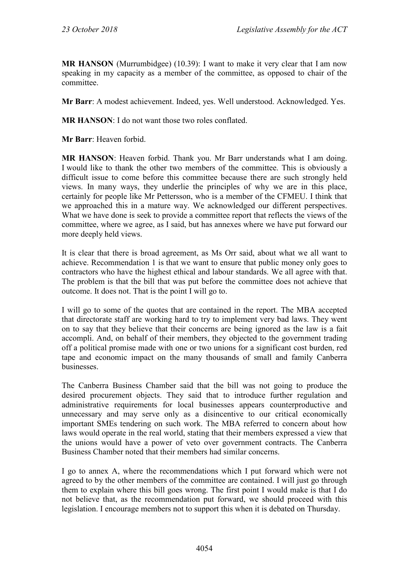**MR HANSON** (Murrumbidgee) (10.39): I want to make it very clear that I am now speaking in my capacity as a member of the committee, as opposed to chair of the committee.

**Mr Barr**: A modest achievement. Indeed, yes. Well understood. Acknowledged. Yes.

**MR HANSON**: I do not want those two roles conflated.

**Mr Barr**: Heaven forbid.

**MR HANSON**: Heaven forbid. Thank you. Mr Barr understands what I am doing. I would like to thank the other two members of the committee. This is obviously a difficult issue to come before this committee because there are such strongly held views. In many ways, they underlie the principles of why we are in this place, certainly for people like Mr Pettersson, who is a member of the CFMEU. I think that we approached this in a mature way. We acknowledged our different perspectives. What we have done is seek to provide a committee report that reflects the views of the committee, where we agree, as I said, but has annexes where we have put forward our more deeply held views.

It is clear that there is broad agreement, as Ms Orr said, about what we all want to achieve. Recommendation 1 is that we want to ensure that public money only goes to contractors who have the highest ethical and labour standards. We all agree with that. The problem is that the bill that was put before the committee does not achieve that outcome. It does not. That is the point I will go to.

I will go to some of the quotes that are contained in the report. The MBA accepted that directorate staff are working hard to try to implement very bad laws. They went on to say that they believe that their concerns are being ignored as the law is a fait accompli. And, on behalf of their members, they objected to the government trading off a political promise made with one or two unions for a significant cost burden, red tape and economic impact on the many thousands of small and family Canberra **businesses** 

The Canberra Business Chamber said that the bill was not going to produce the desired procurement objects. They said that to introduce further regulation and administrative requirements for local businesses appears counterproductive and unnecessary and may serve only as a disincentive to our critical economically important SMEs tendering on such work. The MBA referred to concern about how laws would operate in the real world, stating that their members expressed a view that the unions would have a power of veto over government contracts. The Canberra Business Chamber noted that their members had similar concerns.

I go to annex A, where the recommendations which I put forward which were not agreed to by the other members of the committee are contained. I will just go through them to explain where this bill goes wrong. The first point I would make is that I do not believe that, as the recommendation put forward, we should proceed with this legislation. I encourage members not to support this when it is debated on Thursday.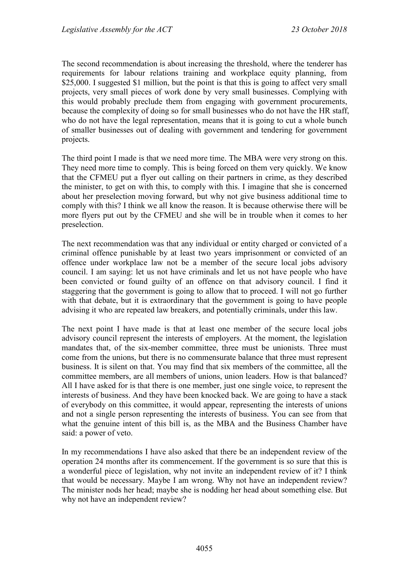The second recommendation is about increasing the threshold, where the tenderer has requirements for labour relations training and workplace equity planning, from \$25,000. I suggested \$1 million, but the point is that this is going to affect very small projects, very small pieces of work done by very small businesses. Complying with this would probably preclude them from engaging with government procurements, because the complexity of doing so for small businesses who do not have the HR staff, who do not have the legal representation, means that it is going to cut a whole bunch of smaller businesses out of dealing with government and tendering for government projects.

The third point I made is that we need more time. The MBA were very strong on this. They need more time to comply. This is being forced on them very quickly. We know that the CFMEU put a flyer out calling on their partners in crime, as they described the minister, to get on with this, to comply with this. I imagine that she is concerned about her preselection moving forward, but why not give business additional time to comply with this? I think we all know the reason. It is because otherwise there will be more flyers put out by the CFMEU and she will be in trouble when it comes to her preselection.

The next recommendation was that any individual or entity charged or convicted of a criminal offence punishable by at least two years imprisonment or convicted of an offence under workplace law not be a member of the secure local jobs advisory council. I am saying: let us not have criminals and let us not have people who have been convicted or found guilty of an offence on that advisory council. I find it staggering that the government is going to allow that to proceed. I will not go further with that debate, but it is extraordinary that the government is going to have people advising it who are repeated law breakers, and potentially criminals, under this law.

The next point I have made is that at least one member of the secure local jobs advisory council represent the interests of employers. At the moment, the legislation mandates that, of the six-member committee, three must be unionists. Three must come from the unions, but there is no commensurate balance that three must represent business. It is silent on that. You may find that six members of the committee, all the committee members, are all members of unions, union leaders. How is that balanced? All I have asked for is that there is one member, just one single voice, to represent the interests of business. And they have been knocked back. We are going to have a stack of everybody on this committee, it would appear, representing the interests of unions and not a single person representing the interests of business. You can see from that what the genuine intent of this bill is, as the MBA and the Business Chamber have said: a power of veto.

In my recommendations I have also asked that there be an independent review of the operation 24 months after its commencement. If the government is so sure that this is a wonderful piece of legislation, why not invite an independent review of it? I think that would be necessary. Maybe I am wrong. Why not have an independent review? The minister nods her head; maybe she is nodding her head about something else. But why not have an independent review?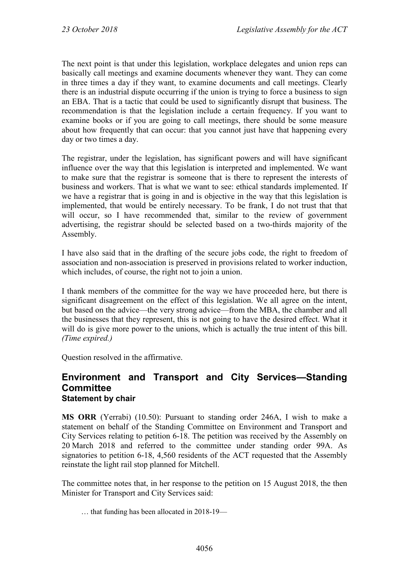The next point is that under this legislation, workplace delegates and union reps can basically call meetings and examine documents whenever they want. They can come in three times a day if they want, to examine documents and call meetings. Clearly there is an industrial dispute occurring if the union is trying to force a business to sign an EBA. That is a tactic that could be used to significantly disrupt that business. The recommendation is that the legislation include a certain frequency. If you want to examine books or if you are going to call meetings, there should be some measure about how frequently that can occur: that you cannot just have that happening every day or two times a day.

The registrar, under the legislation, has significant powers and will have significant influence over the way that this legislation is interpreted and implemented. We want to make sure that the registrar is someone that is there to represent the interests of business and workers. That is what we want to see: ethical standards implemented. If we have a registrar that is going in and is objective in the way that this legislation is implemented, that would be entirely necessary. To be frank, I do not trust that that will occur, so I have recommended that, similar to the review of government advertising, the registrar should be selected based on a two-thirds majority of the Assembly.

I have also said that in the drafting of the secure jobs code, the right to freedom of association and non-association is preserved in provisions related to worker induction, which includes, of course, the right not to join a union.

I thank members of the committee for the way we have proceeded here, but there is significant disagreement on the effect of this legislation. We all agree on the intent, but based on the advice—the very strong advice—from the MBA, the chamber and all the businesses that they represent, this is not going to have the desired effect. What it will do is give more power to the unions, which is actually the true intent of this bill. *(Time expired.)*

Question resolved in the affirmative.

#### <span id="page-20-0"></span>**Environment and Transport and City Services—Standing Committee Statement by chair**

**MS ORR** (Yerrabi) (10.50): Pursuant to standing order 246A, I wish to make a statement on behalf of the Standing Committee on Environment and Transport and City Services relating to petition 6-18. The petition was received by the Assembly on 20 March 2018 and referred to the committee under standing order 99A. As signatories to petition 6-18, 4,560 residents of the ACT requested that the Assembly reinstate the light rail stop planned for Mitchell.

The committee notes that, in her response to the petition on 15 August 2018, the then Minister for Transport and City Services said:

… that funding has been allocated in 2018-19—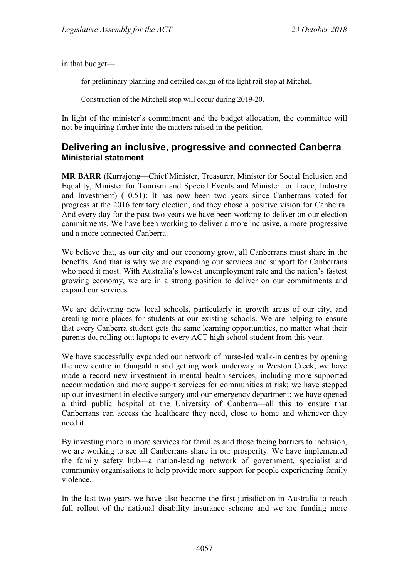in that budget—

for preliminary planning and detailed design of the light rail stop at Mitchell.

Construction of the Mitchell stop will occur during 2019-20.

In light of the minister's commitment and the budget allocation, the committee will not be inquiring further into the matters raised in the petition.

## <span id="page-21-1"></span><span id="page-21-0"></span>**Delivering an inclusive, progressive and connected Canberra Ministerial statement**

**MR BARR** (Kurrajong—Chief Minister, Treasurer, Minister for Social Inclusion and Equality, Minister for Tourism and Special Events and Minister for Trade, Industry and Investment) (10.51): It has now been two years since Canberrans voted for progress at the 2016 territory election, and they chose a positive vision for Canberra. And every day for the past two years we have been working to deliver on our election commitments. We have been working to deliver a more inclusive, a more progressive and a more connected Canberra.

We believe that, as our city and our economy grow, all Canberrans must share in the benefits. And that is why we are expanding our services and support for Canberrans who need it most. With Australia's lowest unemployment rate and the nation's fastest growing economy, we are in a strong position to deliver on our commitments and expand our services.

We are delivering new local schools, particularly in growth areas of our city, and creating more places for students at our existing schools. We are helping to ensure that every Canberra student gets the same learning opportunities, no matter what their parents do, rolling out laptops to every ACT high school student from this year.

We have successfully expanded our network of nurse-led walk-in centres by opening the new centre in Gungahlin and getting work underway in Weston Creek; we have made a record new investment in mental health services, including more supported accommodation and more support services for communities at risk; we have stepped up our investment in elective surgery and our emergency department; we have opened a third public hospital at the University of Canberra—all this to ensure that Canberrans can access the healthcare they need, close to home and whenever they need it.

By investing more in more services for families and those facing barriers to inclusion, we are working to see all Canberrans share in our prosperity. We have implemented the family safety hub—a nation-leading network of government, specialist and community organisations to help provide more support for people experiencing family violence.

In the last two years we have also become the first jurisdiction in Australia to reach full rollout of the national disability insurance scheme and we are funding more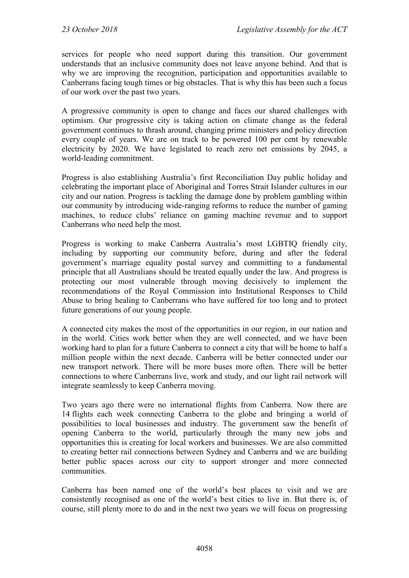services for people who need support during this transition. Our government understands that an inclusive community does not leave anyone behind. And that is why we are improving the recognition, participation and opportunities available to Canberrans facing tough times or big obstacles. That is why this has been such a focus of our work over the past two years.

A progressive community is open to change and faces our shared challenges with optimism. Our progressive city is taking action on climate change as the federal government continues to thrash around, changing prime ministers and policy direction every couple of years. We are on track to be powered 100 per cent by renewable electricity by 2020. We have legislated to reach zero net emissions by 2045, a world-leading commitment.

Progress is also establishing Australia's first Reconciliation Day public holiday and celebrating the important place of Aboriginal and Torres Strait Islander cultures in our city and our nation. Progress is tackling the damage done by problem gambling within our community by introducing wide-ranging reforms to reduce the number of gaming machines, to reduce clubs' reliance on gaming machine revenue and to support Canberrans who need help the most.

Progress is working to make Canberra Australia's most LGBTIQ friendly city, including by supporting our community before, during and after the federal government's marriage equality postal survey and committing to a fundamental principle that all Australians should be treated equally under the law. And progress is protecting our most vulnerable through moving decisively to implement the recommendations of the Royal Commission into Institutional Responses to Child Abuse to bring healing to Canberrans who have suffered for too long and to protect future generations of our young people.

A connected city makes the most of the opportunities in our region, in our nation and in the world. Cities work better when they are well connected, and we have been working hard to plan for a future Canberra to connect a city that will be home to half a million people within the next decade. Canberra will be better connected under our new transport network. There will be more buses more often. There will be better connections to where Canberrans live, work and study, and our light rail network will integrate seamlessly to keep Canberra moving.

Two years ago there were no international flights from Canberra. Now there are 14 flights each week connecting Canberra to the globe and bringing a world of possibilities to local businesses and industry. The government saw the benefit of opening Canberra to the world, particularly through the many new jobs and opportunities this is creating for local workers and businesses. We are also committed to creating better rail connections between Sydney and Canberra and we are building better public spaces across our city to support stronger and more connected communities.

Canberra has been named one of the world's best places to visit and we are consistently recognised as one of the world's best cities to live in. But there is, of course, still plenty more to do and in the next two years we will focus on progressing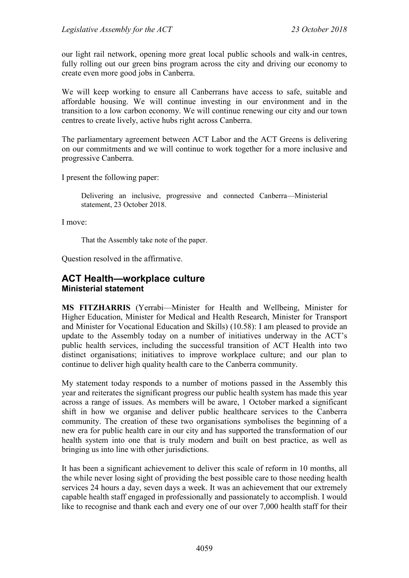our light rail network, opening more great local public schools and walk-in centres, fully rolling out our green bins program across the city and driving our economy to create even more good jobs in Canberra.

We will keep working to ensure all Canberrans have access to safe, suitable and affordable housing. We will continue investing in our environment and in the transition to a low carbon economy. We will continue renewing our city and our town centres to create lively, active hubs right across Canberra.

The parliamentary agreement between ACT Labor and the ACT Greens is delivering on our commitments and we will continue to work together for a more inclusive and progressive Canberra.

I present the following paper:

Delivering an inclusive, progressive and connected Canberra—Ministerial statement, 23 October 2018.

I move:

That the Assembly take note of the paper.

Question resolved in the affirmative.

#### <span id="page-23-1"></span><span id="page-23-0"></span>**ACT Health—workplace culture Ministerial statement**

**MS FITZHARRIS** (Yerrabi—Minister for Health and Wellbeing, Minister for Higher Education, Minister for Medical and Health Research, Minister for Transport and Minister for Vocational Education and Skills) (10.58): I am pleased to provide an update to the Assembly today on a number of initiatives underway in the ACT's public health services, including the successful transition of ACT Health into two distinct organisations; initiatives to improve workplace culture; and our plan to continue to deliver high quality health care to the Canberra community.

My statement today responds to a number of motions passed in the Assembly this year and reiterates the significant progress our public health system has made this year across a range of issues. As members will be aware, 1 October marked a significant shift in how we organise and deliver public healthcare services to the Canberra community. The creation of these two organisations symbolises the beginning of a new era for public health care in our city and has supported the transformation of our health system into one that is truly modern and built on best practice, as well as bringing us into line with other jurisdictions.

It has been a significant achievement to deliver this scale of reform in 10 months, all the while never losing sight of providing the best possible care to those needing health services 24 hours a day, seven days a week. It was an achievement that our extremely capable health staff engaged in professionally and passionately to accomplish. I would like to recognise and thank each and every one of our over 7,000 health staff for their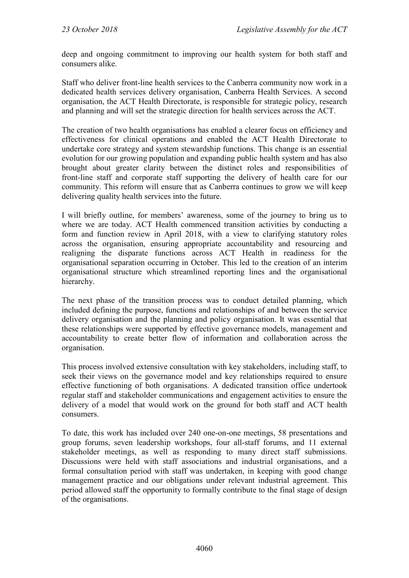deep and ongoing commitment to improving our health system for both staff and consumers alike.

Staff who deliver front-line health services to the Canberra community now work in a dedicated health services delivery organisation, Canberra Health Services. A second organisation, the ACT Health Directorate, is responsible for strategic policy, research and planning and will set the strategic direction for health services across the ACT.

The creation of two health organisations has enabled a clearer focus on efficiency and effectiveness for clinical operations and enabled the ACT Health Directorate to undertake core strategy and system stewardship functions. This change is an essential evolution for our growing population and expanding public health system and has also brought about greater clarity between the distinct roles and responsibilities of front-line staff and corporate staff supporting the delivery of health care for our community. This reform will ensure that as Canberra continues to grow we will keep delivering quality health services into the future.

I will briefly outline, for members' awareness, some of the journey to bring us to where we are today. ACT Health commenced transition activities by conducting a form and function review in April 2018, with a view to clarifying statutory roles across the organisation, ensuring appropriate accountability and resourcing and realigning the disparate functions across ACT Health in readiness for the organisational separation occurring in October. This led to the creation of an interim organisational structure which streamlined reporting lines and the organisational hierarchy.

The next phase of the transition process was to conduct detailed planning, which included defining the purpose, functions and relationships of and between the service delivery organisation and the planning and policy organisation. It was essential that these relationships were supported by effective governance models, management and accountability to create better flow of information and collaboration across the organisation.

This process involved extensive consultation with key stakeholders, including staff, to seek their views on the governance model and key relationships required to ensure effective functioning of both organisations. A dedicated transition office undertook regular staff and stakeholder communications and engagement activities to ensure the delivery of a model that would work on the ground for both staff and ACT health consumers.

To date, this work has included over 240 one-on-one meetings, 58 presentations and group forums, seven leadership workshops, four all-staff forums, and 11 external stakeholder meetings, as well as responding to many direct staff submissions. Discussions were held with staff associations and industrial organisations, and a formal consultation period with staff was undertaken, in keeping with good change management practice and our obligations under relevant industrial agreement. This period allowed staff the opportunity to formally contribute to the final stage of design of the organisations.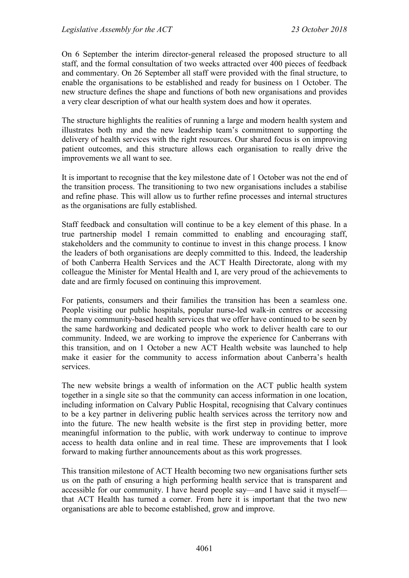On 6 September the interim director-general released the proposed structure to all staff, and the formal consultation of two weeks attracted over 400 pieces of feedback and commentary. On 26 September all staff were provided with the final structure, to enable the organisations to be established and ready for business on 1 October. The new structure defines the shape and functions of both new organisations and provides a very clear description of what our health system does and how it operates.

The structure highlights the realities of running a large and modern health system and illustrates both my and the new leadership team's commitment to supporting the delivery of health services with the right resources. Our shared focus is on improving patient outcomes, and this structure allows each organisation to really drive the improvements we all want to see.

It is important to recognise that the key milestone date of 1 October was not the end of the transition process. The transitioning to two new organisations includes a stabilise and refine phase. This will allow us to further refine processes and internal structures as the organisations are fully established.

Staff feedback and consultation will continue to be a key element of this phase. In a true partnership model I remain committed to enabling and encouraging staff, stakeholders and the community to continue to invest in this change process. I know the leaders of both organisations are deeply committed to this. Indeed, the leadership of both Canberra Health Services and the ACT Health Directorate, along with my colleague the Minister for Mental Health and I, are very proud of the achievements to date and are firmly focused on continuing this improvement.

For patients, consumers and their families the transition has been a seamless one. People visiting our public hospitals, popular nurse-led walk-in centres or accessing the many community-based health services that we offer have continued to be seen by the same hardworking and dedicated people who work to deliver health care to our community. Indeed, we are working to improve the experience for Canberrans with this transition, and on 1 October a new ACT Health website was launched to help make it easier for the community to access information about Canberra's health services.

The new website brings a wealth of information on the ACT public health system together in a single site so that the community can access information in one location, including information on Calvary Public Hospital, recognising that Calvary continues to be a key partner in delivering public health services across the territory now and into the future. The new health website is the first step in providing better, more meaningful information to the public, with work underway to continue to improve access to health data online and in real time. These are improvements that I look forward to making further announcements about as this work progresses.

This transition milestone of ACT Health becoming two new organisations further sets us on the path of ensuring a high performing health service that is transparent and accessible for our community. I have heard people say—and I have said it myself that ACT Health has turned a corner. From here it is important that the two new organisations are able to become established, grow and improve.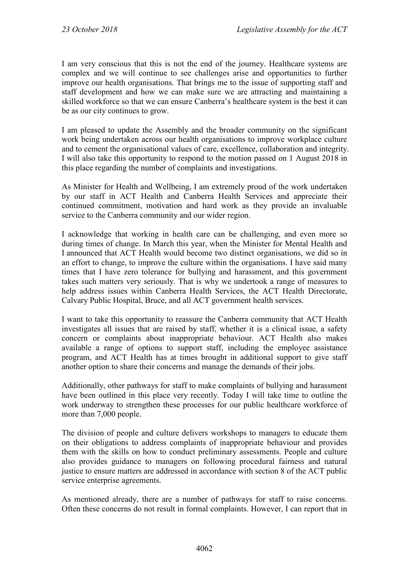I am very conscious that this is not the end of the journey. Healthcare systems are complex and we will continue to see challenges arise and opportunities to further improve our health organisations. That brings me to the issue of supporting staff and staff development and how we can make sure we are attracting and maintaining a skilled workforce so that we can ensure Canberra's healthcare system is the best it can be as our city continues to grow.

I am pleased to update the Assembly and the broader community on the significant work being undertaken across our health organisations to improve workplace culture and to cement the organisational values of care, excellence, collaboration and integrity. I will also take this opportunity to respond to the motion passed on 1 August 2018 in this place regarding the number of complaints and investigations.

As Minister for Health and Wellbeing, I am extremely proud of the work undertaken by our staff in ACT Health and Canberra Health Services and appreciate their continued commitment, motivation and hard work as they provide an invaluable service to the Canberra community and our wider region.

I acknowledge that working in health care can be challenging, and even more so during times of change. In March this year, when the Minister for Mental Health and I announced that ACT Health would become two distinct organisations, we did so in an effort to change, to improve the culture within the organisations. I have said many times that I have zero tolerance for bullying and harassment, and this government takes such matters very seriously. That is why we undertook a range of measures to help address issues within Canberra Health Services, the ACT Health Directorate, Calvary Public Hospital, Bruce, and all ACT government health services.

I want to take this opportunity to reassure the Canberra community that ACT Health investigates all issues that are raised by staff, whether it is a clinical issue, a safety concern or complaints about inappropriate behaviour. ACT Health also makes available a range of options to support staff, including the employee assistance program, and ACT Health has at times brought in additional support to give staff another option to share their concerns and manage the demands of their jobs.

Additionally, other pathways for staff to make complaints of bullying and harassment have been outlined in this place very recently. Today I will take time to outline the work underway to strengthen these processes for our public healthcare workforce of more than 7,000 people.

The division of people and culture delivers workshops to managers to educate them on their obligations to address complaints of inappropriate behaviour and provides them with the skills on how to conduct preliminary assessments. People and culture also provides guidance to managers on following procedural fairness and natural justice to ensure matters are addressed in accordance with section 8 of the ACT public service enterprise agreements.

As mentioned already, there are a number of pathways for staff to raise concerns. Often these concerns do not result in formal complaints. However, I can report that in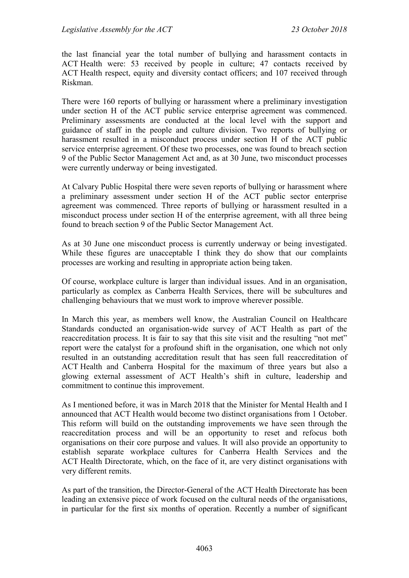the last financial year the total number of bullying and harassment contacts in ACT Health were: 53 received by people in culture; 47 contacts received by ACT Health respect, equity and diversity contact officers; and 107 received through Riskman.

There were 160 reports of bullying or harassment where a preliminary investigation under section H of the ACT public service enterprise agreement was commenced. Preliminary assessments are conducted at the local level with the support and guidance of staff in the people and culture division. Two reports of bullying or harassment resulted in a misconduct process under section H of the ACT public service enterprise agreement. Of these two processes, one was found to breach section 9 of the Public Sector Management Act and, as at 30 June, two misconduct processes were currently underway or being investigated.

At Calvary Public Hospital there were seven reports of bullying or harassment where a preliminary assessment under section H of the ACT public sector enterprise agreement was commenced. Three reports of bullying or harassment resulted in a misconduct process under section H of the enterprise agreement, with all three being found to breach section 9 of the Public Sector Management Act.

As at 30 June one misconduct process is currently underway or being investigated. While these figures are unacceptable I think they do show that our complaints processes are working and resulting in appropriate action being taken.

Of course, workplace culture is larger than individual issues. And in an organisation, particularly as complex as Canberra Health Services, there will be subcultures and challenging behaviours that we must work to improve wherever possible.

In March this year, as members well know, the Australian Council on Healthcare Standards conducted an organisation-wide survey of ACT Health as part of the reaccreditation process. It is fair to say that this site visit and the resulting "not met" report were the catalyst for a profound shift in the organisation, one which not only resulted in an outstanding accreditation result that has seen full reaccreditation of ACT Health and Canberra Hospital for the maximum of three years but also a glowing external assessment of ACT Health's shift in culture, leadership and commitment to continue this improvement.

As I mentioned before, it was in March 2018 that the Minister for Mental Health and I announced that ACT Health would become two distinct organisations from 1 October. This reform will build on the outstanding improvements we have seen through the reaccreditation process and will be an opportunity to reset and refocus both organisations on their core purpose and values. It will also provide an opportunity to establish separate workplace cultures for Canberra Health Services and the ACT Health Directorate, which, on the face of it, are very distinct organisations with very different remits.

As part of the transition, the Director-General of the ACT Health Directorate has been leading an extensive piece of work focused on the cultural needs of the organisations, in particular for the first six months of operation. Recently a number of significant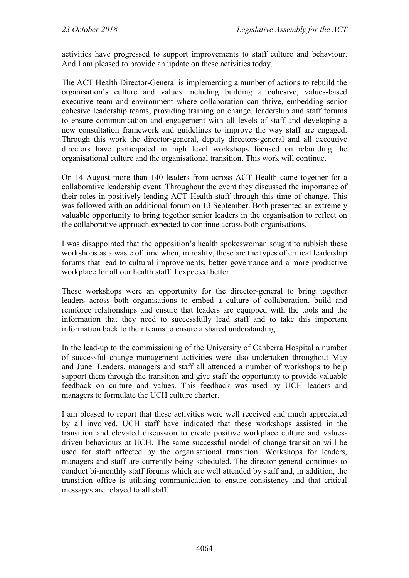activities have progressed to support improvements to staff culture and behaviour. And I am pleased to provide an update on these activities today.

The ACT Health Director-General is implementing a number of actions to rebuild the organisation's culture and values including building a cohesive, values-based executive team and environment where collaboration can thrive, embedding senior cohesive leadership teams, providing training on change, leadership and staff forums to ensure communication and engagement with all levels of staff and developing a new consultation framework and guidelines to improve the way staff are engaged. Through this work the director-general, deputy directors-general and all executive directors have participated in high level workshops focused on rebuilding the organisational culture and the organisational transition. This work will continue.

On 14 August more than 140 leaders from across ACT Health came together for a collaborative leadership event. Throughout the event they discussed the importance of their roles in positively leading ACT Health staff through this time of change. This was followed with an additional forum on 13 September. Both presented an extremely valuable opportunity to bring together senior leaders in the organisation to reflect on the collaborative approach expected to continue across both organisations.

I was disappointed that the opposition's health spokeswoman sought to rubbish these workshops as a waste of time when, in reality, these are the types of critical leadership forums that lead to cultural improvements, better governance and a more productive workplace for all our health staff. I expected better.

These workshops were an opportunity for the director-general to bring together leaders across both organisations to embed a culture of collaboration, build and reinforce relationships and ensure that leaders are equipped with the tools and the information that they need to successfully lead staff and to take this important information back to their teams to ensure a shared understanding.

In the lead-up to the commissioning of the University of Canberra Hospital a number of successful change management activities were also undertaken throughout May and June. Leaders, managers and staff all attended a number of workshops to help support them through the transition and give staff the opportunity to provide valuable feedback on culture and values. This feedback was used by UCH leaders and managers to formulate the UCH culture charter.

I am pleased to report that these activities were well received and much appreciated by all involved. UCH staff have indicated that these workshops assisted in the transition and elevated discussion to create positive workplace culture and valuesdriven behaviours at UCH. The same successful model of change transition will be used for staff affected by the organisational transition. Workshops for leaders, managers and staff are currently being scheduled. The director-general continues to conduct bi-monthly staff forums which are well attended by staff and, in addition, the transition office is utilising communication to ensure consistency and that critical messages are relayed to all staff.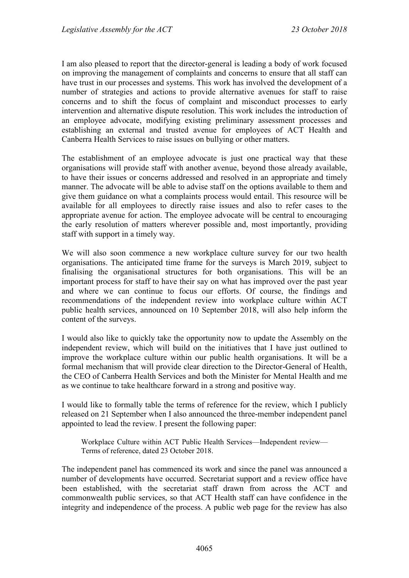I am also pleased to report that the director-general is leading a body of work focused on improving the management of complaints and concerns to ensure that all staff can have trust in our processes and systems. This work has involved the development of a number of strategies and actions to provide alternative avenues for staff to raise concerns and to shift the focus of complaint and misconduct processes to early intervention and alternative dispute resolution. This work includes the introduction of an employee advocate, modifying existing preliminary assessment processes and establishing an external and trusted avenue for employees of ACT Health and Canberra Health Services to raise issues on bullying or other matters.

The establishment of an employee advocate is just one practical way that these organisations will provide staff with another avenue, beyond those already available, to have their issues or concerns addressed and resolved in an appropriate and timely manner. The advocate will be able to advise staff on the options available to them and give them guidance on what a complaints process would entail. This resource will be available for all employees to directly raise issues and also to refer cases to the appropriate avenue for action. The employee advocate will be central to encouraging the early resolution of matters wherever possible and, most importantly, providing staff with support in a timely way.

We will also soon commence a new workplace culture survey for our two health organisations. The anticipated time frame for the surveys is March 2019, subject to finalising the organisational structures for both organisations. This will be an important process for staff to have their say on what has improved over the past year and where we can continue to focus our efforts. Of course, the findings and recommendations of the independent review into workplace culture within ACT public health services, announced on 10 September 2018, will also help inform the content of the surveys.

I would also like to quickly take the opportunity now to update the Assembly on the independent review, which will build on the initiatives that I have just outlined to improve the workplace culture within our public health organisations. It will be a formal mechanism that will provide clear direction to the Director-General of Health, the CEO of Canberra Health Services and both the Minister for Mental Health and me as we continue to take healthcare forward in a strong and positive way.

I would like to formally table the terms of reference for the review, which I publicly released on 21 September when I also announced the three-member independent panel appointed to lead the review. I present the following paper:

Workplace Culture within ACT Public Health Services—Independent review— Terms of reference, dated 23 October 2018.

The independent panel has commenced its work and since the panel was announced a number of developments have occurred. Secretariat support and a review office have been established, with the secretariat staff drawn from across the ACT and commonwealth public services, so that ACT Health staff can have confidence in the integrity and independence of the process. A public web page for the review has also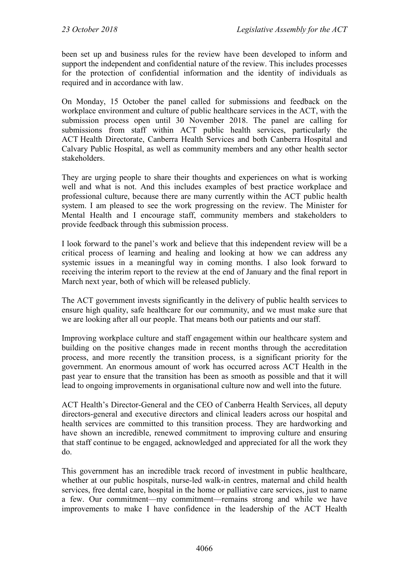been set up and business rules for the review have been developed to inform and support the independent and confidential nature of the review. This includes processes for the protection of confidential information and the identity of individuals as required and in accordance with law.

On Monday, 15 October the panel called for submissions and feedback on the workplace environment and culture of public healthcare services in the ACT, with the submission process open until 30 November 2018. The panel are calling for submissions from staff within ACT public health services, particularly the ACT Health Directorate, Canberra Health Services and both Canberra Hospital and Calvary Public Hospital, as well as community members and any other health sector stakeholders.

They are urging people to share their thoughts and experiences on what is working well and what is not. And this includes examples of best practice workplace and professional culture, because there are many currently within the ACT public health system. I am pleased to see the work progressing on the review. The Minister for Mental Health and I encourage staff, community members and stakeholders to provide feedback through this submission process.

I look forward to the panel's work and believe that this independent review will be a critical process of learning and healing and looking at how we can address any systemic issues in a meaningful way in coming months. I also look forward to receiving the interim report to the review at the end of January and the final report in March next year, both of which will be released publicly.

The ACT government invests significantly in the delivery of public health services to ensure high quality, safe healthcare for our community, and we must make sure that we are looking after all our people. That means both our patients and our staff.

Improving workplace culture and staff engagement within our healthcare system and building on the positive changes made in recent months through the accreditation process, and more recently the transition process, is a significant priority for the government. An enormous amount of work has occurred across ACT Health in the past year to ensure that the transition has been as smooth as possible and that it will lead to ongoing improvements in organisational culture now and well into the future.

ACT Health's Director-General and the CEO of Canberra Health Services, all deputy directors-general and executive directors and clinical leaders across our hospital and health services are committed to this transition process. They are hardworking and have shown an incredible, renewed commitment to improving culture and ensuring that staff continue to be engaged, acknowledged and appreciated for all the work they do.

This government has an incredible track record of investment in public healthcare, whether at our public hospitals, nurse-led walk-in centres, maternal and child health services, free dental care, hospital in the home or palliative care services, just to name a few. Our commitment—my commitment—remains strong and while we have improvements to make I have confidence in the leadership of the ACT Health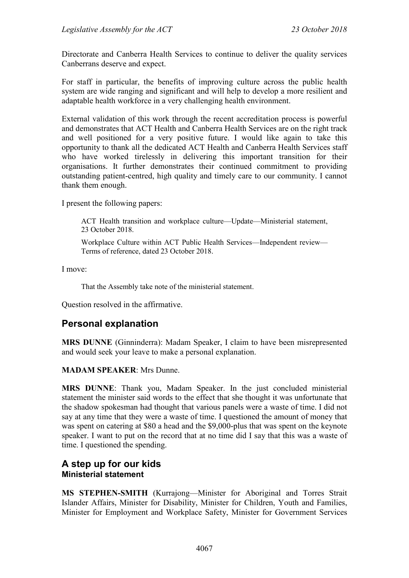Directorate and Canberra Health Services to continue to deliver the quality services Canberrans deserve and expect.

For staff in particular, the benefits of improving culture across the public health system are wide ranging and significant and will help to develop a more resilient and adaptable health workforce in a very challenging health environment.

External validation of this work through the recent accreditation process is powerful and demonstrates that ACT Health and Canberra Health Services are on the right track and well positioned for a very positive future. I would like again to take this opportunity to thank all the dedicated ACT Health and Canberra Health Services staff who have worked tirelessly in delivering this important transition for their organisations. It further demonstrates their continued commitment to providing outstanding patient-centred, high quality and timely care to our community. I cannot thank them enough.

I present the following papers:

ACT Health transition and workplace culture—Update—Ministerial statement, 23 October 2018.

Workplace Culture within ACT Public Health Services—Independent review— Terms of reference, dated 23 October 2018.

I move:

That the Assembly take note of the ministerial statement.

Question resolved in the affirmative.

#### <span id="page-31-0"></span>**Personal explanation**

**MRS DUNNE** (Ginninderra): Madam Speaker, I claim to have been misrepresented and would seek your leave to make a personal explanation.

#### **MADAM SPEAKER**: Mrs Dunne.

**MRS DUNNE**: Thank you, Madam Speaker. In the just concluded ministerial statement the minister said words to the effect that she thought it was unfortunate that the shadow spokesman had thought that various panels were a waste of time. I did not say at any time that they were a waste of time. I questioned the amount of money that was spent on catering at \$80 a head and the \$9,000-plus that was spent on the keynote speaker. I want to put on the record that at no time did I say that this was a waste of time. I questioned the spending.

#### <span id="page-31-2"></span><span id="page-31-1"></span>**A step up for our kids Ministerial statement**

**MS STEPHEN-SMITH** (Kurrajong—Minister for Aboriginal and Torres Strait Islander Affairs, Minister for Disability, Minister for Children, Youth and Families, Minister for Employment and Workplace Safety, Minister for Government Services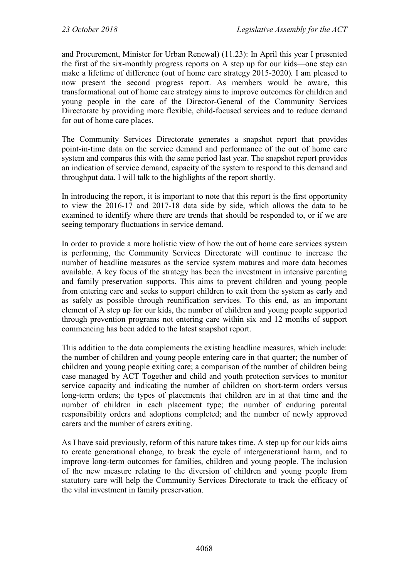and Procurement, Minister for Urban Renewal) (11.23): In April this year I presented the first of the six-monthly progress reports on A step up for our kids—one step can make a lifetime of difference (out of home care strategy 2015-2020)*.* I am pleased to now present the second progress report. As members would be aware, this transformational out of home care strategy aims to improve outcomes for children and young people in the care of the Director-General of the Community Services Directorate by providing more flexible, child-focused services and to reduce demand for out of home care places.

The Community Services Directorate generates a snapshot report that provides point-in-time data on the service demand and performance of the out of home care system and compares this with the same period last year. The snapshot report provides an indication of service demand, capacity of the system to respond to this demand and throughput data. I will talk to the highlights of the report shortly.

In introducing the report, it is important to note that this report is the first opportunity to view the 2016-17 and 2017-18 data side by side, which allows the data to be examined to identify where there are trends that should be responded to, or if we are seeing temporary fluctuations in service demand.

In order to provide a more holistic view of how the out of home care services system is performing, the Community Services Directorate will continue to increase the number of headline measures as the service system matures and more data becomes available. A key focus of the strategy has been the investment in intensive parenting and family preservation supports. This aims to prevent children and young people from entering care and seeks to support children to exit from the system as early and as safely as possible through reunification services. To this end, as an important element of A step up for our kids, the number of children and young people supported through prevention programs not entering care within six and 12 months of support commencing has been added to the latest snapshot report.

This addition to the data complements the existing headline measures, which include: the number of children and young people entering care in that quarter; the number of children and young people exiting care; a comparison of the number of children being case managed by ACT Together and child and youth protection services to monitor service capacity and indicating the number of children on short-term orders versus long-term orders; the types of placements that children are in at that time and the number of children in each placement type; the number of enduring parental responsibility orders and adoptions completed; and the number of newly approved carers and the number of carers exiting.

As I have said previously, reform of this nature takes time. A step up for our kids aims to create generational change, to break the cycle of intergenerational harm, and to improve long-term outcomes for families, children and young people. The inclusion of the new measure relating to the diversion of children and young people from statutory care will help the Community Services Directorate to track the efficacy of the vital investment in family preservation.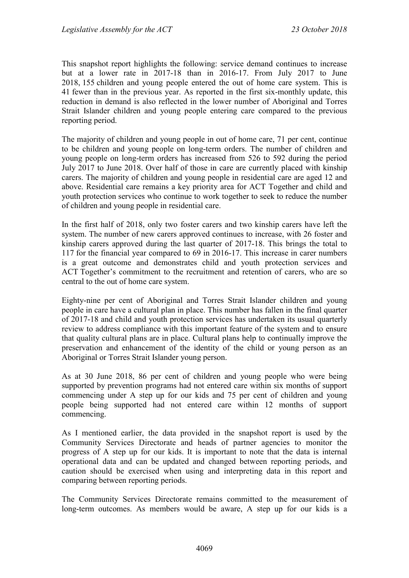This snapshot report highlights the following: service demand continues to increase but at a lower rate in 2017-18 than in 2016-17. From July 2017 to June 2018, 155 children and young people entered the out of home care system. This is 41 fewer than in the previous year. As reported in the first six-monthly update, this reduction in demand is also reflected in the lower number of Aboriginal and Torres Strait Islander children and young people entering care compared to the previous reporting period.

The majority of children and young people in out of home care, 71 per cent, continue to be children and young people on long-term orders. The number of children and young people on long-term orders has increased from 526 to 592 during the period July 2017 to June 2018. Over half of those in care are currently placed with kinship carers. The majority of children and young people in residential care are aged 12 and above. Residential care remains a key priority area for ACT Together and child and youth protection services who continue to work together to seek to reduce the number of children and young people in residential care.

In the first half of 2018, only two foster carers and two kinship carers have left the system. The number of new carers approved continues to increase, with 26 foster and kinship carers approved during the last quarter of 2017-18. This brings the total to 117 for the financial year compared to 69 in 2016-17. This increase in carer numbers is a great outcome and demonstrates child and youth protection services and ACT Together's commitment to the recruitment and retention of carers, who are so central to the out of home care system.

Eighty-nine per cent of Aboriginal and Torres Strait Islander children and young people in care have a cultural plan in place. This number has fallen in the final quarter of 2017-18 and child and youth protection services has undertaken its usual quarterly review to address compliance with this important feature of the system and to ensure that quality cultural plans are in place. Cultural plans help to continually improve the preservation and enhancement of the identity of the child or young person as an Aboriginal or Torres Strait Islander young person.

As at 30 June 2018, 86 per cent of children and young people who were being supported by prevention programs had not entered care within six months of support commencing under A step up for our kids and 75 per cent of children and young people being supported had not entered care within 12 months of support commencing.

As I mentioned earlier, the data provided in the snapshot report is used by the Community Services Directorate and heads of partner agencies to monitor the progress of A step up for our kids. It is important to note that the data is internal operational data and can be updated and changed between reporting periods, and caution should be exercised when using and interpreting data in this report and comparing between reporting periods.

The Community Services Directorate remains committed to the measurement of long-term outcomes. As members would be aware, A step up for our kids is a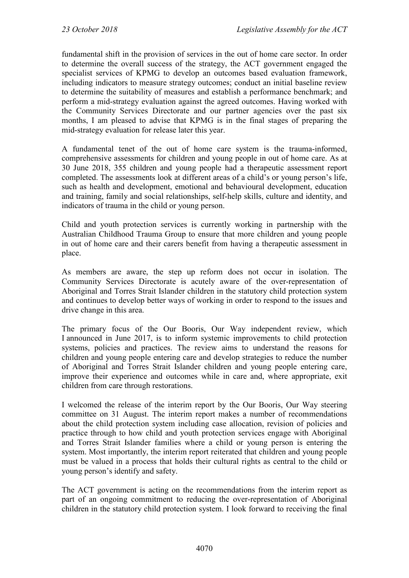fundamental shift in the provision of services in the out of home care sector. In order to determine the overall success of the strategy, the ACT government engaged the specialist services of KPMG to develop an outcomes based evaluation framework, including indicators to measure strategy outcomes; conduct an initial baseline review to determine the suitability of measures and establish a performance benchmark; and perform a mid-strategy evaluation against the agreed outcomes. Having worked with the Community Services Directorate and our partner agencies over the past six months, I am pleased to advise that KPMG is in the final stages of preparing the mid-strategy evaluation for release later this year.

A fundamental tenet of the out of home care system is the trauma-informed, comprehensive assessments for children and young people in out of home care. As at 30 June 2018, 355 children and young people had a therapeutic assessment report completed. The assessments look at different areas of a child's or young person's life, such as health and development, emotional and behavioural development, education and training, family and social relationships, self-help skills, culture and identity, and indicators of trauma in the child or young person.

Child and youth protection services is currently working in partnership with the Australian Childhood Trauma Group to ensure that more children and young people in out of home care and their carers benefit from having a therapeutic assessment in place.

As members are aware, the step up reform does not occur in isolation. The Community Services Directorate is acutely aware of the over-representation of Aboriginal and Torres Strait Islander children in the statutory child protection system and continues to develop better ways of working in order to respond to the issues and drive change in this area.

The primary focus of the Our Booris, Our Way independent review, which I announced in June 2017, is to inform systemic improvements to child protection systems, policies and practices. The review aims to understand the reasons for children and young people entering care and develop strategies to reduce the number of Aboriginal and Torres Strait Islander children and young people entering care, improve their experience and outcomes while in care and, where appropriate, exit children from care through restorations.

I welcomed the release of the interim report by the Our Booris, Our Way steering committee on 31 August. The interim report makes a number of recommendations about the child protection system including case allocation, revision of policies and practice through to how child and youth protection services engage with Aboriginal and Torres Strait Islander families where a child or young person is entering the system. Most importantly, the interim report reiterated that children and young people must be valued in a process that holds their cultural rights as central to the child or young person's identify and safety.

The ACT government is acting on the recommendations from the interim report as part of an ongoing commitment to reducing the over-representation of Aboriginal children in the statutory child protection system. I look forward to receiving the final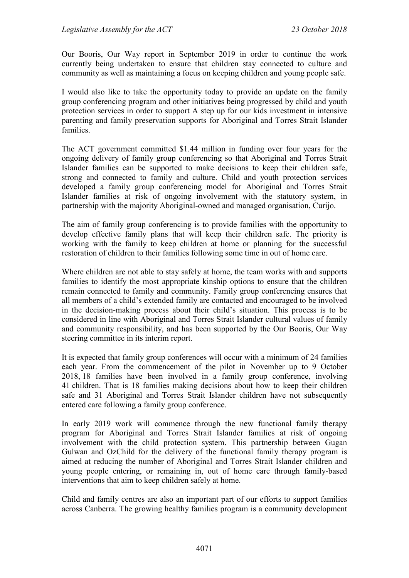Our Booris, Our Way report in September 2019 in order to continue the work currently being undertaken to ensure that children stay connected to culture and community as well as maintaining a focus on keeping children and young people safe.

I would also like to take the opportunity today to provide an update on the family group conferencing program and other initiatives being progressed by child and youth protection services in order to support A step up for our kids investment in intensive parenting and family preservation supports for Aboriginal and Torres Strait Islander families.

The ACT government committed \$1.44 million in funding over four years for the ongoing delivery of family group conferencing so that Aboriginal and Torres Strait Islander families can be supported to make decisions to keep their children safe, strong and connected to family and culture. Child and youth protection services developed a family group conferencing model for Aboriginal and Torres Strait Islander families at risk of ongoing involvement with the statutory system, in partnership with the majority Aboriginal-owned and managed organisation, Curijo.

The aim of family group conferencing is to provide families with the opportunity to develop effective family plans that will keep their children safe. The priority is working with the family to keep children at home or planning for the successful restoration of children to their families following some time in out of home care.

Where children are not able to stay safely at home, the team works with and supports families to identify the most appropriate kinship options to ensure that the children remain connected to family and community. Family group conferencing ensures that all members of a child's extended family are contacted and encouraged to be involved in the decision-making process about their child's situation. This process is to be considered in line with Aboriginal and Torres Strait Islander cultural values of family and community responsibility, and has been supported by the Our Booris, Our Way steering committee in its interim report.

It is expected that family group conferences will occur with a minimum of 24 families each year. From the commencement of the pilot in November up to 9 October 2018, 18 families have been involved in a family group conference, involving 41 children. That is 18 families making decisions about how to keep their children safe and 31 Aboriginal and Torres Strait Islander children have not subsequently entered care following a family group conference.

In early 2019 work will commence through the new functional family therapy program for Aboriginal and Torres Strait Islander families at risk of ongoing involvement with the child protection system. This partnership between Gugan Gulwan and OzChild for the delivery of the functional family therapy program is aimed at reducing the number of Aboriginal and Torres Strait Islander children and young people entering, or remaining in, out of home care through family-based interventions that aim to keep children safely at home.

Child and family centres are also an important part of our efforts to support families across Canberra. The growing healthy families program is a community development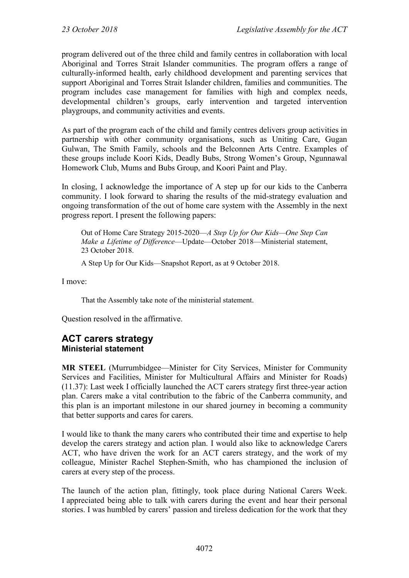program delivered out of the three child and family centres in collaboration with local Aboriginal and Torres Strait Islander communities. The program offers a range of culturally-informed health, early childhood development and parenting services that support Aboriginal and Torres Strait Islander children, families and communities. The program includes case management for families with high and complex needs, developmental children's groups, early intervention and targeted intervention playgroups, and community activities and events.

As part of the program each of the child and family centres delivers group activities in partnership with other community organisations, such as Uniting Care, Gugan Gulwan, The Smith Family, schools and the Belconnen Arts Centre. Examples of these groups include Koori Kids, Deadly Bubs, Strong Women's Group, Ngunnawal Homework Club, Mums and Bubs Group, and Koori Paint and Play.

In closing, I acknowledge the importance of A step up for our kids to the Canberra community. I look forward to sharing the results of the mid-strategy evaluation and ongoing transformation of the out of home care system with the Assembly in the next progress report. I present the following papers:

Out of Home Care Strategy 2015-2020—*A Step Up for Our Kids—One Step Can Make a Lifetime of Difference*—Update—October 2018—Ministerial statement, 23 October 2018.

A Step Up for Our Kids—Snapshot Report, as at 9 October 2018.

I move:

That the Assembly take note of the ministerial statement.

Question resolved in the affirmative.

## **ACT carers strategy Ministerial statement**

**MR STEEL** (Murrumbidgee—Minister for City Services, Minister for Community Services and Facilities, Minister for Multicultural Affairs and Minister for Roads) (11.37): Last week I officially launched the ACT carers strategy first three-year action plan. Carers make a vital contribution to the fabric of the Canberra community, and this plan is an important milestone in our shared journey in becoming a community that better supports and cares for carers.

I would like to thank the many carers who contributed their time and expertise to help develop the carers strategy and action plan. I would also like to acknowledge Carers ACT, who have driven the work for an ACT carers strategy, and the work of my colleague, Minister Rachel Stephen-Smith, who has championed the inclusion of carers at every step of the process.

The launch of the action plan, fittingly, took place during National Carers Week. I appreciated being able to talk with carers during the event and hear their personal stories. I was humbled by carers' passion and tireless dedication for the work that they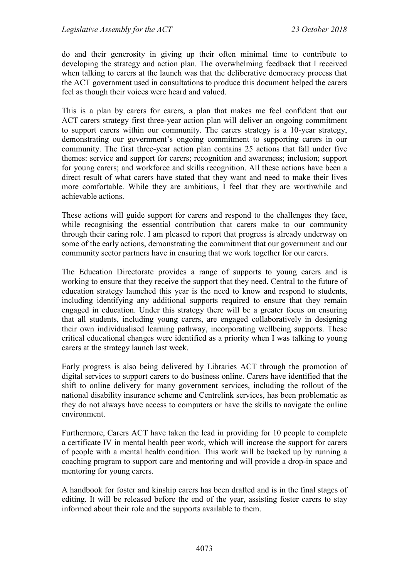do and their generosity in giving up their often minimal time to contribute to developing the strategy and action plan. The overwhelming feedback that I received when talking to carers at the launch was that the deliberative democracy process that the ACT government used in consultations to produce this document helped the carers feel as though their voices were heard and valued.

This is a plan by carers for carers, a plan that makes me feel confident that our ACT carers strategy first three-year action plan will deliver an ongoing commitment to support carers within our community. The carers strategy is a 10-year strategy, demonstrating our government's ongoing commitment to supporting carers in our community. The first three-year action plan contains 25 actions that fall under five themes: service and support for carers; recognition and awareness; inclusion; support for young carers; and workforce and skills recognition. All these actions have been a direct result of what carers have stated that they want and need to make their lives more comfortable. While they are ambitious, I feel that they are worthwhile and achievable actions.

These actions will guide support for carers and respond to the challenges they face, while recognising the essential contribution that carers make to our community through their caring role. I am pleased to report that progress is already underway on some of the early actions, demonstrating the commitment that our government and our community sector partners have in ensuring that we work together for our carers.

The Education Directorate provides a range of supports to young carers and is working to ensure that they receive the support that they need. Central to the future of education strategy launched this year is the need to know and respond to students, including identifying any additional supports required to ensure that they remain engaged in education. Under this strategy there will be a greater focus on ensuring that all students, including young carers, are engaged collaboratively in designing their own individualised learning pathway, incorporating wellbeing supports. These critical educational changes were identified as a priority when I was talking to young carers at the strategy launch last week.

Early progress is also being delivered by Libraries ACT through the promotion of digital services to support carers to do business online. Carers have identified that the shift to online delivery for many government services, including the rollout of the national disability insurance scheme and Centrelink services, has been problematic as they do not always have access to computers or have the skills to navigate the online environment.

Furthermore, Carers ACT have taken the lead in providing for 10 people to complete a certificate IV in mental health peer work, which will increase the support for carers of people with a mental health condition. This work will be backed up by running a coaching program to support care and mentoring and will provide a drop-in space and mentoring for young carers.

A handbook for foster and kinship carers has been drafted and is in the final stages of editing. It will be released before the end of the year, assisting foster carers to stay informed about their role and the supports available to them.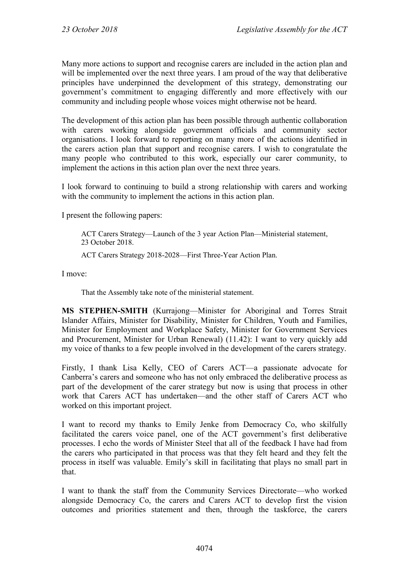Many more actions to support and recognise carers are included in the action plan and will be implemented over the next three years. I am proud of the way that deliberative principles have underpinned the development of this strategy, demonstrating our government's commitment to engaging differently and more effectively with our community and including people whose voices might otherwise not be heard.

The development of this action plan has been possible through authentic collaboration with carers working alongside government officials and community sector organisations. I look forward to reporting on many more of the actions identified in the carers action plan that support and recognise carers. I wish to congratulate the many people who contributed to this work, especially our carer community, to implement the actions in this action plan over the next three years.

I look forward to continuing to build a strong relationship with carers and working with the community to implement the actions in this action plan.

I present the following papers:

ACT Carers Strategy—Launch of the 3 year Action Plan—Ministerial statement, 23 October 2018.

ACT Carers Strategy 2018-2028—First Three-Year Action Plan.

I move:

That the Assembly take note of the ministerial statement.

**MS STEPHEN-SMITH** (Kurrajong—Minister for Aboriginal and Torres Strait Islander Affairs, Minister for Disability, Minister for Children, Youth and Families, Minister for Employment and Workplace Safety, Minister for Government Services and Procurement, Minister for Urban Renewal) (11.42): I want to very quickly add my voice of thanks to a few people involved in the development of the carers strategy.

Firstly, I thank Lisa Kelly, CEO of Carers ACT—a passionate advocate for Canberra's carers and someone who has not only embraced the deliberative process as part of the development of the carer strategy but now is using that process in other work that Carers ACT has undertaken—and the other staff of Carers ACT who worked on this important project.

I want to record my thanks to Emily Jenke from Democracy Co, who skilfully facilitated the carers voice panel, one of the ACT government's first deliberative processes. I echo the words of Minister Steel that all of the feedback I have had from the carers who participated in that process was that they felt heard and they felt the process in itself was valuable. Emily's skill in facilitating that plays no small part in that.

I want to thank the staff from the Community Services Directorate—who worked alongside Democracy Co, the carers and Carers ACT to develop first the vision outcomes and priorities statement and then, through the taskforce, the carers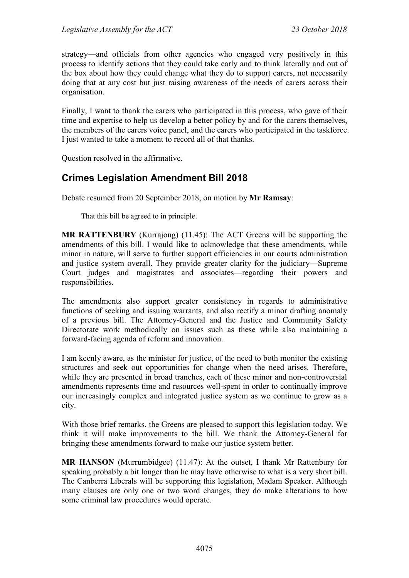strategy—and officials from other agencies who engaged very positively in this process to identify actions that they could take early and to think laterally and out of the box about how they could change what they do to support carers, not necessarily doing that at any cost but just raising awareness of the needs of carers across their organisation.

Finally, I want to thank the carers who participated in this process, who gave of their time and expertise to help us develop a better policy by and for the carers themselves, the members of the carers voice panel, and the carers who participated in the taskforce. I just wanted to take a moment to record all of that thanks.

Question resolved in the affirmative.

# **Crimes Legislation Amendment Bill 2018**

Debate resumed from 20 September 2018, on motion by **Mr Ramsay**:

That this bill be agreed to in principle.

**MR RATTENBURY** (Kurrajong) (11.45): The ACT Greens will be supporting the amendments of this bill. I would like to acknowledge that these amendments, while minor in nature, will serve to further support efficiencies in our courts administration and justice system overall. They provide greater clarity for the judiciary—Supreme Court judges and magistrates and associates—regarding their powers and responsibilities.

The amendments also support greater consistency in regards to administrative functions of seeking and issuing warrants, and also rectify a minor drafting anomaly of a previous bill. The Attorney-General and the Justice and Community Safety Directorate work methodically on issues such as these while also maintaining a forward-facing agenda of reform and innovation.

I am keenly aware, as the minister for justice, of the need to both monitor the existing structures and seek out opportunities for change when the need arises. Therefore, while they are presented in broad tranches, each of these minor and non-controversial amendments represents time and resources well-spent in order to continually improve our increasingly complex and integrated justice system as we continue to grow as a city.

With those brief remarks, the Greens are pleased to support this legislation today. We think it will make improvements to the bill. We thank the Attorney-General for bringing these amendments forward to make our justice system better.

**MR HANSON** (Murrumbidgee) (11.47): At the outset, I thank Mr Rattenbury for speaking probably a bit longer than he may have otherwise to what is a very short bill. The Canberra Liberals will be supporting this legislation, Madam Speaker. Although many clauses are only one or two word changes, they do make alterations to how some criminal law procedures would operate.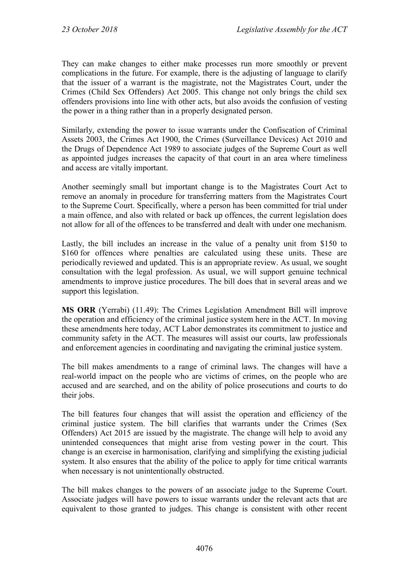They can make changes to either make processes run more smoothly or prevent complications in the future. For example, there is the adjusting of language to clarify that the issuer of a warrant is the magistrate, not the Magistrates Court, under the Crimes (Child Sex Offenders) Act 2005. This change not only brings the child sex offenders provisions into line with other acts, but also avoids the confusion of vesting the power in a thing rather than in a properly designated person.

Similarly, extending the power to issue warrants under the Confiscation of Criminal Assets 2003, the Crimes Act 1900, the Crimes (Surveillance Devices) Act 2010 and the Drugs of Dependence Act 1989 to associate judges of the Supreme Court as well as appointed judges increases the capacity of that court in an area where timeliness and access are vitally important.

Another seemingly small but important change is to the Magistrates Court Act to remove an anomaly in procedure for transferring matters from the Magistrates Court to the Supreme Court. Specifically, where a person has been committed for trial under a main offence, and also with related or back up offences, the current legislation does not allow for all of the offences to be transferred and dealt with under one mechanism.

Lastly, the bill includes an increase in the value of a penalty unit from \$150 to \$160 for offences where penalties are calculated using these units. These are periodically reviewed and updated. This is an appropriate review. As usual, we sought consultation with the legal profession. As usual, we will support genuine technical amendments to improve justice procedures. The bill does that in several areas and we support this legislation.

**MS ORR** (Yerrabi) (11.49): The Crimes Legislation Amendment Bill will improve the operation and efficiency of the criminal justice system here in the ACT. In moving these amendments here today, ACT Labor demonstrates its commitment to justice and community safety in the ACT. The measures will assist our courts, law professionals and enforcement agencies in coordinating and navigating the criminal justice system.

The bill makes amendments to a range of criminal laws. The changes will have a real-world impact on the people who are victims of crimes, on the people who are accused and are searched, and on the ability of police prosecutions and courts to do their jobs.

The bill features four changes that will assist the operation and efficiency of the criminal justice system. The bill clarifies that warrants under the Crimes (Sex Offenders) Act 2015 are issued by the magistrate. The change will help to avoid any unintended consequences that might arise from vesting power in the court. This change is an exercise in harmonisation, clarifying and simplifying the existing judicial system. It also ensures that the ability of the police to apply for time critical warrants when necessary is not unintentionally obstructed.

The bill makes changes to the powers of an associate judge to the Supreme Court. Associate judges will have powers to issue warrants under the relevant acts that are equivalent to those granted to judges. This change is consistent with other recent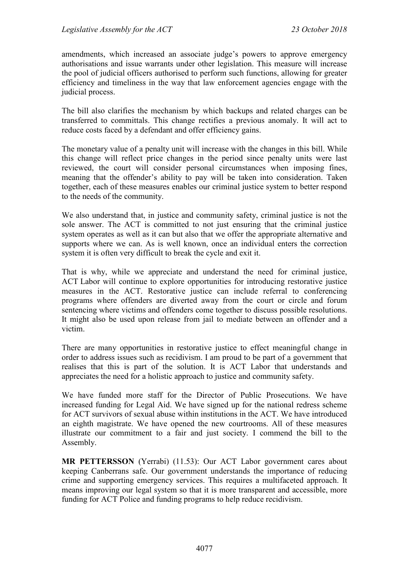amendments, which increased an associate judge's powers to approve emergency authorisations and issue warrants under other legislation. This measure will increase the pool of judicial officers authorised to perform such functions, allowing for greater efficiency and timeliness in the way that law enforcement agencies engage with the judicial process.

The bill also clarifies the mechanism by which backups and related charges can be transferred to committals. This change rectifies a previous anomaly. It will act to reduce costs faced by a defendant and offer efficiency gains.

The monetary value of a penalty unit will increase with the changes in this bill. While this change will reflect price changes in the period since penalty units were last reviewed, the court will consider personal circumstances when imposing fines, meaning that the offender's ability to pay will be taken into consideration. Taken together, each of these measures enables our criminal justice system to better respond to the needs of the community.

We also understand that, in justice and community safety, criminal justice is not the sole answer. The ACT is committed to not just ensuring that the criminal justice system operates as well as it can but also that we offer the appropriate alternative and supports where we can. As is well known, once an individual enters the correction system it is often very difficult to break the cycle and exit it.

That is why, while we appreciate and understand the need for criminal justice, ACT Labor will continue to explore opportunities for introducing restorative justice measures in the ACT. Restorative justice can include referral to conferencing programs where offenders are diverted away from the court or circle and forum sentencing where victims and offenders come together to discuss possible resolutions. It might also be used upon release from jail to mediate between an offender and a victim.

There are many opportunities in restorative justice to effect meaningful change in order to address issues such as recidivism. I am proud to be part of a government that realises that this is part of the solution. It is ACT Labor that understands and appreciates the need for a holistic approach to justice and community safety.

We have funded more staff for the Director of Public Prosecutions. We have increased funding for Legal Aid. We have signed up for the national redress scheme for ACT survivors of sexual abuse within institutions in the ACT. We have introduced an eighth magistrate. We have opened the new courtrooms. All of these measures illustrate our commitment to a fair and just society. I commend the bill to the Assembly.

**MR PETTERSSON** (Yerrabi) (11.53): Our ACT Labor government cares about keeping Canberrans safe. Our government understands the importance of reducing crime and supporting emergency services. This requires a multifaceted approach. It means improving our legal system so that it is more transparent and accessible, more funding for ACT Police and funding programs to help reduce recidivism.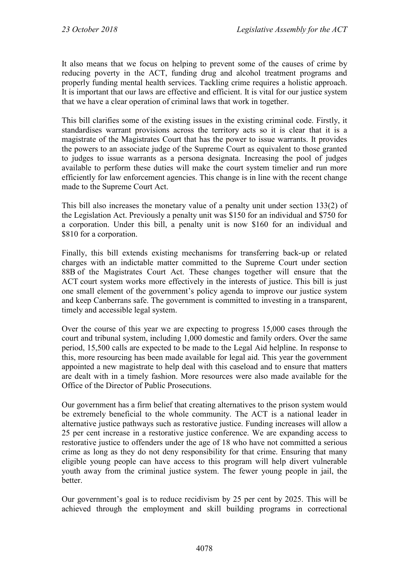It also means that we focus on helping to prevent some of the causes of crime by reducing poverty in the ACT, funding drug and alcohol treatment programs and properly funding mental health services. Tackling crime requires a holistic approach. It is important that our laws are effective and efficient. It is vital for our justice system that we have a clear operation of criminal laws that work in together.

This bill clarifies some of the existing issues in the existing criminal code. Firstly, it standardises warrant provisions across the territory acts so it is clear that it is a magistrate of the Magistrates Court that has the power to issue warrants. It provides the powers to an associate judge of the Supreme Court as equivalent to those granted to judges to issue warrants as a persona designata. Increasing the pool of judges available to perform these duties will make the court system timelier and run more efficiently for law enforcement agencies. This change is in line with the recent change made to the Supreme Court Act.

This bill also increases the monetary value of a penalty unit under section 133(2) of the Legislation Act. Previously a penalty unit was \$150 for an individual and \$750 for a corporation. Under this bill, a penalty unit is now \$160 for an individual and \$810 for a corporation.

Finally, this bill extends existing mechanisms for transferring back-up or related charges with an indictable matter committed to the Supreme Court under section 88B of the Magistrates Court Act. These changes together will ensure that the ACT court system works more effectively in the interests of justice. This bill is just one small element of the government's policy agenda to improve our justice system and keep Canberrans safe. The government is committed to investing in a transparent, timely and accessible legal system.

Over the course of this year we are expecting to progress 15,000 cases through the court and tribunal system, including 1,000 domestic and family orders. Over the same period, 15,500 calls are expected to be made to the Legal Aid helpline. In response to this, more resourcing has been made available for legal aid. This year the government appointed a new magistrate to help deal with this caseload and to ensure that matters are dealt with in a timely fashion. More resources were also made available for the Office of the Director of Public Prosecutions.

Our government has a firm belief that creating alternatives to the prison system would be extremely beneficial to the whole community. The ACT is a national leader in alternative justice pathways such as restorative justice. Funding increases will allow a 25 per cent increase in a restorative justice conference. We are expanding access to restorative justice to offenders under the age of 18 who have not committed a serious crime as long as they do not deny responsibility for that crime. Ensuring that many eligible young people can have access to this program will help divert vulnerable youth away from the criminal justice system. The fewer young people in jail, the better.

Our government's goal is to reduce recidivism by 25 per cent by 2025. This will be achieved through the employment and skill building programs in correctional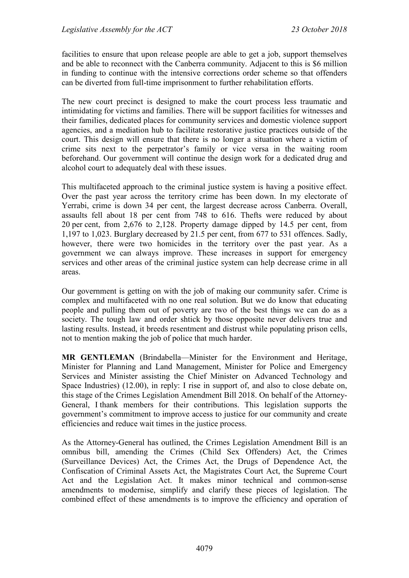facilities to ensure that upon release people are able to get a job, support themselves and be able to reconnect with the Canberra community. Adjacent to this is \$6 million in funding to continue with the intensive corrections order scheme so that offenders can be diverted from full-time imprisonment to further rehabilitation efforts.

The new court precinct is designed to make the court process less traumatic and intimidating for victims and families. There will be support facilities for witnesses and their families, dedicated places for community services and domestic violence support agencies, and a mediation hub to facilitate restorative justice practices outside of the court. This design will ensure that there is no longer a situation where a victim of crime sits next to the perpetrator's family or vice versa in the waiting room beforehand. Our government will continue the design work for a dedicated drug and alcohol court to adequately deal with these issues.

This multifaceted approach to the criminal justice system is having a positive effect. Over the past year across the territory crime has been down. In my electorate of Yerrabi, crime is down 34 per cent, the largest decrease across Canberra. Overall, assaults fell about 18 per cent from 748 to 616. Thefts were reduced by about 20 per cent, from 2,676 to 2,128. Property damage dipped by 14.5 per cent, from 1,197 to 1,023. Burglary decreased by 21.5 per cent, from 677 to 531 offences. Sadly, however, there were two homicides in the territory over the past year. As a government we can always improve. These increases in support for emergency services and other areas of the criminal justice system can help decrease crime in all areas.

Our government is getting on with the job of making our community safer. Crime is complex and multifaceted with no one real solution. But we do know that educating people and pulling them out of poverty are two of the best things we can do as a society. The tough law and order shtick by those opposite never delivers true and lasting results. Instead, it breeds resentment and distrust while populating prison cells, not to mention making the job of police that much harder.

**MR GENTLEMAN** (Brindabella—Minister for the Environment and Heritage, Minister for Planning and Land Management, Minister for Police and Emergency Services and Minister assisting the Chief Minister on Advanced Technology and Space Industries) (12.00), in reply: I rise in support of, and also to close debate on, this stage of the Crimes Legislation Amendment Bill 2018. On behalf of the Attorney-General, I thank members for their contributions. This legislation supports the government's commitment to improve access to justice for our community and create efficiencies and reduce wait times in the justice process.

As the Attorney-General has outlined, the Crimes Legislation Amendment Bill is an omnibus bill, amending the Crimes (Child Sex Offenders) Act, the Crimes (Surveillance Devices) Act, the Crimes Act, the Drugs of Dependence Act, the Confiscation of Criminal Assets Act, the Magistrates Court Act, the Supreme Court Act and the Legislation Act. It makes minor technical and common-sense amendments to modernise, simplify and clarify these pieces of legislation. The combined effect of these amendments is to improve the efficiency and operation of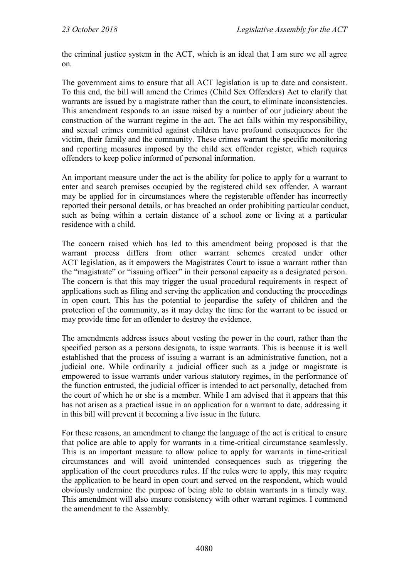the criminal justice system in the ACT, which is an ideal that I am sure we all agree on.

The government aims to ensure that all ACT legislation is up to date and consistent. To this end, the bill will amend the Crimes (Child Sex Offenders) Act to clarify that warrants are issued by a magistrate rather than the court, to eliminate inconsistencies. This amendment responds to an issue raised by a number of our judiciary about the construction of the warrant regime in the act. The act falls within my responsibility, and sexual crimes committed against children have profound consequences for the victim, their family and the community. These crimes warrant the specific monitoring and reporting measures imposed by the child sex offender register, which requires offenders to keep police informed of personal information.

An important measure under the act is the ability for police to apply for a warrant to enter and search premises occupied by the registered child sex offender. A warrant may be applied for in circumstances where the registerable offender has incorrectly reported their personal details, or has breached an order prohibiting particular conduct, such as being within a certain distance of a school zone or living at a particular residence with a child.

The concern raised which has led to this amendment being proposed is that the warrant process differs from other warrant schemes created under other ACT legislation, as it empowers the Magistrates Court to issue a warrant rather than the "magistrate" or "issuing officer" in their personal capacity as a designated person. The concern is that this may trigger the usual procedural requirements in respect of applications such as filing and serving the application and conducting the proceedings in open court. This has the potential to jeopardise the safety of children and the protection of the community, as it may delay the time for the warrant to be issued or may provide time for an offender to destroy the evidence.

The amendments address issues about vesting the power in the court, rather than the specified person as a persona designata, to issue warrants. This is because it is well established that the process of issuing a warrant is an administrative function, not a judicial one. While ordinarily a judicial officer such as a judge or magistrate is empowered to issue warrants under various statutory regimes, in the performance of the function entrusted, the judicial officer is intended to act personally, detached from the court of which he or she is a member. While I am advised that it appears that this has not arisen as a practical issue in an application for a warrant to date, addressing it in this bill will prevent it becoming a live issue in the future.

For these reasons, an amendment to change the language of the act is critical to ensure that police are able to apply for warrants in a time-critical circumstance seamlessly. This is an important measure to allow police to apply for warrants in time-critical circumstances and will avoid unintended consequences such as triggering the application of the court procedures rules. If the rules were to apply, this may require the application to be heard in open court and served on the respondent, which would obviously undermine the purpose of being able to obtain warrants in a timely way. This amendment will also ensure consistency with other warrant regimes. I commend the amendment to the Assembly.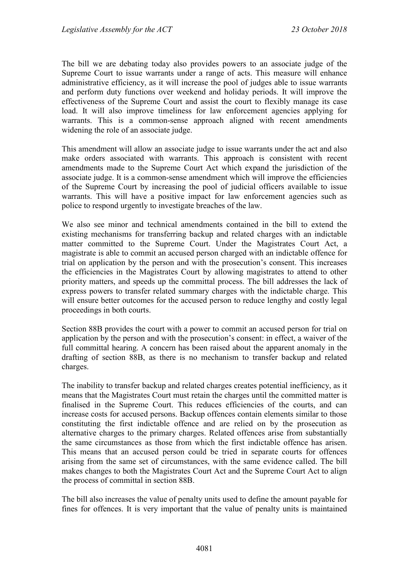The bill we are debating today also provides powers to an associate judge of the Supreme Court to issue warrants under a range of acts. This measure will enhance administrative efficiency, as it will increase the pool of judges able to issue warrants and perform duty functions over weekend and holiday periods. It will improve the effectiveness of the Supreme Court and assist the court to flexibly manage its case load. It will also improve timeliness for law enforcement agencies applying for warrants. This is a common-sense approach aligned with recent amendments widening the role of an associate judge.

This amendment will allow an associate judge to issue warrants under the act and also make orders associated with warrants. This approach is consistent with recent amendments made to the Supreme Court Act which expand the jurisdiction of the associate judge. It is a common-sense amendment which will improve the efficiencies of the Supreme Court by increasing the pool of judicial officers available to issue warrants. This will have a positive impact for law enforcement agencies such as police to respond urgently to investigate breaches of the law.

We also see minor and technical amendments contained in the bill to extend the existing mechanisms for transferring backup and related charges with an indictable matter committed to the Supreme Court. Under the Magistrates Court Act, a magistrate is able to commit an accused person charged with an indictable offence for trial on application by the person and with the prosecution's consent. This increases the efficiencies in the Magistrates Court by allowing magistrates to attend to other priority matters, and speeds up the committal process. The bill addresses the lack of express powers to transfer related summary charges with the indictable charge. This will ensure better outcomes for the accused person to reduce lengthy and costly legal proceedings in both courts.

Section 88B provides the court with a power to commit an accused person for trial on application by the person and with the prosecution's consent: in effect, a waiver of the full committal hearing. A concern has been raised about the apparent anomaly in the drafting of section 88B, as there is no mechanism to transfer backup and related charges.

The inability to transfer backup and related charges creates potential inefficiency, as it means that the Magistrates Court must retain the charges until the committed matter is finalised in the Supreme Court. This reduces efficiencies of the courts, and can increase costs for accused persons. Backup offences contain elements similar to those constituting the first indictable offence and are relied on by the prosecution as alternative charges to the primary charges. Related offences arise from substantially the same circumstances as those from which the first indictable offence has arisen. This means that an accused person could be tried in separate courts for offences arising from the same set of circumstances, with the same evidence called. The bill makes changes to both the Magistrates Court Act and the Supreme Court Act to align the process of committal in section 88B.

The bill also increases the value of penalty units used to define the amount payable for fines for offences. It is very important that the value of penalty units is maintained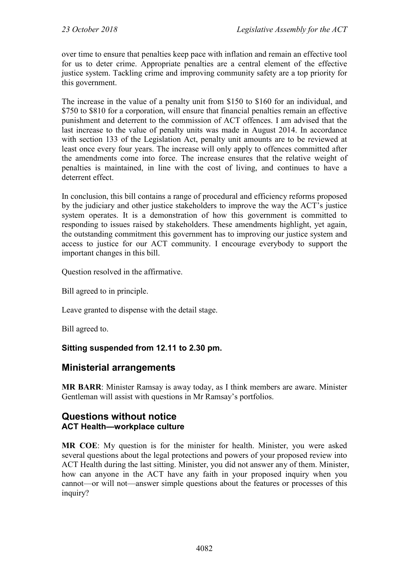over time to ensure that penalties keep pace with inflation and remain an effective tool for us to deter crime. Appropriate penalties are a central element of the effective justice system. Tackling crime and improving community safety are a top priority for this government.

The increase in the value of a penalty unit from \$150 to \$160 for an individual, and \$750 to \$810 for a corporation, will ensure that financial penalties remain an effective punishment and deterrent to the commission of ACT offences. I am advised that the last increase to the value of penalty units was made in August 2014. In accordance with section 133 of the Legislation Act, penalty unit amounts are to be reviewed at least once every four years. The increase will only apply to offences committed after the amendments come into force. The increase ensures that the relative weight of penalties is maintained, in line with the cost of living, and continues to have a deterrent effect.

In conclusion, this bill contains a range of procedural and efficiency reforms proposed by the judiciary and other justice stakeholders to improve the way the ACT's justice system operates. It is a demonstration of how this government is committed to responding to issues raised by stakeholders. These amendments highlight, yet again, the outstanding commitment this government has to improving our justice system and access to justice for our ACT community. I encourage everybody to support the important changes in this bill.

Question resolved in the affirmative.

Bill agreed to in principle.

Leave granted to dispense with the detail stage.

Bill agreed to.

## **Sitting suspended from 12.11 to 2.30 pm.**

## **Ministerial arrangements**

**MR BARR**: Minister Ramsay is away today, as I think members are aware. Minister Gentleman will assist with questions in Mr Ramsay's portfolios.

## **Questions without notice ACT Health—workplace culture**

**MR COE**: My question is for the minister for health. Minister, you were asked several questions about the legal protections and powers of your proposed review into ACT Health during the last sitting. Minister, you did not answer any of them. Minister, how can anyone in the ACT have any faith in your proposed inquiry when you cannot—or will not—answer simple questions about the features or processes of this inquiry?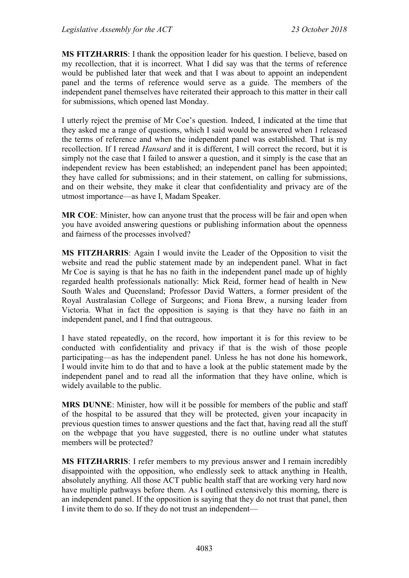**MS FITZHARRIS**: I thank the opposition leader for his question. I believe, based on my recollection, that it is incorrect. What I did say was that the terms of reference would be published later that week and that I was about to appoint an independent panel and the terms of reference would serve as a guide. The members of the independent panel themselves have reiterated their approach to this matter in their call for submissions, which opened last Monday.

I utterly reject the premise of Mr Coe's question. Indeed, I indicated at the time that they asked me a range of questions, which I said would be answered when I released the terms of reference and when the independent panel was established. That is my recollection. If I reread *Hansard* and it is different, I will correct the record, but it is simply not the case that I failed to answer a question, and it simply is the case that an independent review has been established; an independent panel has been appointed; they have called for submissions; and in their statement, on calling for submissions, and on their website, they make it clear that confidentiality and privacy are of the utmost importance—as have I, Madam Speaker.

**MR COE**: Minister, how can anyone trust that the process will be fair and open when you have avoided answering questions or publishing information about the openness and fairness of the processes involved?

**MS FITZHARRIS**: Again I would invite the Leader of the Opposition to visit the website and read the public statement made by an independent panel. What in fact Mr Coe is saying is that he has no faith in the independent panel made up of highly regarded health professionals nationally: Mick Reid, former head of health in New South Wales and Queensland; Professor David Watters, a former president of the Royal Australasian College of Surgeons; and Fiona Brew, a nursing leader from Victoria. What in fact the opposition is saying is that they have no faith in an independent panel, and I find that outrageous.

I have stated repeatedly, on the record, how important it is for this review to be conducted with confidentiality and privacy if that is the wish of those people participating—as has the independent panel. Unless he has not done his homework, I would invite him to do that and to have a look at the public statement made by the independent panel and to read all the information that they have online, which is widely available to the public.

**MRS DUNNE**: Minister, how will it be possible for members of the public and staff of the hospital to be assured that they will be protected, given your incapacity in previous question times to answer questions and the fact that, having read all the stuff on the webpage that you have suggested, there is no outline under what statutes members will be protected?

**MS FITZHARRIS**: I refer members to my previous answer and I remain incredibly disappointed with the opposition, who endlessly seek to attack anything in Health, absolutely anything. All those ACT public health staff that are working very hard now have multiple pathways before them. As I outlined extensively this morning, there is an independent panel. If the opposition is saying that they do not trust that panel, then I invite them to do so. If they do not trust an independent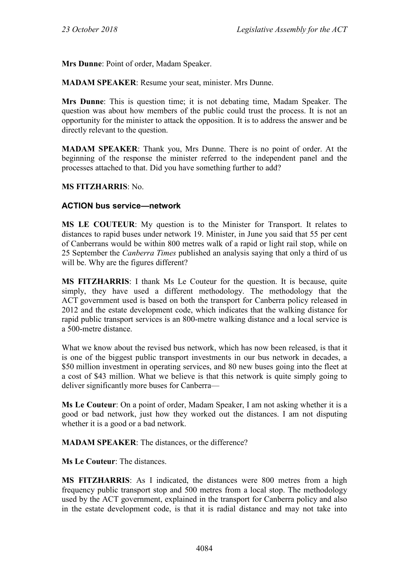**Mrs Dunne**: Point of order, Madam Speaker.

**MADAM SPEAKER**: Resume your seat, minister. Mrs Dunne.

**Mrs Dunne**: This is question time; it is not debating time, Madam Speaker. The question was about how members of the public could trust the process. It is not an opportunity for the minister to attack the opposition. It is to address the answer and be directly relevant to the question.

**MADAM SPEAKER**: Thank you, Mrs Dunne. There is no point of order. At the beginning of the response the minister referred to the independent panel and the processes attached to that. Did you have something further to add?

#### **MS FITZHARRIS**: No.

#### **ACTION bus service—network**

**MS LE COUTEUR**: My question is to the Minister for Transport. It relates to distances to rapid buses under network 19. Minister, in June you said that 55 per cent of Canberrans would be within 800 metres walk of a rapid or light rail stop, while on 25 September the *Canberra Times* published an analysis saying that only a third of us will be. Why are the figures different?

**MS FITZHARRIS**: I thank Ms Le Couteur for the question. It is because, quite simply, they have used a different methodology. The methodology that the ACT government used is based on both the transport for Canberra policy released in 2012 and the estate development code, which indicates that the walking distance for rapid public transport services is an 800-metre walking distance and a local service is a 500-metre distance.

What we know about the revised bus network, which has now been released, is that it is one of the biggest public transport investments in our bus network in decades, a \$50 million investment in operating services, and 80 new buses going into the fleet at a cost of \$43 million. What we believe is that this network is quite simply going to deliver significantly more buses for Canberra—

**Ms Le Couteur**: On a point of order, Madam Speaker, I am not asking whether it is a good or bad network, just how they worked out the distances. I am not disputing whether it is a good or a bad network.

**MADAM SPEAKER**: The distances, or the difference?

**Ms Le Couteur**: The distances.

**MS FITZHARRIS**: As I indicated, the distances were 800 metres from a high frequency public transport stop and 500 metres from a local stop. The methodology used by the ACT government, explained in the transport for Canberra policy and also in the estate development code, is that it is radial distance and may not take into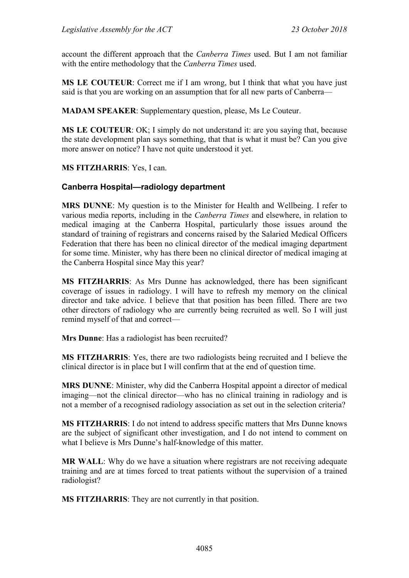account the different approach that the *Canberra Times* used. But I am not familiar with the entire methodology that the *Canberra Times* used.

**MS LE COUTEUR**: Correct me if I am wrong, but I think that what you have just said is that you are working on an assumption that for all new parts of Canberra—

**MADAM SPEAKER**: Supplementary question, please, Ms Le Couteur.

**MS LE COUTEUR**: OK; I simply do not understand it: are you saying that, because the state development plan says something, that that is what it must be? Can you give more answer on notice? I have not quite understood it yet.

**MS FITZHARRIS**: Yes, I can.

#### **Canberra Hospital—radiology department**

**MRS DUNNE**: My question is to the Minister for Health and Wellbeing. I refer to various media reports, including in the *Canberra Times* and elsewhere, in relation to medical imaging at the Canberra Hospital, particularly those issues around the standard of training of registrars and concerns raised by the Salaried Medical Officers Federation that there has been no clinical director of the medical imaging department for some time. Minister, why has there been no clinical director of medical imaging at the Canberra Hospital since May this year?

**MS FITZHARRIS**: As Mrs Dunne has acknowledged, there has been significant coverage of issues in radiology. I will have to refresh my memory on the clinical director and take advice. I believe that that position has been filled. There are two other directors of radiology who are currently being recruited as well. So I will just remind myself of that and correct—

**Mrs Dunne**: Has a radiologist has been recruited?

**MS FITZHARRIS**: Yes, there are two radiologists being recruited and I believe the clinical director is in place but I will confirm that at the end of question time.

**MRS DUNNE**: Minister, why did the Canberra Hospital appoint a director of medical imaging—not the clinical director—who has no clinical training in radiology and is not a member of a recognised radiology association as set out in the selection criteria?

**MS FITZHARRIS**: I do not intend to address specific matters that Mrs Dunne knows are the subject of significant other investigation, and I do not intend to comment on what I believe is Mrs Dunne's half-knowledge of this matter.

**MR WALL**: Why do we have a situation where registrars are not receiving adequate training and are at times forced to treat patients without the supervision of a trained radiologist?

**MS FITZHARRIS**: They are not currently in that position.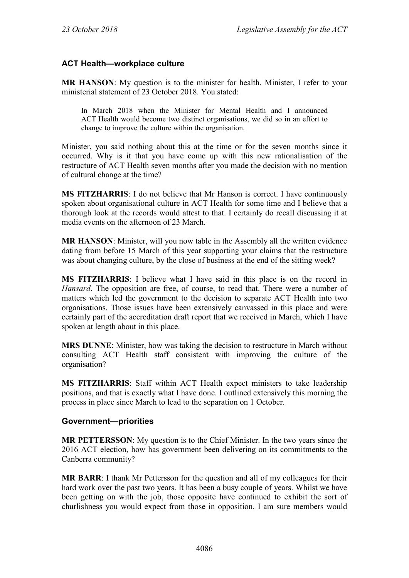## **ACT Health—workplace culture**

**MR HANSON**: My question is to the minister for health. Minister, I refer to your ministerial statement of 23 October 2018. You stated:

In March 2018 when the Minister for Mental Health and I announced ACT Health would become two distinct organisations, we did so in an effort to change to improve the culture within the organisation.

Minister, you said nothing about this at the time or for the seven months since it occurred. Why is it that you have come up with this new rationalisation of the restructure of ACT Health seven months after you made the decision with no mention of cultural change at the time?

**MS FITZHARRIS**: I do not believe that Mr Hanson is correct. I have continuously spoken about organisational culture in ACT Health for some time and I believe that a thorough look at the records would attest to that. I certainly do recall discussing it at media events on the afternoon of 23 March.

**MR HANSON**: Minister, will you now table in the Assembly all the written evidence dating from before 15 March of this year supporting your claims that the restructure was about changing culture, by the close of business at the end of the sitting week?

**MS FITZHARRIS**: I believe what I have said in this place is on the record in *Hansard*. The opposition are free, of course, to read that. There were a number of matters which led the government to the decision to separate ACT Health into two organisations. Those issues have been extensively canvassed in this place and were certainly part of the accreditation draft report that we received in March, which I have spoken at length about in this place.

**MRS DUNNE**: Minister, how was taking the decision to restructure in March without consulting ACT Health staff consistent with improving the culture of the organisation?

**MS FITZHARRIS**: Staff within ACT Health expect ministers to take leadership positions, and that is exactly what I have done. I outlined extensively this morning the process in place since March to lead to the separation on 1 October.

#### **Government—priorities**

**MR PETTERSSON**: My question is to the Chief Minister. In the two years since the 2016 ACT election, how has government been delivering on its commitments to the Canberra community?

**MR BARR**: I thank Mr Pettersson for the question and all of my colleagues for their hard work over the past two years. It has been a busy couple of years. Whilst we have been getting on with the job, those opposite have continued to exhibit the sort of churlishness you would expect from those in opposition. I am sure members would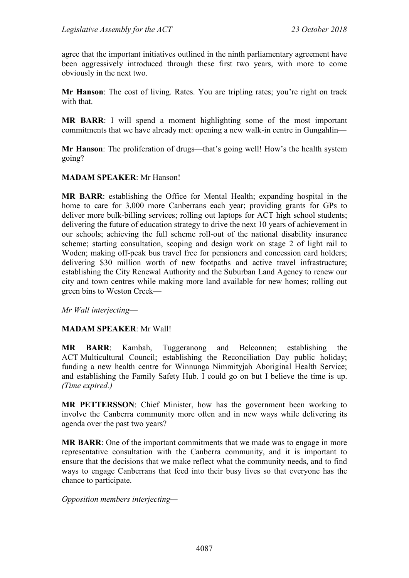agree that the important initiatives outlined in the ninth parliamentary agreement have been aggressively introduced through these first two years, with more to come obviously in the next two.

**Mr Hanson**: The cost of living. Rates. You are tripling rates; you're right on track with that.

**MR BARR**: I will spend a moment highlighting some of the most important commitments that we have already met: opening a new walk-in centre in Gungahlin—

**Mr Hanson**: The proliferation of drugs—that's going well! How's the health system going?

#### **MADAM SPEAKER**: Mr Hanson!

**MR BARR**: establishing the Office for Mental Health; expanding hospital in the home to care for 3,000 more Canberrans each year; providing grants for GPs to deliver more bulk-billing services; rolling out laptops for ACT high school students; delivering the future of education strategy to drive the next 10 years of achievement in our schools; achieving the full scheme roll-out of the national disability insurance scheme; starting consultation, scoping and design work on stage 2 of light rail to Woden; making off-peak bus travel free for pensioners and concession card holders; delivering \$30 million worth of new footpaths and active travel infrastructure; establishing the City Renewal Authority and the Suburban Land Agency to renew our city and town centres while making more land available for new homes; rolling out green bins to Weston Creek—

*Mr Wall interjecting*—

#### **MADAM SPEAKER**: Mr Wall!

**MR BARR**: Kambah, Tuggeranong and Belconnen; establishing the ACT Multicultural Council; establishing the Reconciliation Day public holiday; funding a new health centre for Winnunga Nimmityjah Aboriginal Health Service; and establishing the Family Safety Hub. I could go on but I believe the time is up. *(Time expired.)*

**MR PETTERSSON**: Chief Minister, how has the government been working to involve the Canberra community more often and in new ways while delivering its agenda over the past two years?

**MR BARR**: One of the important commitments that we made was to engage in more representative consultation with the Canberra community, and it is important to ensure that the decisions that we make reflect what the community needs, and to find ways to engage Canberrans that feed into their busy lives so that everyone has the chance to participate.

*Opposition members interjecting—*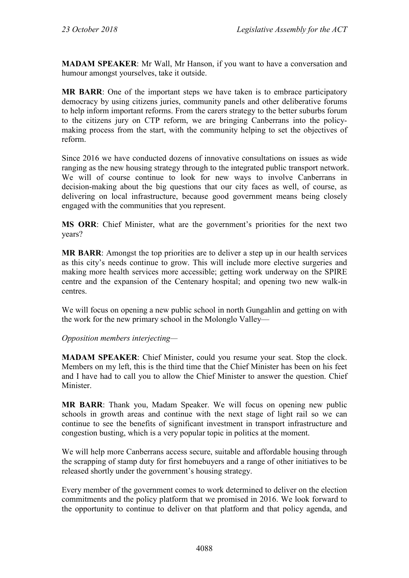**MADAM SPEAKER**: Mr Wall, Mr Hanson, if you want to have a conversation and humour amongst yourselves, take it outside.

**MR BARR**: One of the important steps we have taken is to embrace participatory democracy by using citizens juries, community panels and other deliberative forums to help inform important reforms. From the carers strategy to the better suburbs forum to the citizens jury on CTP reform, we are bringing Canberrans into the policymaking process from the start, with the community helping to set the objectives of reform.

Since 2016 we have conducted dozens of innovative consultations on issues as wide ranging as the new housing strategy through to the integrated public transport network. We will of course continue to look for new ways to involve Canberrans in decision-making about the big questions that our city faces as well, of course, as delivering on local infrastructure, because good government means being closely engaged with the communities that you represent.

**MS ORR**: Chief Minister, what are the government's priorities for the next two years?

**MR BARR**: Amongst the top priorities are to deliver a step up in our health services as this city's needs continue to grow. This will include more elective surgeries and making more health services more accessible; getting work underway on the SPIRE centre and the expansion of the Centenary hospital; and opening two new walk-in centres.

We will focus on opening a new public school in north Gungahlin and getting on with the work for the new primary school in the Molonglo Valley—

*Opposition members interjecting—*

**MADAM SPEAKER**: Chief Minister, could you resume your seat. Stop the clock. Members on my left, this is the third time that the Chief Minister has been on his feet and I have had to call you to allow the Chief Minister to answer the question. Chief Minister.

**MR BARR**: Thank you, Madam Speaker. We will focus on opening new public schools in growth areas and continue with the next stage of light rail so we can continue to see the benefits of significant investment in transport infrastructure and congestion busting, which is a very popular topic in politics at the moment.

We will help more Canberrans access secure, suitable and affordable housing through the scrapping of stamp duty for first homebuyers and a range of other initiatives to be released shortly under the government's housing strategy.

Every member of the government comes to work determined to deliver on the election commitments and the policy platform that we promised in 2016. We look forward to the opportunity to continue to deliver on that platform and that policy agenda, and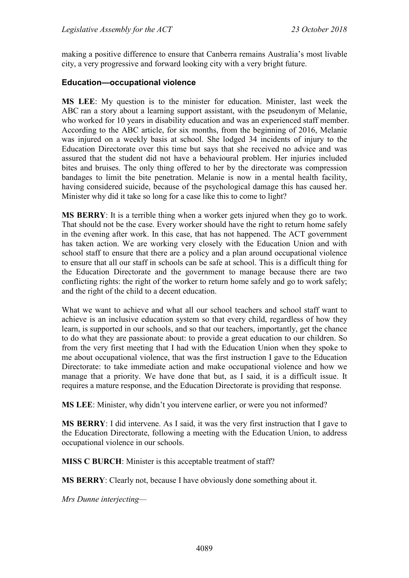making a positive difference to ensure that Canberra remains Australia's most livable city, a very progressive and forward looking city with a very bright future.

#### **Education—occupational violence**

**MS LEE**: My question is to the minister for education. Minister, last week the ABC ran a story about a learning support assistant, with the pseudonym of Melanie, who worked for 10 years in disability education and was an experienced staff member. According to the ABC article, for six months, from the beginning of 2016, Melanie was injured on a weekly basis at school. She lodged 34 incidents of injury to the Education Directorate over this time but says that she received no advice and was assured that the student did not have a behavioural problem. Her injuries included bites and bruises. The only thing offered to her by the directorate was compression bandages to limit the bite penetration. Melanie is now in a mental health facility, having considered suicide, because of the psychological damage this has caused her. Minister why did it take so long for a case like this to come to light?

**MS BERRY**: It is a terrible thing when a worker gets injured when they go to work. That should not be the case. Every worker should have the right to return home safely in the evening after work. In this case, that has not happened. The ACT government has taken action. We are working very closely with the Education Union and with school staff to ensure that there are a policy and a plan around occupational violence to ensure that all our staff in schools can be safe at school. This is a difficult thing for the Education Directorate and the government to manage because there are two conflicting rights: the right of the worker to return home safely and go to work safely; and the right of the child to a decent education.

What we want to achieve and what all our school teachers and school staff want to achieve is an inclusive education system so that every child, regardless of how they learn, is supported in our schools, and so that our teachers, importantly, get the chance to do what they are passionate about: to provide a great education to our children. So from the very first meeting that I had with the Education Union when they spoke to me about occupational violence, that was the first instruction I gave to the Education Directorate: to take immediate action and make occupational violence and how we manage that a priority. We have done that but, as I said, it is a difficult issue. It requires a mature response, and the Education Directorate is providing that response.

**MS LEE**: Minister, why didn't you intervene earlier, or were you not informed?

**MS BERRY**: I did intervene. As I said, it was the very first instruction that I gave to the Education Directorate, following a meeting with the Education Union, to address occupational violence in our schools.

**MISS C BURCH**: Minister is this acceptable treatment of staff?

**MS BERRY**: Clearly not, because I have obviously done something about it.

*Mrs Dunne interjecting—*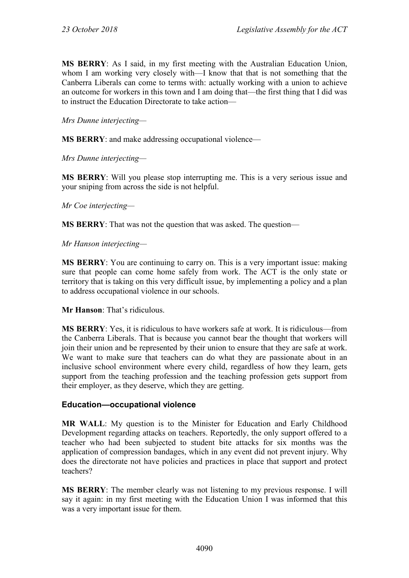**MS BERRY**: As I said, in my first meeting with the Australian Education Union, whom I am working very closely with—I know that that is not something that the Canberra Liberals can come to terms with: actually working with a union to achieve an outcome for workers in this town and I am doing that—the first thing that I did was to instruct the Education Directorate to take action—

*Mrs Dunne interjecting—*

**MS BERRY**: and make addressing occupational violence—

*Mrs Dunne interjecting—*

**MS BERRY**: Will you please stop interrupting me. This is a very serious issue and your sniping from across the side is not helpful.

*Mr Coe interjecting—*

**MS BERRY:** That was not the question that was asked. The question—

*Mr Hanson interjecting—*

**MS BERRY**: You are continuing to carry on. This is a very important issue: making sure that people can come home safely from work. The ACT is the only state or territory that is taking on this very difficult issue, by implementing a policy and a plan to address occupational violence in our schools.

**Mr Hanson**: That's ridiculous.

**MS BERRY**: Yes, it is ridiculous to have workers safe at work. It is ridiculous—from the Canberra Liberals. That is because you cannot bear the thought that workers will join their union and be represented by their union to ensure that they are safe at work. We want to make sure that teachers can do what they are passionate about in an inclusive school environment where every child, regardless of how they learn, gets support from the teaching profession and the teaching profession gets support from their employer, as they deserve, which they are getting.

#### **Education—occupational violence**

**MR WALL**: My question is to the Minister for Education and Early Childhood Development regarding attacks on teachers. Reportedly, the only support offered to a teacher who had been subjected to student bite attacks for six months was the application of compression bandages, which in any event did not prevent injury. Why does the directorate not have policies and practices in place that support and protect teachers?

**MS BERRY**: The member clearly was not listening to my previous response. I will say it again: in my first meeting with the Education Union I was informed that this was a very important issue for them.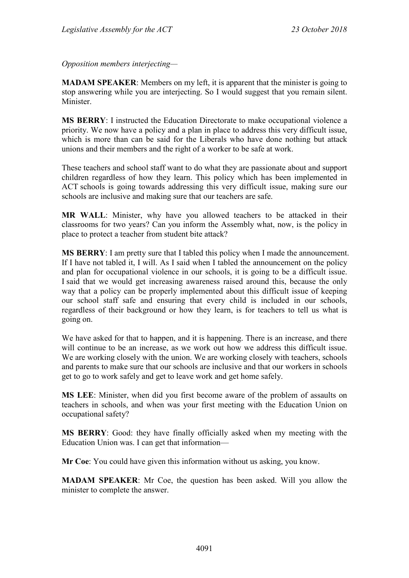*Opposition members interjecting—*

**MADAM SPEAKER**: Members on my left, it is apparent that the minister is going to stop answering while you are interjecting. So I would suggest that you remain silent. Minister.

**MS BERRY**: I instructed the Education Directorate to make occupational violence a priority. We now have a policy and a plan in place to address this very difficult issue, which is more than can be said for the Liberals who have done nothing but attack unions and their members and the right of a worker to be safe at work.

These teachers and school staff want to do what they are passionate about and support children regardless of how they learn. This policy which has been implemented in ACT schools is going towards addressing this very difficult issue, making sure our schools are inclusive and making sure that our teachers are safe.

**MR WALL**: Minister, why have you allowed teachers to be attacked in their classrooms for two years? Can you inform the Assembly what, now, is the policy in place to protect a teacher from student bite attack?

**MS BERRY**: I am pretty sure that I tabled this policy when I made the announcement. If I have not tabled it, I will. As I said when I tabled the announcement on the policy and plan for occupational violence in our schools, it is going to be a difficult issue. I said that we would get increasing awareness raised around this, because the only way that a policy can be properly implemented about this difficult issue of keeping our school staff safe and ensuring that every child is included in our schools, regardless of their background or how they learn, is for teachers to tell us what is going on.

We have asked for that to happen, and it is happening. There is an increase, and there will continue to be an increase, as we work out how we address this difficult issue. We are working closely with the union. We are working closely with teachers, schools and parents to make sure that our schools are inclusive and that our workers in schools get to go to work safely and get to leave work and get home safely.

**MS LEE**: Minister, when did you first become aware of the problem of assaults on teachers in schools, and when was your first meeting with the Education Union on occupational safety?

**MS BERRY**: Good: they have finally officially asked when my meeting with the Education Union was. I can get that information—

**Mr Coe**: You could have given this information without us asking, you know.

**MADAM SPEAKER**: Mr Coe, the question has been asked. Will you allow the minister to complete the answer.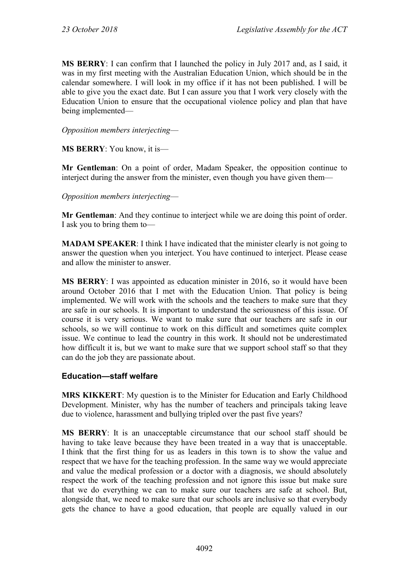**MS BERRY**: I can confirm that I launched the policy in July 2017 and, as I said, it was in my first meeting with the Australian Education Union, which should be in the calendar somewhere. I will look in my office if it has not been published. I will be able to give you the exact date. But I can assure you that I work very closely with the Education Union to ensure that the occupational violence policy and plan that have being implemented—

*Opposition members interjecting*—

**MS BERRY**: You know, it is—

**Mr Gentleman**: On a point of order, Madam Speaker, the opposition continue to interject during the answer from the minister, even though you have given them—

*Opposition members interjecting*—

**Mr Gentleman**: And they continue to interject while we are doing this point of order. I ask you to bring them to—

**MADAM SPEAKER**: I think I have indicated that the minister clearly is not going to answer the question when you interject. You have continued to interject. Please cease and allow the minister to answer.

**MS BERRY**: I was appointed as education minister in 2016, so it would have been around October 2016 that I met with the Education Union. That policy is being implemented. We will work with the schools and the teachers to make sure that they are safe in our schools. It is important to understand the seriousness of this issue. Of course it is very serious. We want to make sure that our teachers are safe in our schools, so we will continue to work on this difficult and sometimes quite complex issue. We continue to lead the country in this work. It should not be underestimated how difficult it is, but we want to make sure that we support school staff so that they can do the job they are passionate about.

## **Education—staff welfare**

**MRS KIKKERT**: My question is to the Minister for Education and Early Childhood Development. Minister, why has the number of teachers and principals taking leave due to violence, harassment and bullying tripled over the past five years?

**MS BERRY**: It is an unacceptable circumstance that our school staff should be having to take leave because they have been treated in a way that is unacceptable. I think that the first thing for us as leaders in this town is to show the value and respect that we have for the teaching profession. In the same way we would appreciate and value the medical profession or a doctor with a diagnosis, we should absolutely respect the work of the teaching profession and not ignore this issue but make sure that we do everything we can to make sure our teachers are safe at school. But, alongside that, we need to make sure that our schools are inclusive so that everybody gets the chance to have a good education, that people are equally valued in our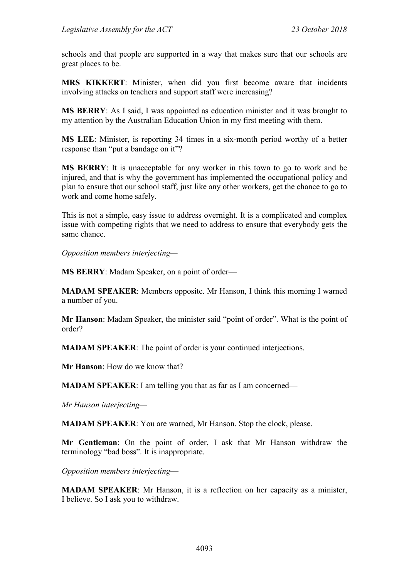schools and that people are supported in a way that makes sure that our schools are great places to be.

**MRS KIKKERT**: Minister, when did you first become aware that incidents involving attacks on teachers and support staff were increasing?

**MS BERRY**: As I said, I was appointed as education minister and it was brought to my attention by the Australian Education Union in my first meeting with them.

**MS LEE**: Minister, is reporting 34 times in a six-month period worthy of a better response than "put a bandage on it"?

**MS BERRY**: It is unacceptable for any worker in this town to go to work and be injured, and that is why the government has implemented the occupational policy and plan to ensure that our school staff, just like any other workers, get the chance to go to work and come home safely.

This is not a simple, easy issue to address overnight. It is a complicated and complex issue with competing rights that we need to address to ensure that everybody gets the same chance.

*Opposition members interjecting—*

**MS BERRY**: Madam Speaker, on a point of order—

**MADAM SPEAKER**: Members opposite. Mr Hanson, I think this morning I warned a number of you.

**Mr Hanson**: Madam Speaker, the minister said "point of order". What is the point of order?

**MADAM SPEAKER**: The point of order is your continued interjections.

**Mr Hanson**: How do we know that?

**MADAM SPEAKER**: I am telling you that as far as I am concerned—

*Mr Hanson interjecting—*

**MADAM SPEAKER**: You are warned, Mr Hanson. Stop the clock, please.

**Mr Gentleman**: On the point of order, I ask that Mr Hanson withdraw the terminology "bad boss". It is inappropriate.

*Opposition members interjecting*—

**MADAM SPEAKER**: Mr Hanson, it is a reflection on her capacity as a minister, I believe. So I ask you to withdraw.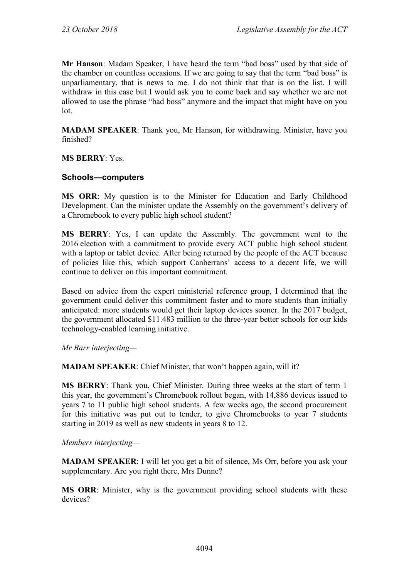**Mr Hanson**: Madam Speaker, I have heard the term "bad boss" used by that side of the chamber on countless occasions. If we are going to say that the term "bad boss" is unparliamentary, that is news to me. I do not think that that is on the list. I will withdraw in this case but I would ask you to come back and say whether we are not allowed to use the phrase "bad boss" anymore and the impact that might have on you lot.

**MADAM SPEAKER**: Thank you, Mr Hanson, for withdrawing. Minister, have you finished?

**MS BERRY**: Yes.

### **Schools—computers**

**MS ORR**: My question is to the Minister for Education and Early Childhood Development. Can the minister update the Assembly on the government's delivery of a Chromebook to every public high school student?

**MS BERRY**: Yes, I can update the Assembly. The government went to the 2016 election with a commitment to provide every ACT public high school student with a laptop or tablet device. After being returned by the people of the ACT because of policies like this, which support Canberrans' access to a decent life, we will continue to deliver on this important commitment.

Based on advice from the expert ministerial reference group, I determined that the government could deliver this commitment faster and to more students than initially anticipated: more students would get their laptop devices sooner. In the 2017 budget, the government allocated \$11.483 million to the three-year better schools for our kids technology-enabled learning initiative.

*Mr Barr interjecting—*

**MADAM SPEAKER**: Chief Minister, that won't happen again, will it?

**MS BERRY**: Thank you, Chief Minister. During three weeks at the start of term 1 this year, the government's Chromebook rollout began, with 14,886 devices issued to years 7 to 11 public high school students. A few weeks ago, the second procurement for this initiative was put out to tender, to give Chromebooks to year 7 students starting in 2019 as well as new students in years 8 to 12.

#### *Members interjecting—*

**MADAM SPEAKER**: I will let you get a bit of silence, Ms Orr, before you ask your supplementary. Are you right there, Mrs Dunne?

**MS ORR**: Minister, why is the government providing school students with these devices?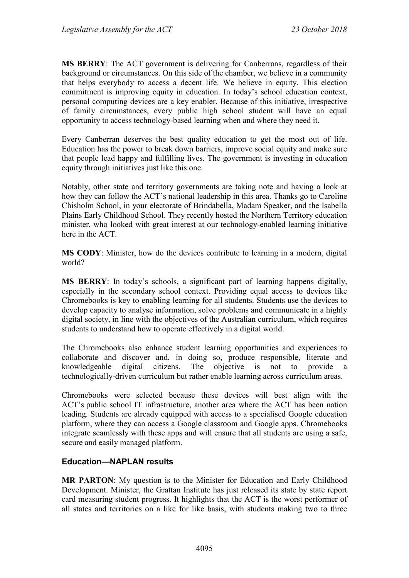**MS BERRY**: The ACT government is delivering for Canberrans, regardless of their background or circumstances. On this side of the chamber, we believe in a community that helps everybody to access a decent life. We believe in equity. This election commitment is improving equity in education. In today's school education context, personal computing devices are a key enabler. Because of this initiative, irrespective of family circumstances, every public high school student will have an equal opportunity to access technology-based learning when and where they need it.

Every Canberran deserves the best quality education to get the most out of life. Education has the power to break down barriers, improve social equity and make sure that people lead happy and fulfilling lives. The government is investing in education equity through initiatives just like this one.

Notably, other state and territory governments are taking note and having a look at how they can follow the ACT's national leadership in this area. Thanks go to Caroline Chisholm School, in your electorate of Brindabella, Madam Speaker, and the Isabella Plains Early Childhood School. They recently hosted the Northern Territory education minister, who looked with great interest at our technology-enabled learning initiative here in the ACT.

**MS CODY**: Minister, how do the devices contribute to learning in a modern, digital world?

**MS BERRY**: In today's schools, a significant part of learning happens digitally, especially in the secondary school context. Providing equal access to devices like Chromebooks is key to enabling learning for all students. Students use the devices to develop capacity to analyse information, solve problems and communicate in a highly digital society, in line with the objectives of the Australian curriculum, which requires students to understand how to operate effectively in a digital world.

The Chromebooks also enhance student learning opportunities and experiences to collaborate and discover and, in doing so, produce responsible, literate and knowledgeable digital citizens. The objective is not to provide a technologically-driven curriculum but rather enable learning across curriculum areas.

Chromebooks were selected because these devices will best align with the ACT's public school IT infrastructure, another area where the ACT has been nation leading. Students are already equipped with access to a specialised Google education platform, where they can access a Google classroom and Google apps. Chromebooks integrate seamlessly with these apps and will ensure that all students are using a safe, secure and easily managed platform.

#### **Education—NAPLAN results**

**MR PARTON**: My question is to the Minister for Education and Early Childhood Development. Minister, the Grattan Institute has just released its state by state report card measuring student progress. It highlights that the ACT is the worst performer of all states and territories on a like for like basis, with students making two to three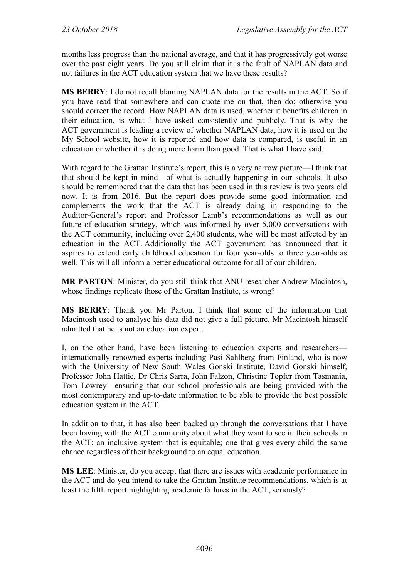months less progress than the national average, and that it has progressively got worse over the past eight years. Do you still claim that it is the fault of NAPLAN data and not failures in the ACT education system that we have these results?

**MS BERRY**: I do not recall blaming NAPLAN data for the results in the ACT. So if you have read that somewhere and can quote me on that, then do; otherwise you should correct the record. How NAPLAN data is used, whether it benefits children in their education, is what I have asked consistently and publicly. That is why the ACT government is leading a review of whether NAPLAN data, how it is used on the My School website, how it is reported and how data is compared, is useful in an education or whether it is doing more harm than good. That is what I have said.

With regard to the Grattan Institute's report, this is a very narrow picture—I think that that should be kept in mind—of what is actually happening in our schools. It also should be remembered that the data that has been used in this review is two years old now. It is from 2016. But the report does provide some good information and complements the work that the ACT is already doing in responding to the Auditor-General's report and Professor Lamb's recommendations as well as our future of education strategy, which was informed by over 5,000 conversations with the ACT community, including over 2,400 students, who will be most affected by an education in the ACT. Additionally the ACT government has announced that it aspires to extend early childhood education for four year-olds to three year-olds as well. This will all inform a better educational outcome for all of our children.

**MR PARTON**: Minister, do you still think that ANU researcher Andrew Macintosh, whose findings replicate those of the Grattan Institute, is wrong?

**MS BERRY**: Thank you Mr Parton. I think that some of the information that Macintosh used to analyse his data did not give a full picture. Mr Macintosh himself admitted that he is not an education expert.

I, on the other hand, have been listening to education experts and researchers internationally renowned experts including Pasi Sahlberg from Finland, who is now with the University of New South Wales Gonski Institute, David Gonski himself, Professor John Hattie, Dr Chris Sarra, John Falzon, Christine Topfer from Tasmania, Tom Lowrey—ensuring that our school professionals are being provided with the most contemporary and up-to-date information to be able to provide the best possible education system in the ACT.

In addition to that, it has also been backed up through the conversations that I have been having with the ACT community about what they want to see in their schools in the ACT: an inclusive system that is equitable; one that gives every child the same chance regardless of their background to an equal education.

**MS LEE**: Minister, do you accept that there are issues with academic performance in the ACT and do you intend to take the Grattan Institute recommendations, which is at least the fifth report highlighting academic failures in the ACT, seriously?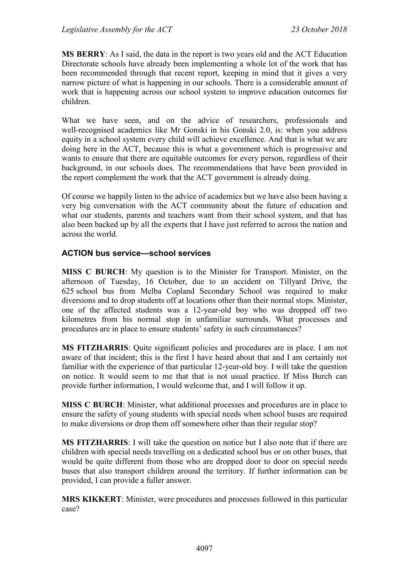**MS BERRY**: As I said, the data in the report is two years old and the ACT Education Directorate schools have already been implementing a whole lot of the work that has been recommended through that recent report, keeping in mind that it gives a very narrow picture of what is happening in our schools. There is a considerable amount of work that is happening across our school system to improve education outcomes for children.

What we have seen, and on the advice of researchers, professionals and well-recognised academics like Mr Gonski in his Gonski 2.0, is: when you address equity in a school system every child will achieve excellence. And that is what we are doing here in the ACT, because this is what a government which is progressive and wants to ensure that there are equitable outcomes for every person, regardless of their background, in our schools does. The recommendations that have been provided in the report complement the work that the ACT government is already doing.

Of course we happily listen to the advice of academics but we have also been having a very big conversation with the ACT community about the future of education and what our students, parents and teachers want from their school system, and that has also been backed up by all the experts that I have just referred to across the nation and across the world.

### **ACTION bus service—school services**

**MISS C BURCH**: My question is to the Minister for Transport. Minister, on the afternoon of Tuesday, 16 October, due to an accident on Tillyard Drive, the 625 school bus from Melba Copland Secondary School was required to make diversions and to drop students off at locations other than their normal stops. Minister, one of the affected students was a 12-year-old boy who was dropped off two kilometres from his normal stop in unfamiliar surrounds. What processes and procedures are in place to ensure students' safety in such circumstances?

**MS FITZHARRIS**: Quite significant policies and procedures are in place. I am not aware of that incident; this is the first I have heard about that and I am certainly not familiar with the experience of that particular 12-year-old boy. I will take the question on notice. It would seem to me that that is not usual practice. If Miss Burch can provide further information, I would welcome that, and I will follow it up.

**MISS C BURCH**: Minister, what additional processes and procedures are in place to ensure the safety of young students with special needs when school buses are required to make diversions or drop them off somewhere other than their regular stop?

**MS FITZHARRIS**: I will take the question on notice but I also note that if there are children with special needs travelling on a dedicated school bus or on other buses, that would be quite different from those who are dropped door to door on special needs buses that also transport children around the territory. If further information can be provided, I can provide a fuller answer.

**MRS KIKKERT**: Minister, were procedures and processes followed in this particular case?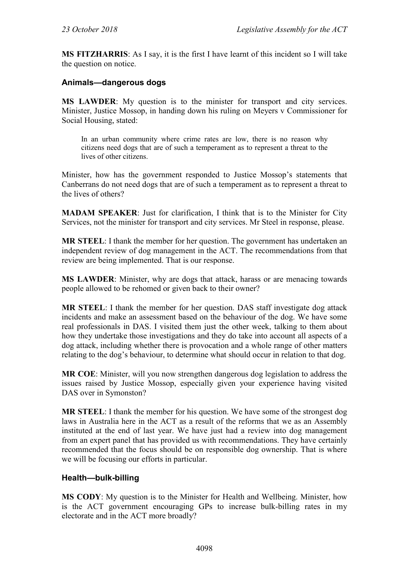**MS FITZHARRIS**: As I say, it is the first I have learnt of this incident so I will take the question on notice.

#### **Animals—dangerous dogs**

**MS LAWDER**: My question is to the minister for transport and city services. Minister, Justice Mossop, in handing down his ruling on Meyers v Commissioner for Social Housing, stated:

In an urban community where crime rates are low, there is no reason why citizens need dogs that are of such a temperament as to represent a threat to the lives of other citizens.

Minister, how has the government responded to Justice Mossop's statements that Canberrans do not need dogs that are of such a temperament as to represent a threat to the lives of others?

**MADAM SPEAKER**: Just for clarification, I think that is to the Minister for City Services, not the minister for transport and city services. Mr Steel in response, please.

**MR STEEL**: I thank the member for her question. The government has undertaken an independent review of dog management in the ACT. The recommendations from that review are being implemented. That is our response.

**MS LAWDER**: Minister, why are dogs that attack, harass or are menacing towards people allowed to be rehomed or given back to their owner?

**MR STEEL**: I thank the member for her question. DAS staff investigate dog attack incidents and make an assessment based on the behaviour of the dog. We have some real professionals in DAS. I visited them just the other week, talking to them about how they undertake those investigations and they do take into account all aspects of a dog attack, including whether there is provocation and a whole range of other matters relating to the dog's behaviour, to determine what should occur in relation to that dog.

**MR COE**: Minister, will you now strengthen dangerous dog legislation to address the issues raised by Justice Mossop, especially given your experience having visited DAS over in Symonston?

**MR STEEL**: I thank the member for his question. We have some of the strongest dog laws in Australia here in the ACT as a result of the reforms that we as an Assembly instituted at the end of last year. We have just had a review into dog management from an expert panel that has provided us with recommendations. They have certainly recommended that the focus should be on responsible dog ownership. That is where we will be focusing our efforts in particular.

#### **Health—bulk-billing**

**MS CODY**: My question is to the Minister for Health and Wellbeing. Minister, how is the ACT government encouraging GPs to increase bulk-billing rates in my electorate and in the ACT more broadly?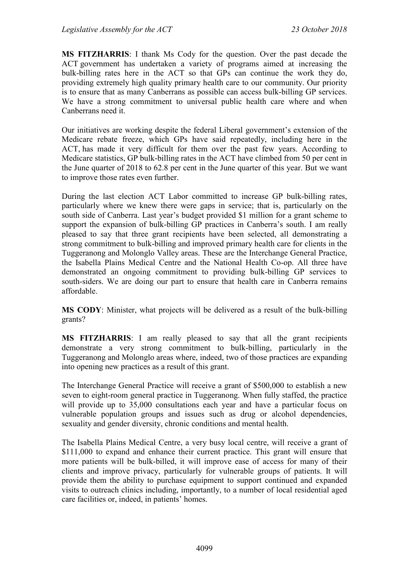**MS FITZHARRIS**: I thank Ms Cody for the question. Over the past decade the ACT government has undertaken a variety of programs aimed at increasing the bulk-billing rates here in the ACT so that GPs can continue the work they do, providing extremely high quality primary health care to our community. Our priority is to ensure that as many Canberrans as possible can access bulk-billing GP services. We have a strong commitment to universal public health care where and when Canberrans need it.

Our initiatives are working despite the federal Liberal government's extension of the Medicare rebate freeze, which GPs have said repeatedly, including here in the ACT, has made it very difficult for them over the past few years. According to Medicare statistics, GP bulk-billing rates in the ACT have climbed from 50 per cent in the June quarter of 2018 to 62.8 per cent in the June quarter of this year. But we want to improve those rates even further.

During the last election ACT Labor committed to increase GP bulk-billing rates, particularly where we knew there were gaps in service; that is, particularly on the south side of Canberra. Last year's budget provided \$1 million for a grant scheme to support the expansion of bulk-billing GP practices in Canberra's south. I am really pleased to say that three grant recipients have been selected, all demonstrating a strong commitment to bulk-billing and improved primary health care for clients in the Tuggeranong and Molonglo Valley areas. These are the Interchange General Practice, the Isabella Plains Medical Centre and the National Health Co-op. All three have demonstrated an ongoing commitment to providing bulk-billing GP services to south-siders. We are doing our part to ensure that health care in Canberra remains affordable.

**MS CODY**: Minister, what projects will be delivered as a result of the bulk-billing grants?

**MS FITZHARRIS**: I am really pleased to say that all the grant recipients demonstrate a very strong commitment to bulk-billing, particularly in the Tuggeranong and Molonglo areas where, indeed, two of those practices are expanding into opening new practices as a result of this grant.

The Interchange General Practice will receive a grant of \$500,000 to establish a new seven to eight-room general practice in Tuggeranong. When fully staffed, the practice will provide up to 35,000 consultations each year and have a particular focus on vulnerable population groups and issues such as drug or alcohol dependencies, sexuality and gender diversity, chronic conditions and mental health.

The Isabella Plains Medical Centre, a very busy local centre, will receive a grant of \$111,000 to expand and enhance their current practice. This grant will ensure that more patients will be bulk-billed, it will improve ease of access for many of their clients and improve privacy, particularly for vulnerable groups of patients. It will provide them the ability to purchase equipment to support continued and expanded visits to outreach clinics including, importantly, to a number of local residential aged care facilities or, indeed, in patients' homes.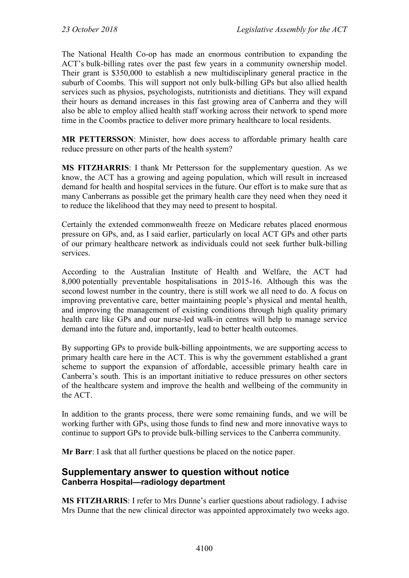The National Health Co-op has made an enormous contribution to expanding the ACT's bulk-billing rates over the past few years in a community ownership model. Their grant is \$350,000 to establish a new multidisciplinary general practice in the suburb of Coombs. This will support not only bulk-billing GPs but also allied health services such as physios, psychologists, nutritionists and dietitians. They will expand their hours as demand increases in this fast growing area of Canberra and they will also be able to employ allied health staff working across their network to spend more time in the Coombs practice to deliver more primary healthcare to local residents.

**MR PETTERSSON**: Minister, how does access to affordable primary health care reduce pressure on other parts of the health system?

**MS FITZHARRIS**: I thank Mr Pettersson for the supplementary question. As we know, the ACT has a growing and ageing population, which will result in increased demand for health and hospital services in the future. Our effort is to make sure that as many Canberrans as possible get the primary health care they need when they need it to reduce the likelihood that they may need to present to hospital.

Certainly the extended commonwealth freeze on Medicare rebates placed enormous pressure on GPs, and, as I said earlier, particularly on local ACT GPs and other parts of our primary healthcare network as individuals could not seek further bulk-billing services.

According to the Australian Institute of Health and Welfare, the ACT had 8,000 potentially preventable hospitalisations in 2015-16. Although this was the second lowest number in the country, there is still work we all need to do. A focus on improving preventative care, better maintaining people's physical and mental health, and improving the management of existing conditions through high quality primary health care like GPs and our nurse-led walk-in centres will help to manage service demand into the future and, importantly, lead to better health outcomes.

By supporting GPs to provide bulk-billing appointments, we are supporting access to primary health care here in the ACT. This is why the government established a grant scheme to support the expansion of affordable, accessible primary health care in Canberra's south. This is an important initiative to reduce pressures on other sectors of the healthcare system and improve the health and wellbeing of the community in the ACT.

In addition to the grants process, there were some remaining funds, and we will be working further with GPs, using those funds to find new and more innovative ways to continue to support GPs to provide bulk-billing services to the Canberra community.

**Mr Barr**: I ask that all further questions be placed on the notice paper.

## **Supplementary answer to question without notice Canberra Hospital—radiology department**

**MS FITZHARRIS**: I refer to Mrs Dunne's earlier questions about radiology. I advise Mrs Dunne that the new clinical director was appointed approximately two weeks ago.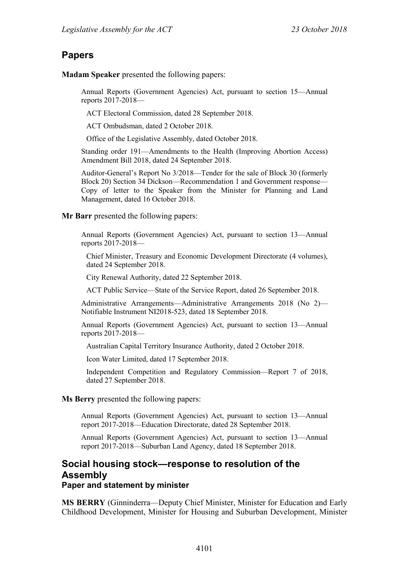## **Papers**

**Madam Speaker** presented the following papers:

Annual Reports (Government Agencies) Act, pursuant to section 15—Annual reports 2017-2018—

ACT Electoral Commission, dated 28 September 2018.

ACT Ombudsman, dated 2 October 2018.

Office of the Legislative Assembly, dated October 2018.

Standing order 191—Amendments to the Health (Improving Abortion Access) Amendment Bill 2018, dated 24 September 2018.

Auditor-General's Report No 3/2018—Tender for the sale of Block 30 (formerly Block 20) Section 34 Dickson—Recommendation 1 and Government response— Copy of letter to the Speaker from the Minister for Planning and Land Management, dated 16 October 2018.

**Mr Barr** presented the following papers:

Annual Reports (Government Agencies) Act, pursuant to section 13—Annual reports 2017-2018—

Chief Minister, Treasury and Economic Development Directorate (4 volumes), dated 24 September 2018.

City Renewal Authority, dated 22 September 2018.

ACT Public Service—State of the Service Report, dated 26 September 2018.

Administrative Arrangements—Administrative Arrangements 2018 (No 2)— Notifiable Instrument NI2018-523, dated 18 September 2018.

Annual Reports (Government Agencies) Act, pursuant to section 13—Annual reports 2017-2018—

Australian Capital Territory Insurance Authority, dated 2 October 2018.

Icon Water Limited, dated 17 September 2018.

Independent Competition and Regulatory Commission—Report 7 of 2018, dated 27 September 2018.

**Ms Berry** presented the following papers:

Annual Reports (Government Agencies) Act, pursuant to section 13—Annual report 2017-2018—Education Directorate, dated 28 September 2018.

Annual Reports (Government Agencies) Act, pursuant to section 13—Annual report 2017-2018—Suburban Land Agency, dated 18 September 2018.

# **Social housing stock—response to resolution of the Assembly**

### **Paper and statement by minister**

**MS BERRY** (Ginninderra—Deputy Chief Minister, Minister for Education and Early Childhood Development, Minister for Housing and Suburban Development, Minister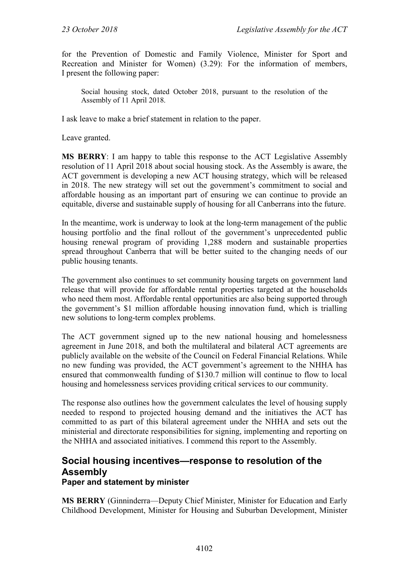for the Prevention of Domestic and Family Violence, Minister for Sport and Recreation and Minister for Women) (3.29): For the information of members, I present the following paper:

Social housing stock, dated October 2018, pursuant to the resolution of the Assembly of 11 April 2018.

I ask leave to make a brief statement in relation to the paper.

Leave granted.

**MS BERRY**: I am happy to table this response to the ACT Legislative Assembly resolution of 11 April 2018 about social housing stock. As the Assembly is aware, the ACT government is developing a new ACT housing strategy, which will be released in 2018. The new strategy will set out the government's commitment to social and affordable housing as an important part of ensuring we can continue to provide an equitable, diverse and sustainable supply of housing for all Canberrans into the future.

In the meantime, work is underway to look at the long-term management of the public housing portfolio and the final rollout of the government's unprecedented public housing renewal program of providing 1,288 modern and sustainable properties spread throughout Canberra that will be better suited to the changing needs of our public housing tenants.

The government also continues to set community housing targets on government land release that will provide for affordable rental properties targeted at the households who need them most. Affordable rental opportunities are also being supported through the government's \$1 million affordable housing innovation fund, which is trialling new solutions to long-term complex problems.

The ACT government signed up to the new national housing and homelessness agreement in June 2018, and both the multilateral and bilateral ACT agreements are publicly available on the website of the Council on Federal Financial Relations. While no new funding was provided, the ACT government's agreement to the NHHA has ensured that commonwealth funding of \$130.7 million will continue to flow to local housing and homelessness services providing critical services to our community.

The response also outlines how the government calculates the level of housing supply needed to respond to projected housing demand and the initiatives the ACT has committed to as part of this bilateral agreement under the NHHA and sets out the ministerial and directorate responsibilities for signing, implementing and reporting on the NHHA and associated initiatives. I commend this report to the Assembly.

## **Social housing incentives—response to resolution of the Assembly Paper and statement by minister**

**MS BERRY** (Ginninderra—Deputy Chief Minister, Minister for Education and Early Childhood Development, Minister for Housing and Suburban Development, Minister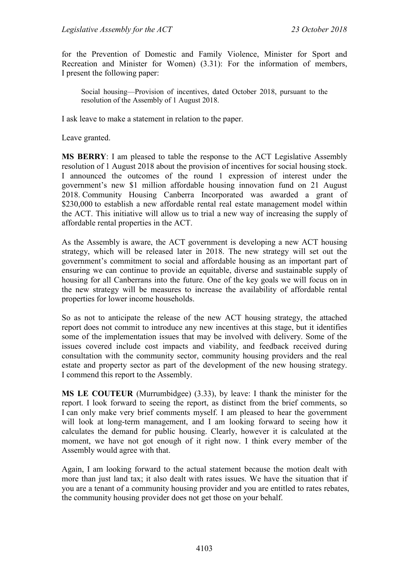for the Prevention of Domestic and Family Violence, Minister for Sport and Recreation and Minister for Women) (3.31): For the information of members, I present the following paper:

Social housing—Provision of incentives, dated October 2018, pursuant to the resolution of the Assembly of 1 August 2018.

I ask leave to make a statement in relation to the paper.

Leave granted.

**MS BERRY**: I am pleased to table the response to the ACT Legislative Assembly resolution of 1 August 2018 about the provision of incentives for social housing stock. I announced the outcomes of the round 1 expression of interest under the government's new \$1 million affordable housing innovation fund on 21 August 2018. Community Housing Canberra Incorporated was awarded a grant of \$230,000 to establish a new affordable rental real estate management model within the ACT. This initiative will allow us to trial a new way of increasing the supply of affordable rental properties in the ACT.

As the Assembly is aware, the ACT government is developing a new ACT housing strategy, which will be released later in 2018. The new strategy will set out the government's commitment to social and affordable housing as an important part of ensuring we can continue to provide an equitable, diverse and sustainable supply of housing for all Canberrans into the future. One of the key goals we will focus on in the new strategy will be measures to increase the availability of affordable rental properties for lower income households.

So as not to anticipate the release of the new ACT housing strategy, the attached report does not commit to introduce any new incentives at this stage, but it identifies some of the implementation issues that may be involved with delivery. Some of the issues covered include cost impacts and viability, and feedback received during consultation with the community sector, community housing providers and the real estate and property sector as part of the development of the new housing strategy. I commend this report to the Assembly.

**MS LE COUTEUR** (Murrumbidgee) (3.33), by leave: I thank the minister for the report. I look forward to seeing the report, as distinct from the brief comments, so I can only make very brief comments myself. I am pleased to hear the government will look at long-term management, and I am looking forward to seeing how it calculates the demand for public housing. Clearly, however it is calculated at the moment, we have not got enough of it right now. I think every member of the Assembly would agree with that.

Again, I am looking forward to the actual statement because the motion dealt with more than just land tax; it also dealt with rates issues. We have the situation that if you are a tenant of a community housing provider and you are entitled to rates rebates, the community housing provider does not get those on your behalf.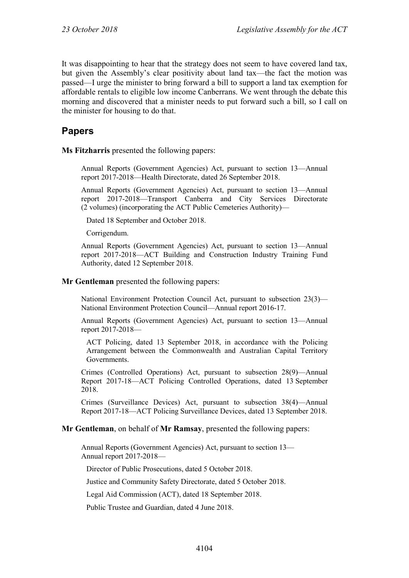It was disappointing to hear that the strategy does not seem to have covered land tax, but given the Assembly's clear positivity about land tax—the fact the motion was passed—I urge the minister to bring forward a bill to support a land tax exemption for affordable rentals to eligible low income Canberrans. We went through the debate this morning and discovered that a minister needs to put forward such a bill, so I call on the minister for housing to do that.

## **Papers**

**Ms Fitzharris** presented the following papers:

Annual Reports (Government Agencies) Act, pursuant to section 13—Annual report 2017-2018—Health Directorate, dated 26 September 2018.

Annual Reports (Government Agencies) Act, pursuant to section 13—Annual report 2017-2018—Transport Canberra and City Services Directorate (2 volumes) (incorporating the ACT Public Cemeteries Authority)—

Dated 18 September and October 2018.

Corrigendum.

Annual Reports (Government Agencies) Act, pursuant to section 13—Annual report 2017-2018—ACT Building and Construction Industry Training Fund Authority, dated 12 September 2018.

**Mr Gentleman** presented the following papers:

National Environment Protection Council Act, pursuant to subsection 23(3)— National Environment Protection Council—Annual report 2016-17.

Annual Reports (Government Agencies) Act, pursuant to section 13—Annual report 2017-2018—

ACT Policing, dated 13 September 2018, in accordance with the Policing Arrangement between the Commonwealth and Australian Capital Territory Governments.

Crimes (Controlled Operations) Act, pursuant to subsection 28(9)—Annual Report 2017-18—ACT Policing Controlled Operations, dated 13 September 2018.

Crimes (Surveillance Devices) Act, pursuant to subsection 38(4)—Annual Report 2017-18—ACT Policing Surveillance Devices, dated 13 September 2018.

#### **Mr Gentleman**, on behalf of **Mr Ramsay**, presented the following papers:

Annual Reports (Government Agencies) Act, pursuant to section 13— Annual report 2017-2018—

Director of Public Prosecutions, dated 5 October 2018.

Justice and Community Safety Directorate, dated 5 October 2018.

Legal Aid Commission (ACT), dated 18 September 2018.

Public Trustee and Guardian, dated 4 June 2018.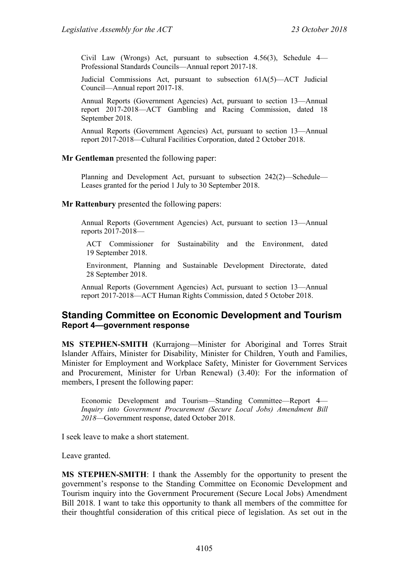Civil Law (Wrongs) Act, pursuant to subsection 4.56(3), Schedule 4— Professional Standards Councils—Annual report 2017-18.

Judicial Commissions Act, pursuant to subsection 61A(5)—ACT Judicial Council—Annual report 2017-18.

Annual Reports (Government Agencies) Act, pursuant to section 13—Annual report 2017-2018—ACT Gambling and Racing Commission, dated 18 September 2018.

Annual Reports (Government Agencies) Act, pursuant to section 13—Annual report 2017-2018—Cultural Facilities Corporation, dated 2 October 2018.

**Mr Gentleman** presented the following paper:

Planning and Development Act, pursuant to subsection 242(2)—Schedule— Leases granted for the period 1 July to 30 September 2018.

**Mr Rattenbury** presented the following papers:

Annual Reports (Government Agencies) Act, pursuant to section 13—Annual reports 2017-2018—

ACT Commissioner for Sustainability and the Environment, dated 19 September 2018.

Environment, Planning and Sustainable Development Directorate, dated 28 September 2018.

Annual Reports (Government Agencies) Act, pursuant to section 13—Annual report 2017-2018—ACT Human Rights Commission, dated 5 October 2018.

## **Standing Committee on Economic Development and Tourism Report 4—government response**

**MS STEPHEN-SMITH** (Kurrajong—Minister for Aboriginal and Torres Strait Islander Affairs, Minister for Disability, Minister for Children, Youth and Families, Minister for Employment and Workplace Safety, Minister for Government Services and Procurement, Minister for Urban Renewal) (3.40): For the information of members, I present the following paper:

Economic Development and Tourism—Standing Committee—Report 4— *Inquiry into Government Procurement (Secure Local Jobs) Amendment Bill 2018*—Government response, dated October 2018.

I seek leave to make a short statement.

Leave granted.

**MS STEPHEN-SMITH**: I thank the Assembly for the opportunity to present the government's response to the Standing Committee on Economic Development and Tourism inquiry into the Government Procurement (Secure Local Jobs) Amendment Bill 2018. I want to take this opportunity to thank all members of the committee for their thoughtful consideration of this critical piece of legislation. As set out in the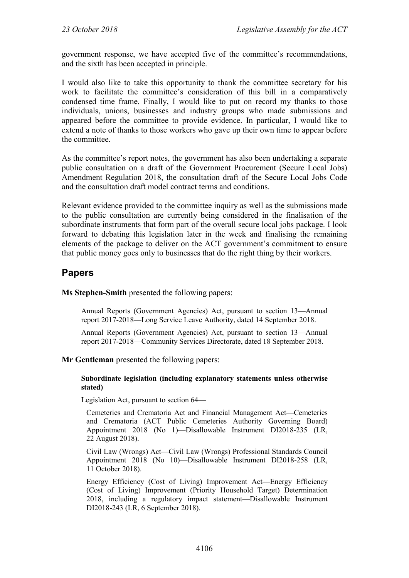government response, we have accepted five of the committee's recommendations, and the sixth has been accepted in principle.

I would also like to take this opportunity to thank the committee secretary for his work to facilitate the committee's consideration of this bill in a comparatively condensed time frame. Finally, I would like to put on record my thanks to those individuals, unions, businesses and industry groups who made submissions and appeared before the committee to provide evidence. In particular, I would like to extend a note of thanks to those workers who gave up their own time to appear before the committee.

As the committee's report notes, the government has also been undertaking a separate public consultation on a draft of the Government Procurement (Secure Local Jobs) Amendment Regulation 2018, the consultation draft of the Secure Local Jobs Code and the consultation draft model contract terms and conditions.

Relevant evidence provided to the committee inquiry as well as the submissions made to the public consultation are currently being considered in the finalisation of the subordinate instruments that form part of the overall secure local jobs package. I look forward to debating this legislation later in the week and finalising the remaining elements of the package to deliver on the ACT government's commitment to ensure that public money goes only to businesses that do the right thing by their workers.

# **Papers**

**Ms Stephen-Smith** presented the following papers:

Annual Reports (Government Agencies) Act, pursuant to section 13—Annual report 2017-2018—Long Service Leave Authority, dated 14 September 2018.

Annual Reports (Government Agencies) Act, pursuant to section 13—Annual report 2017-2018—Community Services Directorate, dated 18 September 2018.

**Mr Gentleman** presented the following papers:

#### **Subordinate legislation (including explanatory statements unless otherwise stated)**

Legislation Act, pursuant to section 64—

Cemeteries and Crematoria Act and Financial Management Act—Cemeteries and Crematoria (ACT Public Cemeteries Authority Governing Board) Appointment 2018 (No 1)—Disallowable Instrument DI2018-235 (LR, 22 August 2018).

Civil Law (Wrongs) Act—Civil Law (Wrongs) Professional Standards Council Appointment 2018 (No 10)—Disallowable Instrument DI2018-258 (LR, 11 October 2018).

Energy Efficiency (Cost of Living) Improvement Act—Energy Efficiency (Cost of Living) Improvement (Priority Household Target) Determination 2018, including a regulatory impact statement—Disallowable Instrument DI2018-243 (LR, 6 September 2018).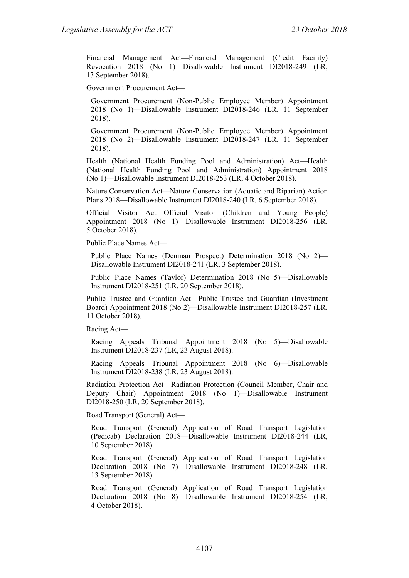Financial Management Act—Financial Management (Credit Facility) Revocation 2018 (No 1)—Disallowable Instrument DI2018-249 (LR, 13 September 2018).

Government Procurement Act—

Government Procurement (Non-Public Employee Member) Appointment 2018 (No 1)—Disallowable Instrument DI2018-246 (LR, 11 September 2018).

Government Procurement (Non-Public Employee Member) Appointment 2018 (No 2)—Disallowable Instrument DI2018-247 (LR, 11 September 2018).

Health (National Health Funding Pool and Administration) Act—Health (National Health Funding Pool and Administration) Appointment 2018 (No 1)—Disallowable Instrument DI2018-253 (LR, 4 October 2018).

Nature Conservation Act—Nature Conservation (Aquatic and Riparian) Action Plans 2018—Disallowable Instrument DI2018-240 (LR, 6 September 2018).

Official Visitor Act—Official Visitor (Children and Young People) Appointment 2018 (No 1)—Disallowable Instrument DI2018-256 (LR, 5 October 2018).

Public Place Names Act—

Public Place Names (Denman Prospect) Determination 2018 (No 2)— Disallowable Instrument DI2018-241 (LR, 3 September 2018).

Public Place Names (Taylor) Determination 2018 (No 5)—Disallowable Instrument DI2018-251 (LR, 20 September 2018).

Public Trustee and Guardian Act—Public Trustee and Guardian (Investment Board) Appointment 2018 (No 2)—Disallowable Instrument DI2018-257 (LR, 11 October 2018).

Racing Act—

Racing Appeals Tribunal Appointment 2018 (No 5)—Disallowable Instrument DI2018-237 (LR, 23 August 2018).

Racing Appeals Tribunal Appointment 2018 (No 6)—Disallowable Instrument DI2018-238 (LR, 23 August 2018).

Radiation Protection Act—Radiation Protection (Council Member, Chair and Deputy Chair) Appointment 2018 (No 1)—Disallowable Instrument DI2018-250 (LR, 20 September 2018).

Road Transport (General) Act—

Road Transport (General) Application of Road Transport Legislation (Pedicab) Declaration 2018—Disallowable Instrument DI2018-244 (LR, 10 September 2018).

Road Transport (General) Application of Road Transport Legislation Declaration 2018 (No 7)—Disallowable Instrument DI2018-248 (LR, 13 September 2018).

Road Transport (General) Application of Road Transport Legislation Declaration 2018 (No 8)—Disallowable Instrument DI2018-254 (LR, 4 October 2018).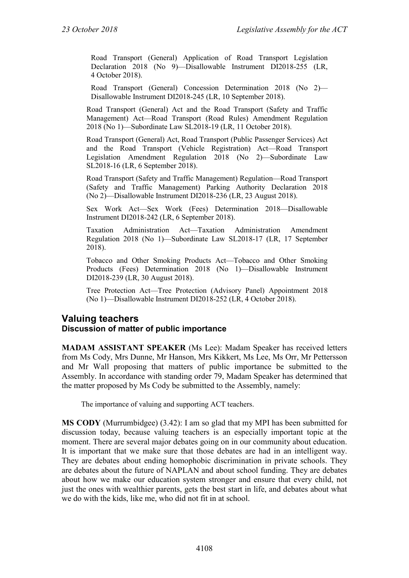Road Transport (General) Application of Road Transport Legislation Declaration 2018 (No 9)—Disallowable Instrument DI2018-255 (LR, 4 October 2018).

Road Transport (General) Concession Determination 2018 (No 2)— Disallowable Instrument DI2018-245 (LR, 10 September 2018).

Road Transport (General) Act and the Road Transport (Safety and Traffic Management) Act—Road Transport (Road Rules) Amendment Regulation 2018 (No 1)—Subordinate Law SL2018-19 (LR, 11 October 2018).

Road Transport (General) Act, Road Transport (Public Passenger Services) Act and the Road Transport (Vehicle Registration) Act—Road Transport Legislation Amendment Regulation 2018 (No 2)—Subordinate Law SL2018-16 (LR, 6 September 2018).

Road Transport (Safety and Traffic Management) Regulation—Road Transport (Safety and Traffic Management) Parking Authority Declaration 2018 (No 2)—Disallowable Instrument DI2018-236 (LR, 23 August 2018).

Sex Work Act—Sex Work (Fees) Determination 2018—Disallowable Instrument DI2018-242 (LR, 6 September 2018).

Taxation Administration Act—Taxation Administration Amendment Regulation 2018 (No 1)—Subordinate Law SL2018-17 (LR, 17 September 2018).

Tobacco and Other Smoking Products Act—Tobacco and Other Smoking Products (Fees) Determination 2018 (No 1)—Disallowable Instrument DI2018-239 (LR, 30 August 2018).

Tree Protection Act—Tree Protection (Advisory Panel) Appointment 2018 (No 1)—Disallowable Instrument DI2018-252 (LR, 4 October 2018).

## **Valuing teachers Discussion of matter of public importance**

**MADAM ASSISTANT SPEAKER** (Ms Lee): Madam Speaker has received letters from Ms Cody, Mrs Dunne, Mr Hanson, Mrs Kikkert, Ms Lee, Ms Orr, Mr Pettersson and Mr Wall proposing that matters of public importance be submitted to the Assembly. In accordance with standing order 79, Madam Speaker has determined that the matter proposed by Ms Cody be submitted to the Assembly, namely:

The importance of valuing and supporting ACT teachers.

**MS CODY** (Murrumbidgee) (3.42): I am so glad that my MPI has been submitted for discussion today, because valuing teachers is an especially important topic at the moment. There are several major debates going on in our community about education. It is important that we make sure that those debates are had in an intelligent way. They are debates about ending homophobic discrimination in private schools. They are debates about the future of NAPLAN and about school funding. They are debates about how we make our education system stronger and ensure that every child, not just the ones with wealthier parents, gets the best start in life, and debates about what we do with the kids, like me, who did not fit in at school.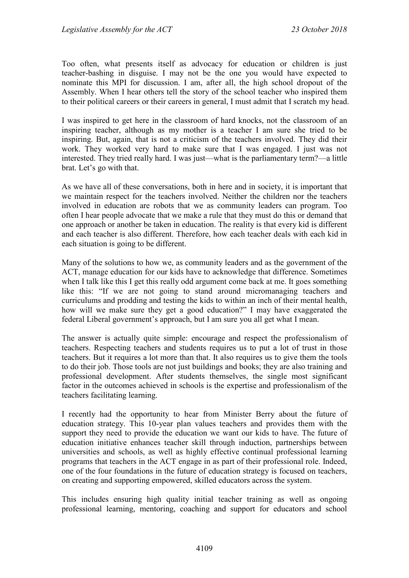Too often, what presents itself as advocacy for education or children is just teacher-bashing in disguise. I may not be the one you would have expected to nominate this MPI for discussion. I am, after all, the high school dropout of the Assembly. When I hear others tell the story of the school teacher who inspired them to their political careers or their careers in general, I must admit that I scratch my head.

I was inspired to get here in the classroom of hard knocks, not the classroom of an inspiring teacher, although as my mother is a teacher I am sure she tried to be inspiring. But, again, that is not a criticism of the teachers involved. They did their work. They worked very hard to make sure that I was engaged. I just was not interested. They tried really hard. I was just—what is the parliamentary term?—a little brat. Let's go with that.

As we have all of these conversations, both in here and in society, it is important that we maintain respect for the teachers involved. Neither the children nor the teachers involved in education are robots that we as community leaders can program. Too often I hear people advocate that we make a rule that they must do this or demand that one approach or another be taken in education. The reality is that every kid is different and each teacher is also different. Therefore, how each teacher deals with each kid in each situation is going to be different.

Many of the solutions to how we, as community leaders and as the government of the ACT, manage education for our kids have to acknowledge that difference. Sometimes when I talk like this I get this really odd argument come back at me. It goes something like this: "If we are not going to stand around micromanaging teachers and curriculums and prodding and testing the kids to within an inch of their mental health, how will we make sure they get a good education?" I may have exaggerated the federal Liberal government's approach, but I am sure you all get what I mean.

The answer is actually quite simple: encourage and respect the professionalism of teachers. Respecting teachers and students requires us to put a lot of trust in those teachers. But it requires a lot more than that. It also requires us to give them the tools to do their job. Those tools are not just buildings and books; they are also training and professional development. After students themselves, the single most significant factor in the outcomes achieved in schools is the expertise and professionalism of the teachers facilitating learning.

I recently had the opportunity to hear from Minister Berry about the future of education strategy. This 10-year plan values teachers and provides them with the support they need to provide the education we want our kids to have. The future of education initiative enhances teacher skill through induction, partnerships between universities and schools, as well as highly effective continual professional learning programs that teachers in the ACT engage in as part of their professional role. Indeed, one of the four foundations in the future of education strategy is focused on teachers, on creating and supporting empowered, skilled educators across the system.

This includes ensuring high quality initial teacher training as well as ongoing professional learning, mentoring, coaching and support for educators and school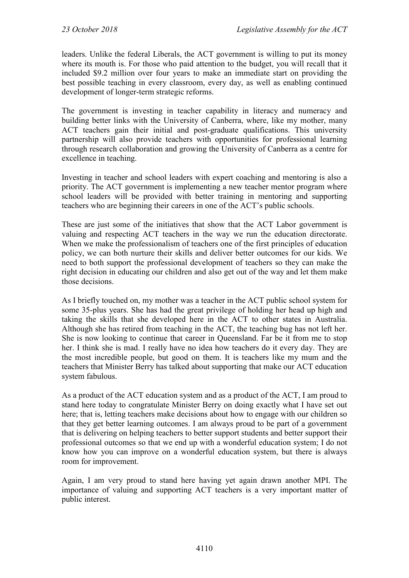leaders. Unlike the federal Liberals, the ACT government is willing to put its money where its mouth is. For those who paid attention to the budget, you will recall that it included \$9.2 million over four years to make an immediate start on providing the best possible teaching in every classroom, every day, as well as enabling continued development of longer-term strategic reforms.

The government is investing in teacher capability in literacy and numeracy and building better links with the University of Canberra, where, like my mother, many ACT teachers gain their initial and post-graduate qualifications. This university partnership will also provide teachers with opportunities for professional learning through research collaboration and growing the University of Canberra as a centre for excellence in teaching.

Investing in teacher and school leaders with expert coaching and mentoring is also a priority. The ACT government is implementing a new teacher mentor program where school leaders will be provided with better training in mentoring and supporting teachers who are beginning their careers in one of the ACT's public schools.

These are just some of the initiatives that show that the ACT Labor government is valuing and respecting ACT teachers in the way we run the education directorate. When we make the professionalism of teachers one of the first principles of education policy, we can both nurture their skills and deliver better outcomes for our kids. We need to both support the professional development of teachers so they can make the right decision in educating our children and also get out of the way and let them make those decisions.

As I briefly touched on, my mother was a teacher in the ACT public school system for some 35-plus years. She has had the great privilege of holding her head up high and taking the skills that she developed here in the ACT to other states in Australia. Although she has retired from teaching in the ACT, the teaching bug has not left her. She is now looking to continue that career in Queensland. Far be it from me to stop her. I think she is mad. I really have no idea how teachers do it every day. They are the most incredible people, but good on them. It is teachers like my mum and the teachers that Minister Berry has talked about supporting that make our ACT education system fabulous.

As a product of the ACT education system and as a product of the ACT, I am proud to stand here today to congratulate Minister Berry on doing exactly what I have set out here; that is, letting teachers make decisions about how to engage with our children so that they get better learning outcomes. I am always proud to be part of a government that is delivering on helping teachers to better support students and better support their professional outcomes so that we end up with a wonderful education system; I do not know how you can improve on a wonderful education system, but there is always room for improvement.

Again, I am very proud to stand here having yet again drawn another MPI. The importance of valuing and supporting ACT teachers is a very important matter of public interest.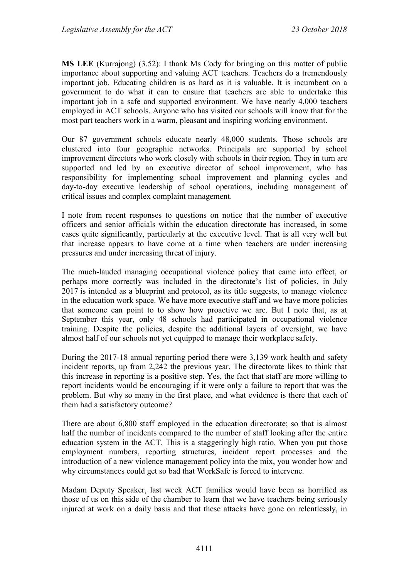**MS LEE** (Kurrajong) (3.52): I thank Ms Cody for bringing on this matter of public importance about supporting and valuing ACT teachers. Teachers do a tremendously important job. Educating children is as hard as it is valuable. It is incumbent on a government to do what it can to ensure that teachers are able to undertake this important job in a safe and supported environment. We have nearly 4,000 teachers employed in ACT schools. Anyone who has visited our schools will know that for the most part teachers work in a warm, pleasant and inspiring working environment.

Our 87 government schools educate nearly 48,000 students. Those schools are clustered into four geographic networks. Principals are supported by school improvement directors who work closely with schools in their region. They in turn are supported and led by an executive director of school improvement, who has responsibility for implementing school improvement and planning cycles and day-to-day executive leadership of school operations, including management of critical issues and complex complaint management.

I note from recent responses to questions on notice that the number of executive officers and senior officials within the education directorate has increased, in some cases quite significantly, particularly at the executive level. That is all very well but that increase appears to have come at a time when teachers are under increasing pressures and under increasing threat of injury.

The much-lauded managing occupational violence policy that came into effect, or perhaps more correctly was included in the directorate's list of policies, in July 2017 is intended as a blueprint and protocol, as its title suggests, to manage violence in the education work space. We have more executive staff and we have more policies that someone can point to to show how proactive we are. But I note that, as at September this year, only 48 schools had participated in occupational violence training. Despite the policies, despite the additional layers of oversight, we have almost half of our schools not yet equipped to manage their workplace safety.

During the 2017-18 annual reporting period there were 3,139 work health and safety incident reports, up from 2,242 the previous year. The directorate likes to think that this increase in reporting is a positive step. Yes, the fact that staff are more willing to report incidents would be encouraging if it were only a failure to report that was the problem. But why so many in the first place, and what evidence is there that each of them had a satisfactory outcome?

There are about 6,800 staff employed in the education directorate; so that is almost half the number of incidents compared to the number of staff looking after the entire education system in the ACT. This is a staggeringly high ratio. When you put those employment numbers, reporting structures, incident report processes and the introduction of a new violence management policy into the mix, you wonder how and why circumstances could get so bad that WorkSafe is forced to intervene.

Madam Deputy Speaker, last week ACT families would have been as horrified as those of us on this side of the chamber to learn that we have teachers being seriously injured at work on a daily basis and that these attacks have gone on relentlessly, in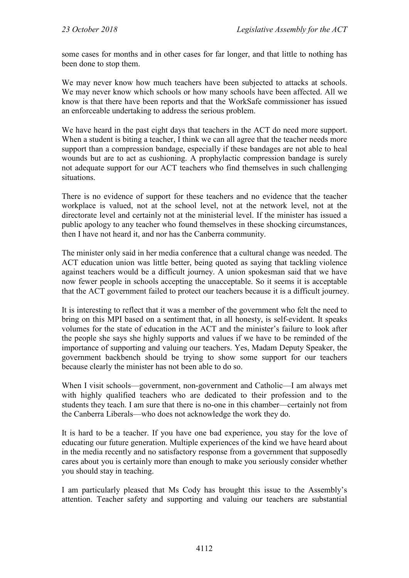some cases for months and in other cases for far longer, and that little to nothing has been done to stop them.

We may never know how much teachers have been subjected to attacks at schools. We may never know which schools or how many schools have been affected. All we know is that there have been reports and that the WorkSafe commissioner has issued an enforceable undertaking to address the serious problem.

We have heard in the past eight days that teachers in the ACT do need more support. When a student is biting a teacher, I think we can all agree that the teacher needs more support than a compression bandage, especially if these bandages are not able to heal wounds but are to act as cushioning. A prophylactic compression bandage is surely not adequate support for our ACT teachers who find themselves in such challenging situations.

There is no evidence of support for these teachers and no evidence that the teacher workplace is valued, not at the school level, not at the network level, not at the directorate level and certainly not at the ministerial level. If the minister has issued a public apology to any teacher who found themselves in these shocking circumstances, then I have not heard it, and nor has the Canberra community.

The minister only said in her media conference that a cultural change was needed. The ACT education union was little better, being quoted as saying that tackling violence against teachers would be a difficult journey. A union spokesman said that we have now fewer people in schools accepting the unacceptable. So it seems it is acceptable that the ACT government failed to protect our teachers because it is a difficult journey.

It is interesting to reflect that it was a member of the government who felt the need to bring on this MPI based on a sentiment that, in all honesty, is self-evident. It speaks volumes for the state of education in the ACT and the minister's failure to look after the people she says she highly supports and values if we have to be reminded of the importance of supporting and valuing our teachers. Yes, Madam Deputy Speaker, the government backbench should be trying to show some support for our teachers because clearly the minister has not been able to do so.

When I visit schools—government, non-government and Catholic—I am always met with highly qualified teachers who are dedicated to their profession and to the students they teach. I am sure that there is no-one in this chamber—certainly not from the Canberra Liberals—who does not acknowledge the work they do.

It is hard to be a teacher. If you have one bad experience, you stay for the love of educating our future generation. Multiple experiences of the kind we have heard about in the media recently and no satisfactory response from a government that supposedly cares about you is certainly more than enough to make you seriously consider whether you should stay in teaching.

I am particularly pleased that Ms Cody has brought this issue to the Assembly's attention. Teacher safety and supporting and valuing our teachers are substantial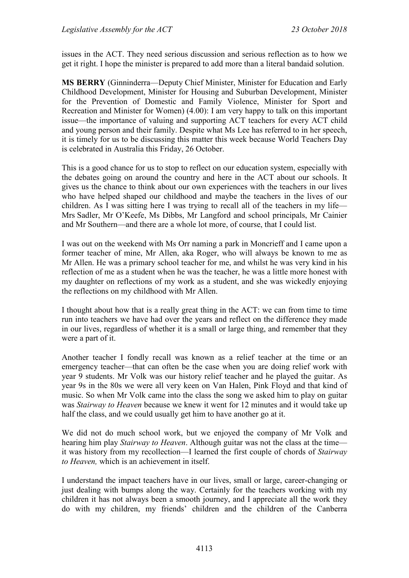issues in the ACT. They need serious discussion and serious reflection as to how we get it right. I hope the minister is prepared to add more than a literal bandaid solution.

**MS BERRY** (Ginninderra—Deputy Chief Minister, Minister for Education and Early Childhood Development, Minister for Housing and Suburban Development, Minister for the Prevention of Domestic and Family Violence, Minister for Sport and Recreation and Minister for Women) (4.00): I am very happy to talk on this important issue—the importance of valuing and supporting ACT teachers for every ACT child and young person and their family. Despite what Ms Lee has referred to in her speech, it is timely for us to be discussing this matter this week because World Teachers Day is celebrated in Australia this Friday, 26 October.

This is a good chance for us to stop to reflect on our education system, especially with the debates going on around the country and here in the ACT about our schools. It gives us the chance to think about our own experiences with the teachers in our lives who have helped shaped our childhood and maybe the teachers in the lives of our children. As I was sitting here I was trying to recall all of the teachers in my life— Mrs Sadler, Mr O'Keefe, Ms Dibbs, Mr Langford and school principals, Mr Cainier and Mr Southern—and there are a whole lot more, of course, that I could list.

I was out on the weekend with Ms Orr naming a park in Moncrieff and I came upon a former teacher of mine, Mr Allen, aka Roger, who will always be known to me as Mr Allen. He was a primary school teacher for me, and whilst he was very kind in his reflection of me as a student when he was the teacher, he was a little more honest with my daughter on reflections of my work as a student, and she was wickedly enjoying the reflections on my childhood with Mr Allen.

I thought about how that is a really great thing in the ACT: we can from time to time run into teachers we have had over the years and reflect on the difference they made in our lives, regardless of whether it is a small or large thing, and remember that they were a part of it.

Another teacher I fondly recall was known as a relief teacher at the time or an emergency teacher—that can often be the case when you are doing relief work with year 9 students. Mr Volk was our history relief teacher and he played the guitar. As year 9s in the 80s we were all very keen on Van Halen, Pink Floyd and that kind of music. So when Mr Volk came into the class the song we asked him to play on guitar was *Stairway to Heaven* because we knew it went for 12 minutes and it would take up half the class, and we could usually get him to have another go at it.

We did not do much school work, but we enjoyed the company of Mr Volk and hearing him play *Stairway to Heaven*. Although guitar was not the class at the time it was history from my recollection—I learned the first couple of chords of *Stairway to Heaven,* which is an achievement in itself.

I understand the impact teachers have in our lives, small or large, career-changing or just dealing with bumps along the way. Certainly for the teachers working with my children it has not always been a smooth journey, and I appreciate all the work they do with my children, my friends' children and the children of the Canberra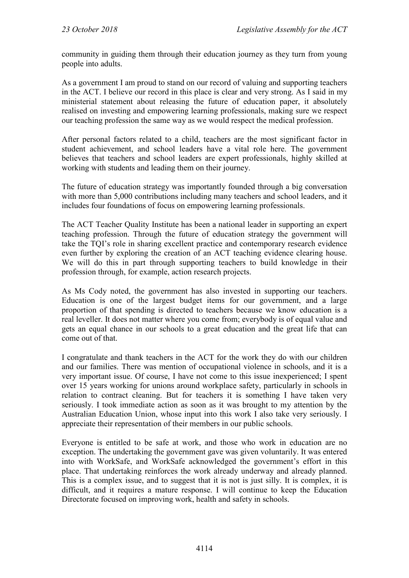community in guiding them through their education journey as they turn from young people into adults.

As a government I am proud to stand on our record of valuing and supporting teachers in the ACT. I believe our record in this place is clear and very strong. As I said in my ministerial statement about releasing the future of education paper, it absolutely realised on investing and empowering learning professionals, making sure we respect our teaching profession the same way as we would respect the medical profession.

After personal factors related to a child, teachers are the most significant factor in student achievement, and school leaders have a vital role here. The government believes that teachers and school leaders are expert professionals, highly skilled at working with students and leading them on their journey.

The future of education strategy was importantly founded through a big conversation with more than 5,000 contributions including many teachers and school leaders, and it includes four foundations of focus on empowering learning professionals.

The ACT Teacher Quality Institute has been a national leader in supporting an expert teaching profession. Through the future of education strategy the government will take the TQI's role in sharing excellent practice and contemporary research evidence even further by exploring the creation of an ACT teaching evidence clearing house. We will do this in part through supporting teachers to build knowledge in their profession through, for example, action research projects.

As Ms Cody noted, the government has also invested in supporting our teachers. Education is one of the largest budget items for our government, and a large proportion of that spending is directed to teachers because we know education is a real leveller. It does not matter where you come from; everybody is of equal value and gets an equal chance in our schools to a great education and the great life that can come out of that.

I congratulate and thank teachers in the ACT for the work they do with our children and our families. There was mention of occupational violence in schools, and it is a very important issue. Of course, I have not come to this issue inexperienced; I spent over 15 years working for unions around workplace safety, particularly in schools in relation to contract cleaning. But for teachers it is something I have taken very seriously. I took immediate action as soon as it was brought to my attention by the Australian Education Union, whose input into this work I also take very seriously. I appreciate their representation of their members in our public schools.

Everyone is entitled to be safe at work, and those who work in education are no exception. The undertaking the government gave was given voluntarily. It was entered into with WorkSafe, and WorkSafe acknowledged the government's effort in this place. That undertaking reinforces the work already underway and already planned. This is a complex issue, and to suggest that it is not is just silly. It is complex, it is difficult, and it requires a mature response. I will continue to keep the Education Directorate focused on improving work, health and safety in schools.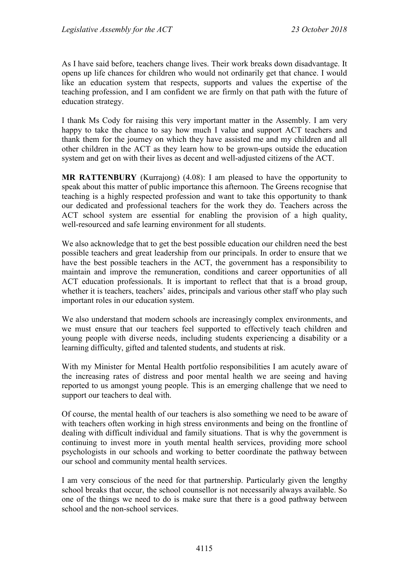As I have said before, teachers change lives. Their work breaks down disadvantage. It opens up life chances for children who would not ordinarily get that chance. I would like an education system that respects, supports and values the expertise of the teaching profession, and I am confident we are firmly on that path with the future of education strategy.

I thank Ms Cody for raising this very important matter in the Assembly. I am very happy to take the chance to say how much I value and support ACT teachers and thank them for the journey on which they have assisted me and my children and all other children in the ACT as they learn how to be grown-ups outside the education system and get on with their lives as decent and well-adjusted citizens of the ACT.

**MR RATTENBURY** (Kurrajong) (4.08): I am pleased to have the opportunity to speak about this matter of public importance this afternoon. The Greens recognise that teaching is a highly respected profession and want to take this opportunity to thank our dedicated and professional teachers for the work they do. Teachers across the ACT school system are essential for enabling the provision of a high quality, well-resourced and safe learning environment for all students.

We also acknowledge that to get the best possible education our children need the best possible teachers and great leadership from our principals. In order to ensure that we have the best possible teachers in the ACT, the government has a responsibility to maintain and improve the remuneration, conditions and career opportunities of all ACT education professionals. It is important to reflect that that is a broad group, whether it is teachers, teachers' aides, principals and various other staff who play such important roles in our education system.

We also understand that modern schools are increasingly complex environments, and we must ensure that our teachers feel supported to effectively teach children and young people with diverse needs, including students experiencing a disability or a learning difficulty, gifted and talented students, and students at risk.

With my Minister for Mental Health portfolio responsibilities I am acutely aware of the increasing rates of distress and poor mental health we are seeing and having reported to us amongst young people. This is an emerging challenge that we need to support our teachers to deal with.

Of course, the mental health of our teachers is also something we need to be aware of with teachers often working in high stress environments and being on the frontline of dealing with difficult individual and family situations. That is why the government is continuing to invest more in youth mental health services, providing more school psychologists in our schools and working to better coordinate the pathway between our school and community mental health services.

I am very conscious of the need for that partnership. Particularly given the lengthy school breaks that occur, the school counsellor is not necessarily always available. So one of the things we need to do is make sure that there is a good pathway between school and the non-school services.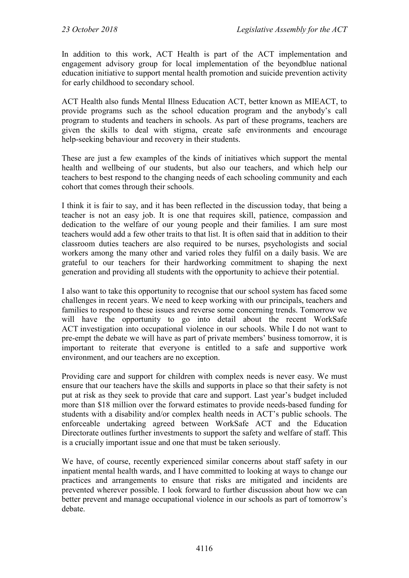In addition to this work, ACT Health is part of the ACT implementation and engagement advisory group for local implementation of the beyondblue national education initiative to support mental health promotion and suicide prevention activity for early childhood to secondary school.

ACT Health also funds Mental Illness Education ACT, better known as MIEACT, to provide programs such as the school education program and the anybody's call program to students and teachers in schools. As part of these programs, teachers are given the skills to deal with stigma, create safe environments and encourage help-seeking behaviour and recovery in their students.

These are just a few examples of the kinds of initiatives which support the mental health and wellbeing of our students, but also our teachers, and which help our teachers to best respond to the changing needs of each schooling community and each cohort that comes through their schools.

I think it is fair to say, and it has been reflected in the discussion today, that being a teacher is not an easy job. It is one that requires skill, patience, compassion and dedication to the welfare of our young people and their families. I am sure most teachers would add a few other traits to that list. It is often said that in addition to their classroom duties teachers are also required to be nurses, psychologists and social workers among the many other and varied roles they fulfil on a daily basis. We are grateful to our teachers for their hardworking commitment to shaping the next generation and providing all students with the opportunity to achieve their potential.

I also want to take this opportunity to recognise that our school system has faced some challenges in recent years. We need to keep working with our principals, teachers and families to respond to these issues and reverse some concerning trends. Tomorrow we will have the opportunity to go into detail about the recent WorkSafe ACT investigation into occupational violence in our schools. While I do not want to pre-empt the debate we will have as part of private members' business tomorrow, it is important to reiterate that everyone is entitled to a safe and supportive work environment, and our teachers are no exception.

Providing care and support for children with complex needs is never easy. We must ensure that our teachers have the skills and supports in place so that their safety is not put at risk as they seek to provide that care and support. Last year's budget included more than \$18 million over the forward estimates to provide needs-based funding for students with a disability and/or complex health needs in ACT's public schools. The enforceable undertaking agreed between WorkSafe ACT and the Education Directorate outlines further investments to support the safety and welfare of staff. This is a crucially important issue and one that must be taken seriously.

We have, of course, recently experienced similar concerns about staff safety in our inpatient mental health wards, and I have committed to looking at ways to change our practices and arrangements to ensure that risks are mitigated and incidents are prevented wherever possible. I look forward to further discussion about how we can better prevent and manage occupational violence in our schools as part of tomorrow's debate.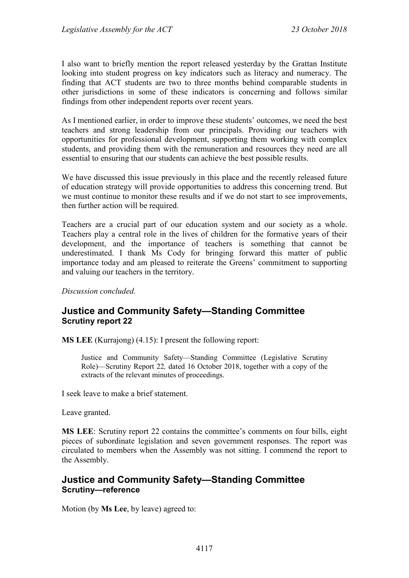I also want to briefly mention the report released yesterday by the Grattan Institute looking into student progress on key indicators such as literacy and numeracy. The finding that ACT students are two to three months behind comparable students in other jurisdictions in some of these indicators is concerning and follows similar findings from other independent reports over recent years.

As I mentioned earlier, in order to improve these students' outcomes, we need the best teachers and strong leadership from our principals. Providing our teachers with opportunities for professional development, supporting them working with complex students, and providing them with the remuneration and resources they need are all essential to ensuring that our students can achieve the best possible results.

We have discussed this issue previously in this place and the recently released future of education strategy will provide opportunities to address this concerning trend. But we must continue to monitor these results and if we do not start to see improvements, then further action will be required.

Teachers are a crucial part of our education system and our society as a whole. Teachers play a central role in the lives of children for the formative years of their development, and the importance of teachers is something that cannot be underestimated. I thank Ms Cody for bringing forward this matter of public importance today and am pleased to reiterate the Greens' commitment to supporting and valuing our teachers in the territory.

*Discussion concluded.*

## **Justice and Community Safety—Standing Committee Scrutiny report 22**

**MS LEE** (Kurrajong) (4.15): I present the following report:

Justice and Community Safety—Standing Committee (Legislative Scrutiny Role)—Scrutiny Report 22*,* dated 16 October 2018, together with a copy of the extracts of the relevant minutes of proceedings.

I seek leave to make a brief statement.

Leave granted.

**MS LEE**: Scrutiny report 22 contains the committee's comments on four bills, eight pieces of subordinate legislation and seven government responses. The report was circulated to members when the Assembly was not sitting. I commend the report to the Assembly.

## **Justice and Community Safety—Standing Committee Scrutiny—reference**

Motion (by **Ms Lee**, by leave) agreed to: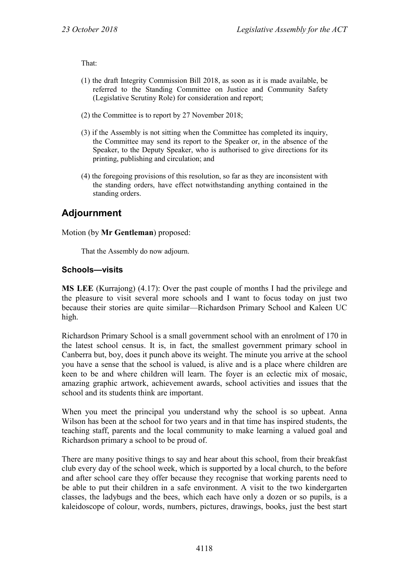That:

- (1) the draft Integrity Commission Bill 2018, as soon as it is made available, be referred to the Standing Committee on Justice and Community Safety (Legislative Scrutiny Role) for consideration and report;
- (2) the Committee is to report by 27 November 2018;
- (3) if the Assembly is not sitting when the Committee has completed its inquiry, the Committee may send its report to the Speaker or, in the absence of the Speaker, to the Deputy Speaker, who is authorised to give directions for its printing, publishing and circulation; and
- (4) the foregoing provisions of this resolution, so far as they are inconsistent with the standing orders, have effect notwithstanding anything contained in the standing orders.

# **Adjournment**

#### Motion (by **Mr Gentleman**) proposed:

That the Assembly do now adjourn.

#### **Schools—visits**

**MS LEE** (Kurrajong) (4.17): Over the past couple of months I had the privilege and the pleasure to visit several more schools and I want to focus today on just two because their stories are quite similar—Richardson Primary School and Kaleen UC high.

Richardson Primary School is a small government school with an enrolment of 170 in the latest school census. It is, in fact, the smallest government primary school in Canberra but, boy, does it punch above its weight. The minute you arrive at the school you have a sense that the school is valued, is alive and is a place where children are keen to be and where children will learn. The foyer is an eclectic mix of mosaic, amazing graphic artwork, achievement awards, school activities and issues that the school and its students think are important.

When you meet the principal you understand why the school is so upbeat. Anna Wilson has been at the school for two years and in that time has inspired students, the teaching staff, parents and the local community to make learning a valued goal and Richardson primary a school to be proud of.

There are many positive things to say and hear about this school, from their breakfast club every day of the school week, which is supported by a local church, to the before and after school care they offer because they recognise that working parents need to be able to put their children in a safe environment. A visit to the two kindergarten classes, the ladybugs and the bees, which each have only a dozen or so pupils, is a kaleidoscope of colour, words, numbers, pictures, drawings, books, just the best start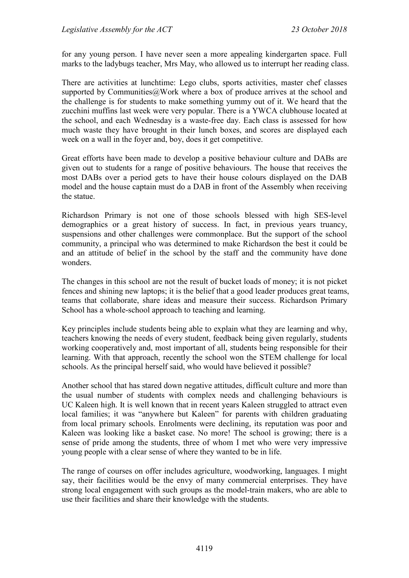for any young person. I have never seen a more appealing kindergarten space. Full marks to the ladybugs teacher, Mrs May, who allowed us to interrupt her reading class.

There are activities at lunchtime: Lego clubs, sports activities, master chef classes supported by Communities $@$ Work where a box of produce arrives at the school and the challenge is for students to make something yummy out of it. We heard that the zucchini muffins last week were very popular. There is a YWCA clubhouse located at the school, and each Wednesday is a waste-free day. Each class is assessed for how much waste they have brought in their lunch boxes, and scores are displayed each week on a wall in the foyer and, boy, does it get competitive.

Great efforts have been made to develop a positive behaviour culture and DABs are given out to students for a range of positive behaviours. The house that receives the most DABs over a period gets to have their house colours displayed on the DAB model and the house captain must do a DAB in front of the Assembly when receiving the statue.

Richardson Primary is not one of those schools blessed with high SES-level demographics or a great history of success. In fact, in previous years truancy, suspensions and other challenges were commonplace. But the support of the school community, a principal who was determined to make Richardson the best it could be and an attitude of belief in the school by the staff and the community have done wonders.

The changes in this school are not the result of bucket loads of money; it is not picket fences and shining new laptops; it is the belief that a good leader produces great teams, teams that collaborate, share ideas and measure their success. Richardson Primary School has a whole-school approach to teaching and learning.

Key principles include students being able to explain what they are learning and why, teachers knowing the needs of every student, feedback being given regularly, students working cooperatively and, most important of all, students being responsible for their learning. With that approach, recently the school won the STEM challenge for local schools. As the principal herself said, who would have believed it possible?

Another school that has stared down negative attitudes, difficult culture and more than the usual number of students with complex needs and challenging behaviours is UC Kaleen high. It is well known that in recent years Kaleen struggled to attract even local families; it was "anywhere but Kaleen" for parents with children graduating from local primary schools. Enrolments were declining, its reputation was poor and Kaleen was looking like a basket case. No more! The school is growing; there is a sense of pride among the students, three of whom I met who were very impressive young people with a clear sense of where they wanted to be in life.

The range of courses on offer includes agriculture, woodworking, languages. I might say, their facilities would be the envy of many commercial enterprises. They have strong local engagement with such groups as the model-train makers, who are able to use their facilities and share their knowledge with the students.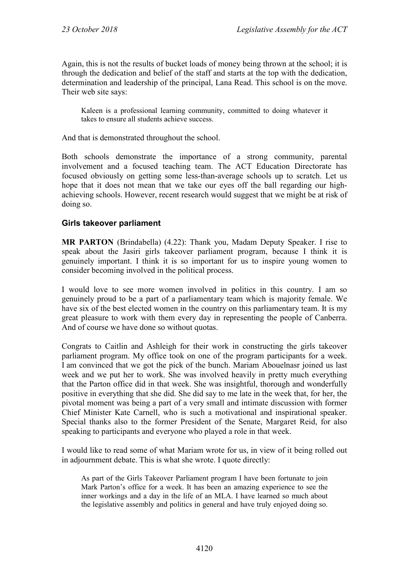Again, this is not the results of bucket loads of money being thrown at the school; it is through the dedication and belief of the staff and starts at the top with the dedication, determination and leadership of the principal, Lana Read. This school is on the move. Their web site says:

Kaleen is a professional learning community, committed to doing whatever it takes to ensure all students achieve success.

And that is demonstrated throughout the school.

Both schools demonstrate the importance of a strong community, parental involvement and a focused teaching team. The ACT Education Directorate has focused obviously on getting some less-than-average schools up to scratch. Let us hope that it does not mean that we take our eyes off the ball regarding our highachieving schools. However, recent research would suggest that we might be at risk of doing so.

#### **Girls takeover parliament**

**MR PARTON** (Brindabella) (4.22): Thank you, Madam Deputy Speaker. I rise to speak about the Jasiri girls takeover parliament program, because I think it is genuinely important. I think it is so important for us to inspire young women to consider becoming involved in the political process.

I would love to see more women involved in politics in this country. I am so genuinely proud to be a part of a parliamentary team which is majority female. We have six of the best elected women in the country on this parliamentary team. It is my great pleasure to work with them every day in representing the people of Canberra. And of course we have done so without quotas.

Congrats to Caitlin and Ashleigh for their work in constructing the girls takeover parliament program. My office took on one of the program participants for a week. I am convinced that we got the pick of the bunch. Mariam Abouelnasr joined us last week and we put her to work. She was involved heavily in pretty much everything that the Parton office did in that week. She was insightful, thorough and wonderfully positive in everything that she did. She did say to me late in the week that, for her, the pivotal moment was being a part of a very small and intimate discussion with former Chief Minister Kate Carnell, who is such a motivational and inspirational speaker. Special thanks also to the former President of the Senate, Margaret Reid, for also speaking to participants and everyone who played a role in that week.

I would like to read some of what Mariam wrote for us, in view of it being rolled out in adjournment debate. This is what she wrote. I quote directly:

As part of the Girls Takeover Parliament program I have been fortunate to join Mark Parton's office for a week. It has been an amazing experience to see the inner workings and a day in the life of an MLA. I have learned so much about the legislative assembly and politics in general and have truly enjoyed doing so.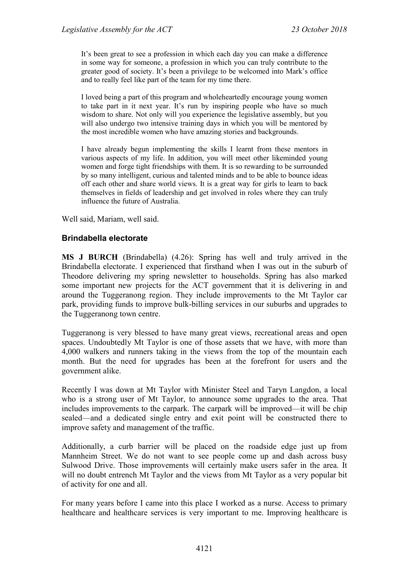It's been great to see a profession in which each day you can make a difference in some way for someone, a profession in which you can truly contribute to the greater good of society. It's been a privilege to be welcomed into Mark's office and to really feel like part of the team for my time there.

I loved being a part of this program and wholeheartedly encourage young women to take part in it next year. It's run by inspiring people who have so much wisdom to share. Not only will you experience the legislative assembly, but you will also undergo two intensive training days in which you will be mentored by the most incredible women who have amazing stories and backgrounds.

I have already begun implementing the skills I learnt from these mentors in various aspects of my life. In addition, you will meet other likeminded young women and forge tight friendships with them. It is so rewarding to be surrounded by so many intelligent, curious and talented minds and to be able to bounce ideas off each other and share world views. It is a great way for girls to learn to back themselves in fields of leadership and get involved in roles where they can truly influence the future of Australia.

Well said, Mariam, well said.

#### **Brindabella electorate**

**MS J BURCH** (Brindabella) (4.26): Spring has well and truly arrived in the Brindabella electorate. I experienced that firsthand when I was out in the suburb of Theodore delivering my spring newsletter to households. Spring has also marked some important new projects for the ACT government that it is delivering in and around the Tuggeranong region. They include improvements to the Mt Taylor car park, providing funds to improve bulk-billing services in our suburbs and upgrades to the Tuggeranong town centre.

Tuggeranong is very blessed to have many great views, recreational areas and open spaces. Undoubtedly Mt Taylor is one of those assets that we have, with more than 4,000 walkers and runners taking in the views from the top of the mountain each month. But the need for upgrades has been at the forefront for users and the government alike.

Recently I was down at Mt Taylor with Minister Steel and Taryn Langdon, a local who is a strong user of Mt Taylor, to announce some upgrades to the area. That includes improvements to the carpark. The carpark will be improved—it will be chip sealed—and a dedicated single entry and exit point will be constructed there to improve safety and management of the traffic.

Additionally, a curb barrier will be placed on the roadside edge just up from Mannheim Street. We do not want to see people come up and dash across busy Sulwood Drive. Those improvements will certainly make users safer in the area. It will no doubt entrench Mt Taylor and the views from Mt Taylor as a very popular bit of activity for one and all.

For many years before I came into this place I worked as a nurse. Access to primary healthcare and healthcare services is very important to me. Improving healthcare is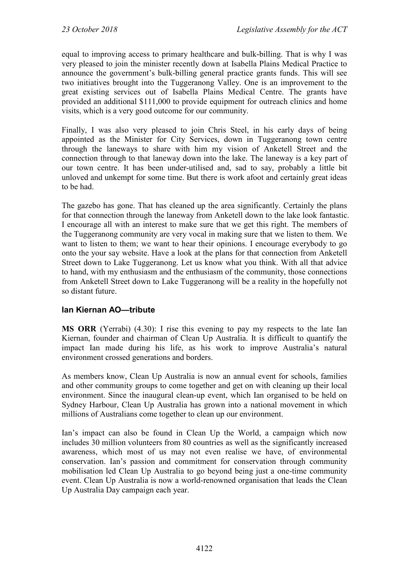equal to improving access to primary healthcare and bulk-billing. That is why I was very pleased to join the minister recently down at Isabella Plains Medical Practice to announce the government's bulk-billing general practice grants funds. This will see two initiatives brought into the Tuggeranong Valley. One is an improvement to the great existing services out of Isabella Plains Medical Centre. The grants have provided an additional \$111,000 to provide equipment for outreach clinics and home visits, which is a very good outcome for our community.

Finally, I was also very pleased to join Chris Steel, in his early days of being appointed as the Minister for City Services, down in Tuggeranong town centre through the laneways to share with him my vision of Anketell Street and the connection through to that laneway down into the lake. The laneway is a key part of our town centre. It has been under-utilised and, sad to say, probably a little bit unloved and unkempt for some time. But there is work afoot and certainly great ideas to be had.

The gazebo has gone. That has cleaned up the area significantly. Certainly the plans for that connection through the laneway from Anketell down to the lake look fantastic. I encourage all with an interest to make sure that we get this right. The members of the Tuggeranong community are very vocal in making sure that we listen to them. We want to listen to them; we want to hear their opinions. I encourage everybody to go onto the your say website. Have a look at the plans for that connection from Anketell Street down to Lake Tuggeranong. Let us know what you think. With all that advice to hand, with my enthusiasm and the enthusiasm of the community, those connections from Anketell Street down to Lake Tuggeranong will be a reality in the hopefully not so distant future.

# **Ian Kiernan AO—tribute**

**MS ORR** (Yerrabi) (4.30): I rise this evening to pay my respects to the late Ian Kiernan, founder and chairman of Clean Up Australia. It is difficult to quantify the impact Ian made during his life, as his work to improve Australia's natural environment crossed generations and borders.

As members know, Clean Up Australia is now an annual event for schools, families and other community groups to come together and get on with cleaning up their local environment. Since the inaugural clean-up event, which Ian organised to be held on Sydney Harbour, Clean Up Australia has grown into a national movement in which millions of Australians come together to clean up our environment.

Ian's impact can also be found in Clean Up the World, a campaign which now includes 30 million volunteers from 80 countries as well as the significantly increased awareness, which most of us may not even realise we have, of environmental conservation. Ian's passion and commitment for conservation through community mobilisation led Clean Up Australia to go beyond being just a one-time community event. Clean Up Australia is now a world-renowned organisation that leads the Clean Up Australia Day campaign each year.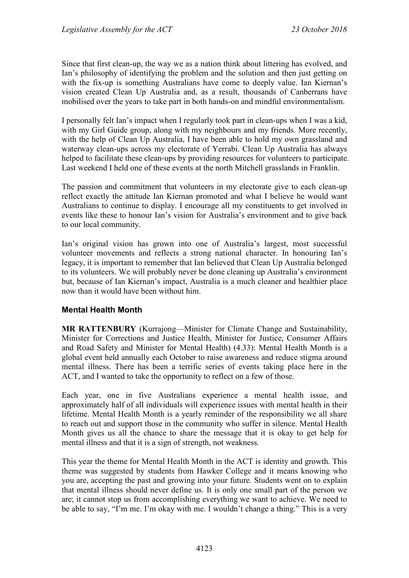Since that first clean-up, the way we as a nation think about littering has evolved, and Ian's philosophy of identifying the problem and the solution and then just getting on with the fix-up is something Australians have come to deeply value. Ian Kiernan's vision created Clean Up Australia and, as a result, thousands of Canberrans have mobilised over the years to take part in both hands-on and mindful environmentalism.

I personally felt Ian's impact when I regularly took part in clean-ups when I was a kid, with my Girl Guide group, along with my neighbours and my friends. More recently, with the help of Clean Up Australia, I have been able to hold my own grassland and waterway clean-ups across my electorate of Yerrabi. Clean Up Australia has always helped to facilitate these clean-ups by providing resources for volunteers to participate. Last weekend I held one of these events at the north Mitchell grasslands in Franklin.

The passion and commitment that volunteers in my electorate give to each clean-up reflect exactly the attitude Ian Kiernan promoted and what I believe he would want Australians to continue to display. I encourage all my constituents to get involved in events like these to honour Ian's vision for Australia's environment and to give back to our local community.

Ian's original vision has grown into one of Australia's largest, most successful volunteer movements and reflects a strong national character. In honouring Ian's legacy, it is important to remember that Ian believed that Clean Up Australia belonged to its volunteers. We will probably never be done cleaning up Australia's environment but, because of Ian Kiernan's impact, Australia is a much cleaner and healthier place now than it would have been without him.

## **Mental Health Month**

**MR RATTENBURY** (Kurrajong—Minister for Climate Change and Sustainability, Minister for Corrections and Justice Health, Minister for Justice, Consumer Affairs and Road Safety and Minister for Mental Health) (4.33): Mental Health Month is a global event held annually each October to raise awareness and reduce stigma around mental illness. There has been a terrific series of events taking place here in the ACT, and I wanted to take the opportunity to reflect on a few of those.

Each year, one in five Australians experience a mental health issue, and approximately half of all individuals will experience issues with mental health in their lifetime. Mental Health Month is a yearly reminder of the responsibility we all share to reach out and support those in the community who suffer in silence. Mental Health Month gives us all the chance to share the message that it is okay to get help for mental illness and that it is a sign of strength, not weakness.

This year the theme for Mental Health Month in the ACT is identity and growth. This theme was suggested by students from Hawker College and it means knowing who you are, accepting the past and growing into your future. Students went on to explain that mental illness should never define us. It is only one small part of the person we are; it cannot stop us from accomplishing everything we want to achieve. We need to be able to say, "I'm me. I'm okay with me. I wouldn't change a thing." This is a very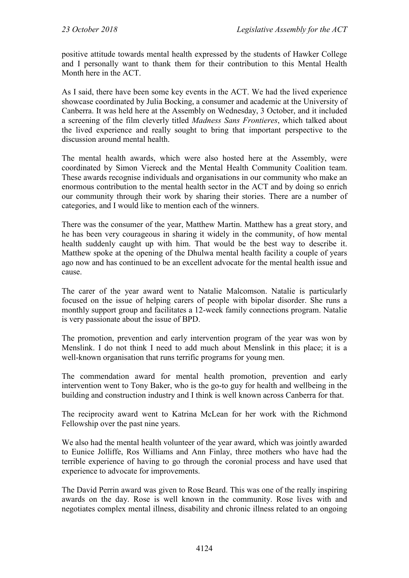positive attitude towards mental health expressed by the students of Hawker College and I personally want to thank them for their contribution to this Mental Health Month here in the ACT.

As I said, there have been some key events in the ACT. We had the lived experience showcase coordinated by Julia Bocking, a consumer and academic at the University of Canberra. It was held here at the Assembly on Wednesday, 3 October, and it included a screening of the film cleverly titled *Madness Sans Frontieres*, which talked about the lived experience and really sought to bring that important perspective to the discussion around mental health.

The mental health awards, which were also hosted here at the Assembly, were coordinated by Simon Viereck and the Mental Health Community Coalition team. These awards recognise individuals and organisations in our community who make an enormous contribution to the mental health sector in the ACT and by doing so enrich our community through their work by sharing their stories. There are a number of categories, and I would like to mention each of the winners.

There was the consumer of the year, Matthew Martin. Matthew has a great story, and he has been very courageous in sharing it widely in the community, of how mental health suddenly caught up with him. That would be the best way to describe it. Matthew spoke at the opening of the Dhulwa mental health facility a couple of years ago now and has continued to be an excellent advocate for the mental health issue and cause.

The carer of the year award went to Natalie Malcomson. Natalie is particularly focused on the issue of helping carers of people with bipolar disorder. She runs a monthly support group and facilitates a 12-week family connections program. Natalie is very passionate about the issue of BPD.

The promotion, prevention and early intervention program of the year was won by Menslink. I do not think I need to add much about Menslink in this place; it is a well-known organisation that runs terrific programs for young men.

The commendation award for mental health promotion, prevention and early intervention went to Tony Baker, who is the go-to guy for health and wellbeing in the building and construction industry and I think is well known across Canberra for that.

The reciprocity award went to Katrina McLean for her work with the Richmond Fellowship over the past nine years.

We also had the mental health volunteer of the year award, which was jointly awarded to Eunice Jolliffe, Ros Williams and Ann Finlay, three mothers who have had the terrible experience of having to go through the coronial process and have used that experience to advocate for improvements.

The David Perrin award was given to Rose Beard. This was one of the really inspiring awards on the day. Rose is well known in the community. Rose lives with and negotiates complex mental illness, disability and chronic illness related to an ongoing